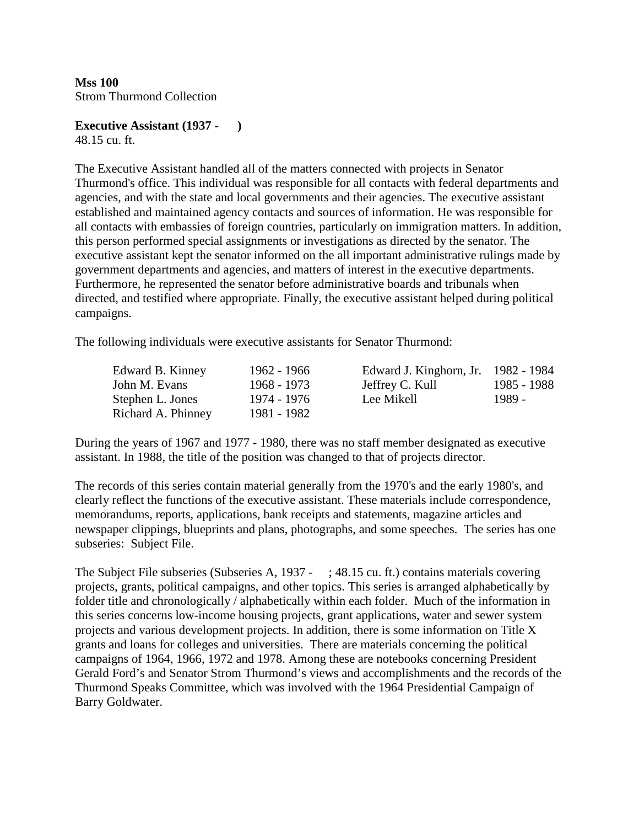# **Executive Assistant (1937 - )**

48.15 cu. ft.

The Executive Assistant handled all of the matters connected with projects in Senator Thurmond's office. This individual was responsible for all contacts with federal departments and agencies, and with the state and local governments and their agencies. The executive assistant established and maintained agency contacts and sources of information. He was responsible for all contacts with embassies of foreign countries, particularly on immigration matters. In addition, this person performed special assignments or investigations as directed by the senator. The executive assistant kept the senator informed on the all important administrative rulings made by government departments and agencies, and matters of interest in the executive departments. Furthermore, he represented the senator before administrative boards and tribunals when directed, and testified where appropriate. Finally, the executive assistant helped during political campaigns.

The following individuals were executive assistants for Senator Thurmond:

| Edward B. Kinney   | 1962 - 1966 | Edward J. Kinghorn, Jr. 1982 - 1984 |             |
|--------------------|-------------|-------------------------------------|-------------|
| John M. Evans      | 1968 - 1973 | Jeffrey C. Kull                     | 1985 - 1988 |
| Stephen L. Jones   | 1974 - 1976 | Lee Mikell                          | 1989 -      |
| Richard A. Phinney | 1981 - 1982 |                                     |             |

During the years of 1967 and 1977 - 1980, there was no staff member designated as executive assistant. In 1988, the title of the position was changed to that of projects director.

The records of this series contain material generally from the 1970's and the early 1980's, and clearly reflect the functions of the executive assistant. These materials include correspondence, memorandums, reports, applications, bank receipts and statements, magazine articles and newspaper clippings, blueprints and plans, photographs, and some speeches. The series has one subseries: Subject File.

The Subject File subseries (Subseries A, 1937 - ; 48.15 cu. ft.) contains materials covering projects, grants, political campaigns, and other topics. This series is arranged alphabetically by folder title and chronologically / alphabetically within each folder. Much of the information in this series concerns low-income housing projects, grant applications, water and sewer system projects and various development projects. In addition, there is some information on Title X grants and loans for colleges and universities. There are materials concerning the political campaigns of 1964, 1966, 1972 and 1978. Among these are notebooks concerning President Gerald Ford's and Senator Strom Thurmond's views and accomplishments and the records of the Thurmond Speaks Committee, which was involved with the 1964 Presidential Campaign of Barry Goldwater.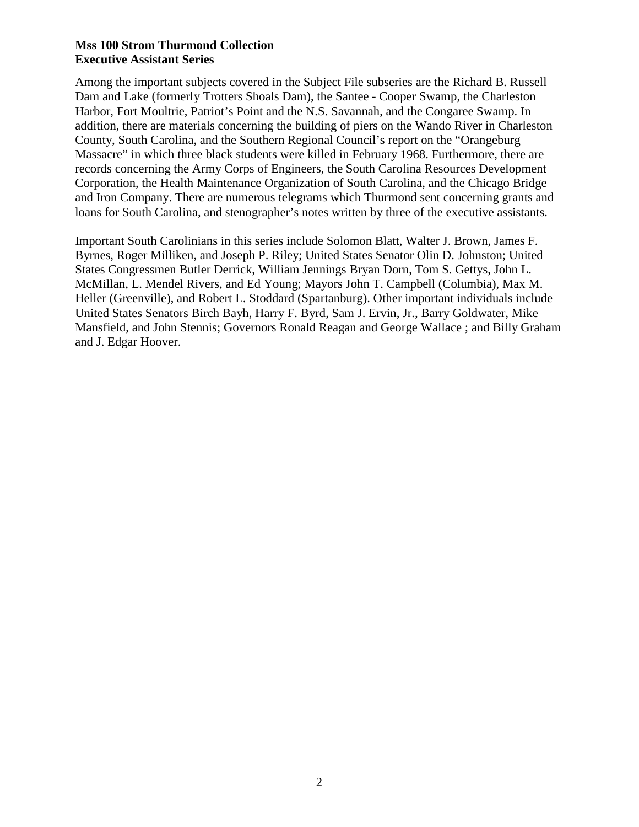Among the important subjects covered in the Subject File subseries are the Richard B. Russell Dam and Lake (formerly Trotters Shoals Dam), the Santee - Cooper Swamp, the Charleston Harbor, Fort Moultrie, Patriot's Point and the N.S. Savannah, and the Congaree Swamp. In addition, there are materials concerning the building of piers on the Wando River in Charleston County, South Carolina, and the Southern Regional Council's report on the "Orangeburg Massacre" in which three black students were killed in February 1968. Furthermore, there are records concerning the Army Corps of Engineers, the South Carolina Resources Development Corporation, the Health Maintenance Organization of South Carolina, and the Chicago Bridge and Iron Company. There are numerous telegrams which Thurmond sent concerning grants and loans for South Carolina, and stenographer's notes written by three of the executive assistants.

Important South Carolinians in this series include Solomon Blatt, Walter J. Brown, James F. Byrnes, Roger Milliken, and Joseph P. Riley; United States Senator Olin D. Johnston; United States Congressmen Butler Derrick, William Jennings Bryan Dorn, Tom S. Gettys, John L. McMillan, L. Mendel Rivers, and Ed Young; Mayors John T. Campbell (Columbia), Max M. Heller (Greenville), and Robert L. Stoddard (Spartanburg). Other important individuals include United States Senators Birch Bayh, Harry F. Byrd, Sam J. Ervin, Jr., Barry Goldwater, Mike Mansfield, and John Stennis; Governors Ronald Reagan and George Wallace ; and Billy Graham and J. Edgar Hoover.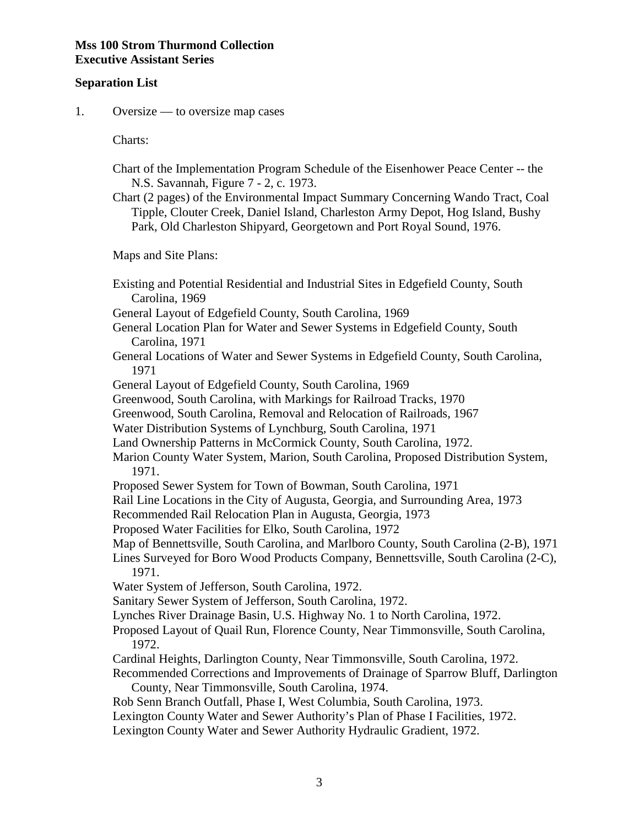#### **Separation List**

1. Oversize — to oversize map cases

Charts:

- Chart of the Implementation Program Schedule of the Eisenhower Peace Center -- the N.S. Savannah, Figure 7 - 2, c. 1973.
- Chart (2 pages) of the Environmental Impact Summary Concerning Wando Tract, Coal Tipple, Clouter Creek, Daniel Island, Charleston Army Depot, Hog Island, Bushy Park, Old Charleston Shipyard, Georgetown and Port Royal Sound, 1976.

Maps and Site Plans:

- Existing and Potential Residential and Industrial Sites in Edgefield County, South Carolina, 1969
- General Layout of Edgefield County, South Carolina, 1969
- General Location Plan for Water and Sewer Systems in Edgefield County, South Carolina, 1971
- General Locations of Water and Sewer Systems in Edgefield County, South Carolina, 1971
- General Layout of Edgefield County, South Carolina, 1969
- Greenwood, South Carolina, with Markings for Railroad Tracks, 1970
- Greenwood, South Carolina, Removal and Relocation of Railroads, 1967
- Water Distribution Systems of Lynchburg, South Carolina, 1971
- Land Ownership Patterns in McCormick County, South Carolina, 1972.
- Marion County Water System, Marion, South Carolina, Proposed Distribution System, 1971.
- Proposed Sewer System for Town of Bowman, South Carolina, 1971

Rail Line Locations in the City of Augusta, Georgia, and Surrounding Area, 1973

Recommended Rail Relocation Plan in Augusta, Georgia, 1973

Proposed Water Facilities for Elko, South Carolina, 1972

Map of Bennettsville, South Carolina, and Marlboro County, South Carolina (2-B), 1971

 Lines Surveyed for Boro Wood Products Company, Bennettsville, South Carolina (2-C), 1971.

Water System of Jefferson, South Carolina, 1972.

- Sanitary Sewer System of Jefferson, South Carolina, 1972.
- Lynches River Drainage Basin, U.S. Highway No. 1 to North Carolina, 1972.
- Proposed Layout of Quail Run, Florence County, Near Timmonsville, South Carolina, 1972.
- Cardinal Heights, Darlington County, Near Timmonsville, South Carolina, 1972.
- Recommended Corrections and Improvements of Drainage of Sparrow Bluff, Darlington County, Near Timmonsville, South Carolina, 1974.
- Rob Senn Branch Outfall, Phase I, West Columbia, South Carolina, 1973.
- Lexington County Water and Sewer Authority's Plan of Phase I Facilities, 1972.
- Lexington County Water and Sewer Authority Hydraulic Gradient, 1972.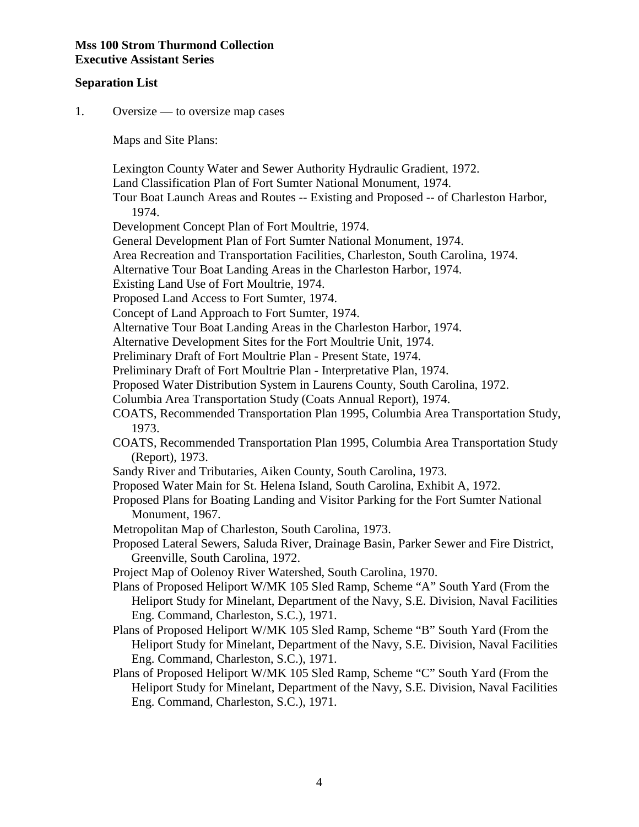#### **Separation List**

1. Oversize — to oversize map cases

Maps and Site Plans:

 Lexington County Water and Sewer Authority Hydraulic Gradient, 1972. Land Classification Plan of Fort Sumter National Monument, 1974. Tour Boat Launch Areas and Routes -- Existing and Proposed -- of Charleston Harbor, 1974. Development Concept Plan of Fort Moultrie, 1974. General Development Plan of Fort Sumter National Monument, 1974. Area Recreation and Transportation Facilities, Charleston, South Carolina, 1974. Alternative Tour Boat Landing Areas in the Charleston Harbor, 1974. Existing Land Use of Fort Moultrie, 1974. Proposed Land Access to Fort Sumter, 1974. Concept of Land Approach to Fort Sumter, 1974. Alternative Tour Boat Landing Areas in the Charleston Harbor, 1974. Alternative Development Sites for the Fort Moultrie Unit, 1974. Preliminary Draft of Fort Moultrie Plan - Present State, 1974. Preliminary Draft of Fort Moultrie Plan - Interpretative Plan, 1974. Proposed Water Distribution System in Laurens County, South Carolina, 1972. Columbia Area Transportation Study (Coats Annual Report), 1974. COATS, Recommended Transportation Plan 1995, Columbia Area Transportation Study, 1973. COATS, Recommended Transportation Plan 1995, Columbia Area Transportation Study (Report), 1973. Sandy River and Tributaries, Aiken County, South Carolina, 1973. Proposed Water Main for St. Helena Island, South Carolina, Exhibit A, 1972. Proposed Plans for Boating Landing and Visitor Parking for the Fort Sumter National Monument, 1967. Metropolitan Map of Charleston, South Carolina, 1973. Proposed Lateral Sewers, Saluda River, Drainage Basin, Parker Sewer and Fire District, Greenville, South Carolina, 1972. Project Map of Oolenoy River Watershed, South Carolina, 1970. Plans of Proposed Heliport W/MK 105 Sled Ramp, Scheme "A" South Yard (From the Heliport Study for Minelant, Department of the Navy, S.E. Division, Naval Facilities Eng. Command, Charleston, S.C.), 1971. Plans of Proposed Heliport W/MK 105 Sled Ramp, Scheme "B" South Yard (From the Heliport Study for Minelant, Department of the Navy, S.E. Division, Naval Facilities Eng. Command, Charleston, S.C.), 1971. Plans of Proposed Heliport W/MK 105 Sled Ramp, Scheme "C" South Yard (From the Heliport Study for Minelant, Department of the Navy, S.E. Division, Naval Facilities

Eng. Command, Charleston, S.C.), 1971.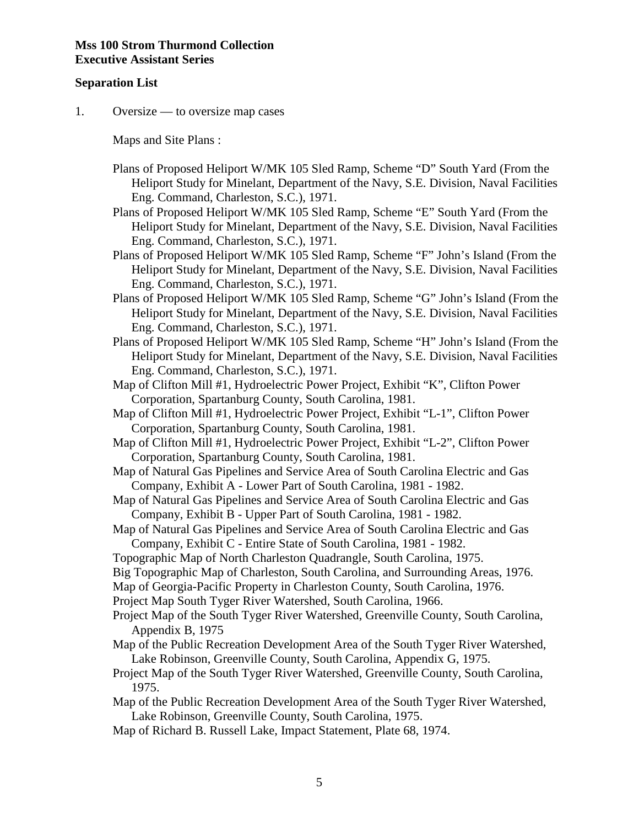#### **Separation List**

1. Oversize — to oversize map cases

Maps and Site Plans :

- Plans of Proposed Heliport W/MK 105 Sled Ramp, Scheme "D" South Yard (From the Heliport Study for Minelant, Department of the Navy, S.E. Division, Naval Facilities Eng. Command, Charleston, S.C.), 1971.
- Plans of Proposed Heliport W/MK 105 Sled Ramp, Scheme "E" South Yard (From the Heliport Study for Minelant, Department of the Navy, S.E. Division, Naval Facilities Eng. Command, Charleston, S.C.), 1971.
- Plans of Proposed Heliport W/MK 105 Sled Ramp, Scheme "F" John's Island (From the Heliport Study for Minelant, Department of the Navy, S.E. Division, Naval Facilities Eng. Command, Charleston, S.C.), 1971.
- Plans of Proposed Heliport W/MK 105 Sled Ramp, Scheme "G" John's Island (From the Heliport Study for Minelant, Department of the Navy, S.E. Division, Naval Facilities Eng. Command, Charleston, S.C.), 1971.
- Plans of Proposed Heliport W/MK 105 Sled Ramp, Scheme "H" John's Island (From the Heliport Study for Minelant, Department of the Navy, S.E. Division, Naval Facilities Eng. Command, Charleston, S.C.), 1971.
- Map of Clifton Mill #1, Hydroelectric Power Project, Exhibit "K", Clifton Power Corporation, Spartanburg County, South Carolina, 1981.
- Map of Clifton Mill #1, Hydroelectric Power Project, Exhibit "L-1", Clifton Power Corporation, Spartanburg County, South Carolina, 1981.
- Map of Clifton Mill #1, Hydroelectric Power Project, Exhibit "L-2", Clifton Power Corporation, Spartanburg County, South Carolina, 1981.
- Map of Natural Gas Pipelines and Service Area of South Carolina Electric and Gas Company, Exhibit A - Lower Part of South Carolina, 1981 - 1982.
- Map of Natural Gas Pipelines and Service Area of South Carolina Electric and Gas Company, Exhibit B - Upper Part of South Carolina, 1981 - 1982.
- Map of Natural Gas Pipelines and Service Area of South Carolina Electric and Gas Company, Exhibit C - Entire State of South Carolina, 1981 - 1982.
- Topographic Map of North Charleston Quadrangle, South Carolina, 1975.
- Big Topographic Map of Charleston, South Carolina, and Surrounding Areas, 1976.
- Map of Georgia-Pacific Property in Charleston County, South Carolina, 1976.
- Project Map South Tyger River Watershed, South Carolina, 1966.
- Project Map of the South Tyger River Watershed, Greenville County, South Carolina, Appendix B, 1975
- Map of the Public Recreation Development Area of the South Tyger River Watershed, Lake Robinson, Greenville County, South Carolina, Appendix G, 1975.
- Project Map of the South Tyger River Watershed, Greenville County, South Carolina, 1975.
- Map of the Public Recreation Development Area of the South Tyger River Watershed, Lake Robinson, Greenville County, South Carolina, 1975.
- Map of Richard B. Russell Lake, Impact Statement, Plate 68, 1974.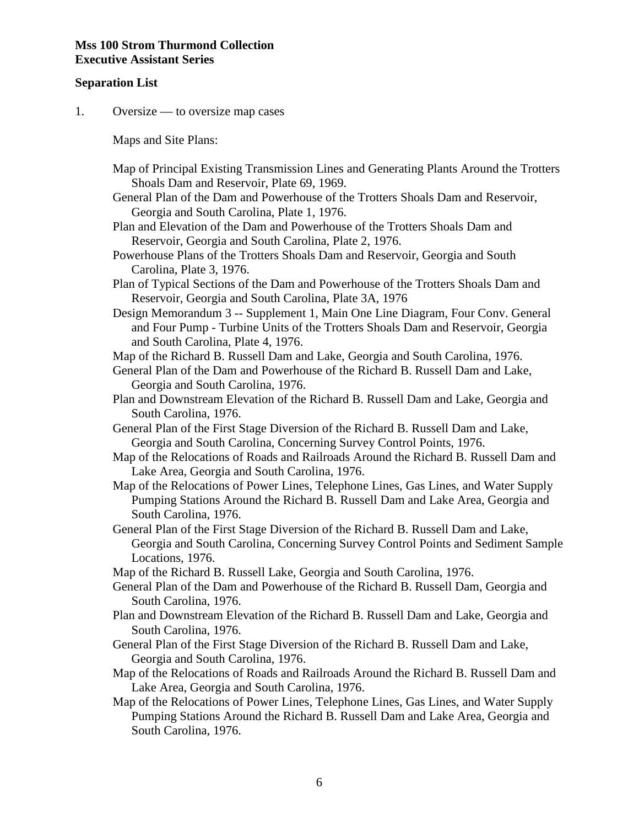#### **Separation List**

1. Oversize — to oversize map cases

Maps and Site Plans:

- Map of Principal Existing Transmission Lines and Generating Plants Around the Trotters Shoals Dam and Reservoir, Plate 69, 1969.
- General Plan of the Dam and Powerhouse of the Trotters Shoals Dam and Reservoir, Georgia and South Carolina, Plate 1, 1976.
- Plan and Elevation of the Dam and Powerhouse of the Trotters Shoals Dam and Reservoir, Georgia and South Carolina, Plate 2, 1976.
- Powerhouse Plans of the Trotters Shoals Dam and Reservoir, Georgia and South Carolina, Plate 3, 1976.
- Plan of Typical Sections of the Dam and Powerhouse of the Trotters Shoals Dam and Reservoir, Georgia and South Carolina, Plate 3A, 1976
- Design Memorandum 3 -- Supplement 1, Main One Line Diagram, Four Conv. General and Four Pump - Turbine Units of the Trotters Shoals Dam and Reservoir, Georgia and South Carolina, Plate 4, 1976.

Map of the Richard B. Russell Dam and Lake, Georgia and South Carolina, 1976.

 General Plan of the Dam and Powerhouse of the Richard B. Russell Dam and Lake, Georgia and South Carolina, 1976.

 Plan and Downstream Elevation of the Richard B. Russell Dam and Lake, Georgia and South Carolina, 1976.

 General Plan of the First Stage Diversion of the Richard B. Russell Dam and Lake, Georgia and South Carolina, Concerning Survey Control Points, 1976.

- Map of the Relocations of Roads and Railroads Around the Richard B. Russell Dam and Lake Area, Georgia and South Carolina, 1976.
- Map of the Relocations of Power Lines, Telephone Lines, Gas Lines, and Water Supply Pumping Stations Around the Richard B. Russell Dam and Lake Area, Georgia and South Carolina, 1976.
- General Plan of the First Stage Diversion of the Richard B. Russell Dam and Lake, Georgia and South Carolina, Concerning Survey Control Points and Sediment Sample Locations, 1976.
- Map of the Richard B. Russell Lake, Georgia and South Carolina, 1976.
- General Plan of the Dam and Powerhouse of the Richard B. Russell Dam, Georgia and South Carolina, 1976.
- Plan and Downstream Elevation of the Richard B. Russell Dam and Lake, Georgia and South Carolina, 1976.
- General Plan of the First Stage Diversion of the Richard B. Russell Dam and Lake, Georgia and South Carolina, 1976.
- Map of the Relocations of Roads and Railroads Around the Richard B. Russell Dam and Lake Area, Georgia and South Carolina, 1976.
- Map of the Relocations of Power Lines, Telephone Lines, Gas Lines, and Water Supply Pumping Stations Around the Richard B. Russell Dam and Lake Area, Georgia and South Carolina, 1976.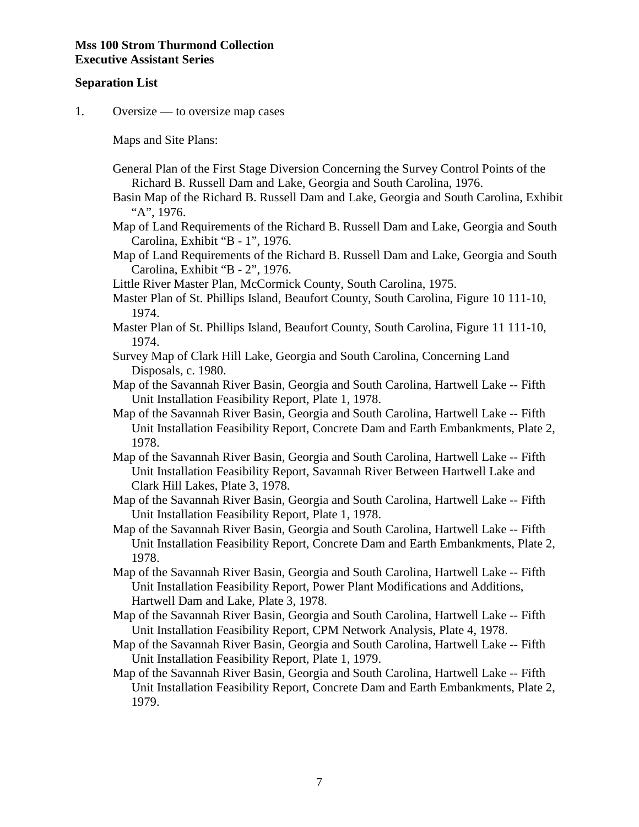#### **Separation List**

1. Oversize — to oversize map cases

Maps and Site Plans:

- General Plan of the First Stage Diversion Concerning the Survey Control Points of the Richard B. Russell Dam and Lake, Georgia and South Carolina, 1976.
- Basin Map of the Richard B. Russell Dam and Lake, Georgia and South Carolina, Exhibit "A", 1976.
- Map of Land Requirements of the Richard B. Russell Dam and Lake, Georgia and South Carolina, Exhibit "B - 1", 1976.
- Map of Land Requirements of the Richard B. Russell Dam and Lake, Georgia and South Carolina, Exhibit "B - 2", 1976.
- Little River Master Plan, McCormick County, South Carolina, 1975.
- Master Plan of St. Phillips Island, Beaufort County, South Carolina, Figure 10 111-10, 1974.
- Master Plan of St. Phillips Island, Beaufort County, South Carolina, Figure 11 111-10, 1974.
- Survey Map of Clark Hill Lake, Georgia and South Carolina, Concerning Land Disposals, c. 1980.
- Map of the Savannah River Basin, Georgia and South Carolina, Hartwell Lake -- Fifth Unit Installation Feasibility Report, Plate 1, 1978.
- Map of the Savannah River Basin, Georgia and South Carolina, Hartwell Lake -- Fifth Unit Installation Feasibility Report, Concrete Dam and Earth Embankments, Plate 2, 1978.
- Map of the Savannah River Basin, Georgia and South Carolina, Hartwell Lake -- Fifth Unit Installation Feasibility Report, Savannah River Between Hartwell Lake and Clark Hill Lakes, Plate 3, 1978.
- Map of the Savannah River Basin, Georgia and South Carolina, Hartwell Lake -- Fifth Unit Installation Feasibility Report, Plate 1, 1978.
- Map of the Savannah River Basin, Georgia and South Carolina, Hartwell Lake -- Fifth Unit Installation Feasibility Report, Concrete Dam and Earth Embankments, Plate 2, 1978.
- Map of the Savannah River Basin, Georgia and South Carolina, Hartwell Lake -- Fifth Unit Installation Feasibility Report, Power Plant Modifications and Additions, Hartwell Dam and Lake, Plate 3, 1978.
- Map of the Savannah River Basin, Georgia and South Carolina, Hartwell Lake -- Fifth Unit Installation Feasibility Report, CPM Network Analysis, Plate 4, 1978.
- Map of the Savannah River Basin, Georgia and South Carolina, Hartwell Lake -- Fifth Unit Installation Feasibility Report, Plate 1, 1979.
- Map of the Savannah River Basin, Georgia and South Carolina, Hartwell Lake -- Fifth Unit Installation Feasibility Report, Concrete Dam and Earth Embankments, Plate 2, 1979.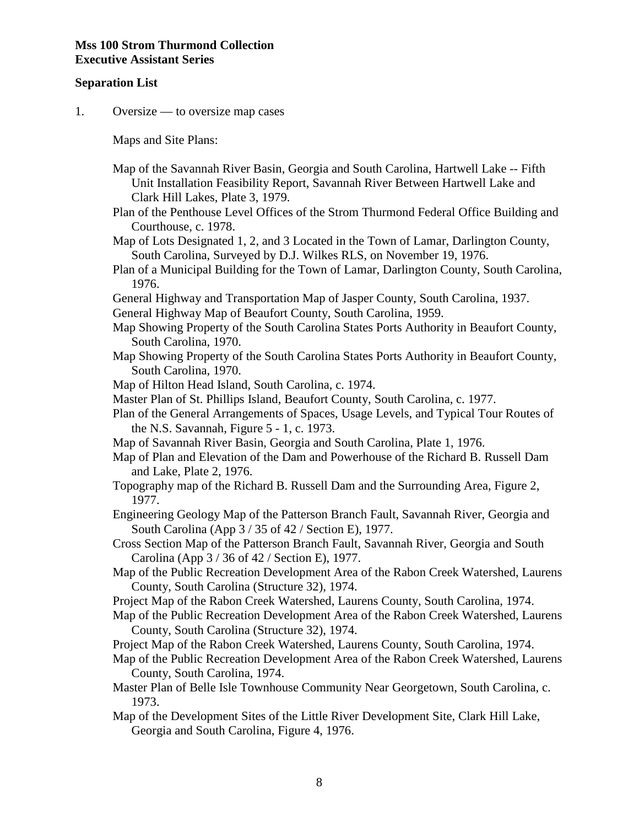#### **Separation List**

1. Oversize — to oversize map cases

Maps and Site Plans:

- Map of the Savannah River Basin, Georgia and South Carolina, Hartwell Lake -- Fifth Unit Installation Feasibility Report, Savannah River Between Hartwell Lake and Clark Hill Lakes, Plate 3, 1979.
- Plan of the Penthouse Level Offices of the Strom Thurmond Federal Office Building and Courthouse, c. 1978.
- Map of Lots Designated 1, 2, and 3 Located in the Town of Lamar, Darlington County, South Carolina, Surveyed by D.J. Wilkes RLS, on November 19, 1976.
- Plan of a Municipal Building for the Town of Lamar, Darlington County, South Carolina, 1976.
- General Highway and Transportation Map of Jasper County, South Carolina, 1937.
- General Highway Map of Beaufort County, South Carolina, 1959.
- Map Showing Property of the South Carolina States Ports Authority in Beaufort County, South Carolina, 1970.
- Map Showing Property of the South Carolina States Ports Authority in Beaufort County, South Carolina, 1970.
- Map of Hilton Head Island, South Carolina, c. 1974.
- Master Plan of St. Phillips Island, Beaufort County, South Carolina, c. 1977.
- Plan of the General Arrangements of Spaces, Usage Levels, and Typical Tour Routes of the N.S. Savannah, Figure 5 - 1, c. 1973.
- Map of Savannah River Basin, Georgia and South Carolina, Plate 1, 1976.
- Map of Plan and Elevation of the Dam and Powerhouse of the Richard B. Russell Dam and Lake, Plate 2, 1976.
- Topography map of the Richard B. Russell Dam and the Surrounding Area, Figure 2, 1977.
- Engineering Geology Map of the Patterson Branch Fault, Savannah River, Georgia and South Carolina (App 3 / 35 of 42 / Section E), 1977.
- Cross Section Map of the Patterson Branch Fault, Savannah River, Georgia and South Carolina (App 3 / 36 of 42 / Section E), 1977.
- Map of the Public Recreation Development Area of the Rabon Creek Watershed, Laurens County, South Carolina (Structure 32), 1974.
- Project Map of the Rabon Creek Watershed, Laurens County, South Carolina, 1974.
- Map of the Public Recreation Development Area of the Rabon Creek Watershed, Laurens County, South Carolina (Structure 32), 1974.
- Project Map of the Rabon Creek Watershed, Laurens County, South Carolina, 1974.
- Map of the Public Recreation Development Area of the Rabon Creek Watershed, Laurens County, South Carolina, 1974.
- Master Plan of Belle Isle Townhouse Community Near Georgetown, South Carolina, c. 1973.
- Map of the Development Sites of the Little River Development Site, Clark Hill Lake, Georgia and South Carolina, Figure 4, 1976.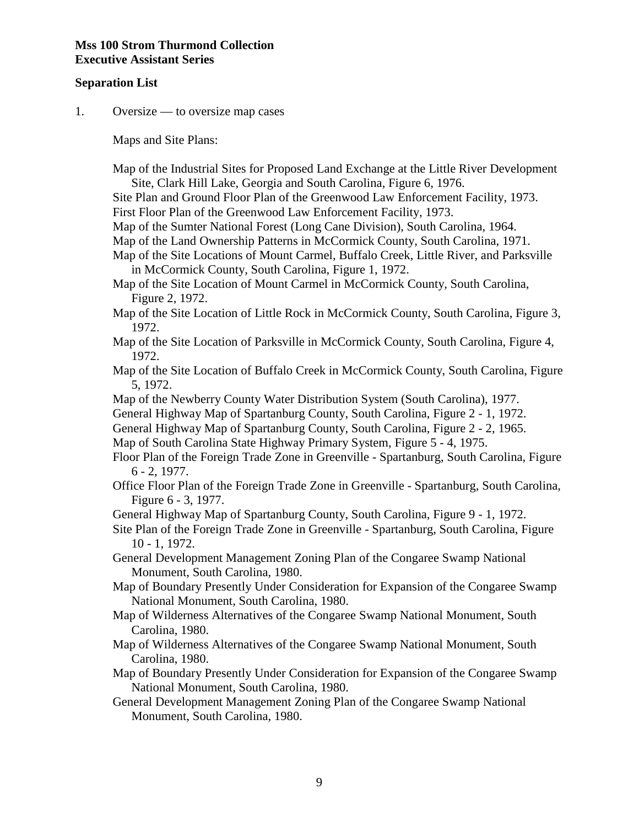#### **Separation List**

1. Oversize — to oversize map cases

Maps and Site Plans:

 Map of the Industrial Sites for Proposed Land Exchange at the Little River Development Site, Clark Hill Lake, Georgia and South Carolina, Figure 6, 1976.

 Site Plan and Ground Floor Plan of the Greenwood Law Enforcement Facility, 1973. First Floor Plan of the Greenwood Law Enforcement Facility, 1973.

Map of the Sumter National Forest (Long Cane Division), South Carolina, 1964.

Map of the Land Ownership Patterns in McCormick County, South Carolina, 1971.

 Map of the Site Locations of Mount Carmel, Buffalo Creek, Little River, and Parksville in McCormick County, South Carolina, Figure 1, 1972.

 Map of the Site Location of Mount Carmel in McCormick County, South Carolina, Figure 2, 1972.

- Map of the Site Location of Little Rock in McCormick County, South Carolina, Figure 3, 1972.
- Map of the Site Location of Parksville in McCormick County, South Carolina, Figure 4, 1972.
- Map of the Site Location of Buffalo Creek in McCormick County, South Carolina, Figure 5, 1972.

Map of the Newberry County Water Distribution System (South Carolina), 1977.

General Highway Map of Spartanburg County, South Carolina, Figure 2 - 1, 1972.

General Highway Map of Spartanburg County, South Carolina, Figure 2 - 2, 1965.

Map of South Carolina State Highway Primary System, Figure 5 - 4, 1975.

 Floor Plan of the Foreign Trade Zone in Greenville - Spartanburg, South Carolina, Figure 6 - 2, 1977.

 Office Floor Plan of the Foreign Trade Zone in Greenville - Spartanburg, South Carolina, Figure 6 - 3, 1977.

General Highway Map of Spartanburg County, South Carolina, Figure 9 - 1, 1972.

 Site Plan of the Foreign Trade Zone in Greenville - Spartanburg, South Carolina, Figure 10 - 1, 1972.

 General Development Management Zoning Plan of the Congaree Swamp National Monument, South Carolina, 1980.

 Map of Boundary Presently Under Consideration for Expansion of the Congaree Swamp National Monument, South Carolina, 1980.

 Map of Wilderness Alternatives of the Congaree Swamp National Monument, South Carolina, 1980.

 Map of Wilderness Alternatives of the Congaree Swamp National Monument, South Carolina, 1980.

 Map of Boundary Presently Under Consideration for Expansion of the Congaree Swamp National Monument, South Carolina, 1980.

 General Development Management Zoning Plan of the Congaree Swamp National Monument, South Carolina, 1980.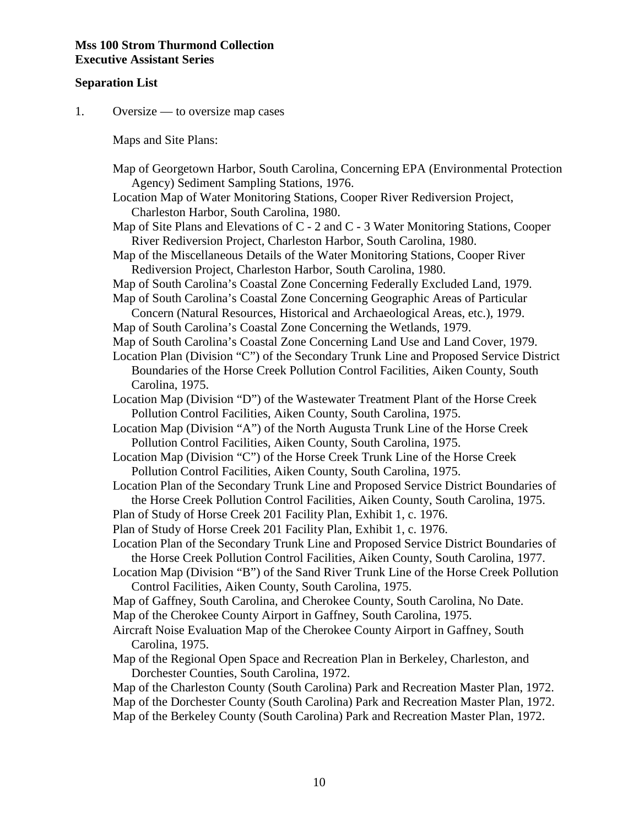#### **Separation List**

1. Oversize — to oversize map cases

Maps and Site Plans:

- Map of Georgetown Harbor, South Carolina, Concerning EPA (Environmental Protection Agency) Sediment Sampling Stations, 1976.
- Location Map of Water Monitoring Stations, Cooper River Rediversion Project, Charleston Harbor, South Carolina, 1980.
- Map of Site Plans and Elevations of C 2 and C 3 Water Monitoring Stations, Cooper River Rediversion Project, Charleston Harbor, South Carolina, 1980.
- Map of the Miscellaneous Details of the Water Monitoring Stations, Cooper River Rediversion Project, Charleston Harbor, South Carolina, 1980.
- Map of South Carolina's Coastal Zone Concerning Federally Excluded Land, 1979.
- Map of South Carolina's Coastal Zone Concerning Geographic Areas of Particular Concern (Natural Resources, Historical and Archaeological Areas, etc.), 1979.
- Map of South Carolina's Coastal Zone Concerning the Wetlands, 1979.
- Map of South Carolina's Coastal Zone Concerning Land Use and Land Cover, 1979.
- Location Plan (Division "C") of the Secondary Trunk Line and Proposed Service District Boundaries of the Horse Creek Pollution Control Facilities, Aiken County, South Carolina, 1975.
- Location Map (Division "D") of the Wastewater Treatment Plant of the Horse Creek Pollution Control Facilities, Aiken County, South Carolina, 1975.
- Location Map (Division "A") of the North Augusta Trunk Line of the Horse Creek Pollution Control Facilities, Aiken County, South Carolina, 1975.
- Location Map (Division "C") of the Horse Creek Trunk Line of the Horse Creek Pollution Control Facilities, Aiken County, South Carolina, 1975.
- Location Plan of the Secondary Trunk Line and Proposed Service District Boundaries of the Horse Creek Pollution Control Facilities, Aiken County, South Carolina, 1975.
- Plan of Study of Horse Creek 201 Facility Plan, Exhibit 1, c. 1976.
- Plan of Study of Horse Creek 201 Facility Plan, Exhibit 1, c. 1976.
- Location Plan of the Secondary Trunk Line and Proposed Service District Boundaries of the Horse Creek Pollution Control Facilities, Aiken County, South Carolina, 1977.
- Location Map (Division "B") of the Sand River Trunk Line of the Horse Creek Pollution Control Facilities, Aiken County, South Carolina, 1975.
- Map of Gaffney, South Carolina, and Cherokee County, South Carolina, No Date.
- Map of the Cherokee County Airport in Gaffney, South Carolina, 1975.
- Aircraft Noise Evaluation Map of the Cherokee County Airport in Gaffney, South Carolina, 1975.
- Map of the Regional Open Space and Recreation Plan in Berkeley, Charleston, and Dorchester Counties, South Carolina, 1972.
- Map of the Charleston County (South Carolina) Park and Recreation Master Plan, 1972. Map of the Dorchester County (South Carolina) Park and Recreation Master Plan, 1972. Map of the Berkeley County (South Carolina) Park and Recreation Master Plan, 1972.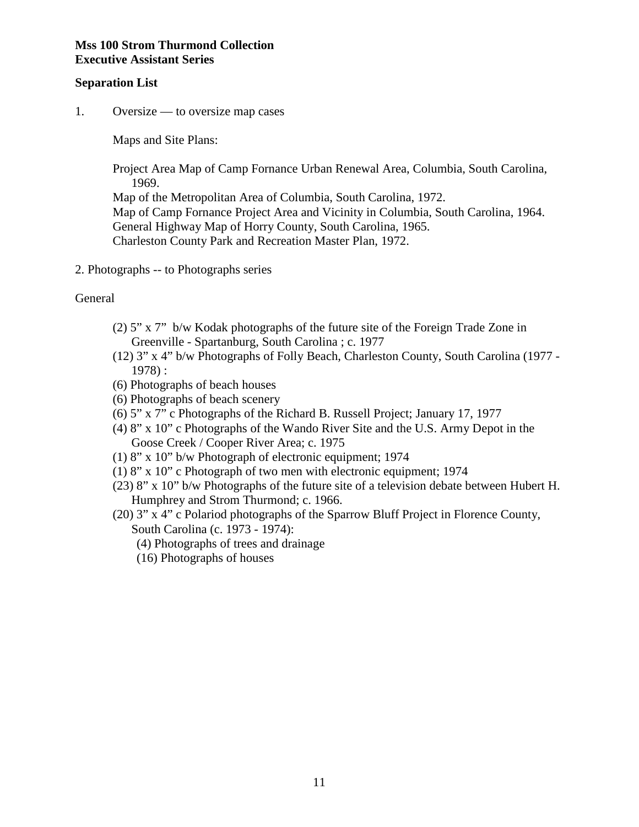#### **Separation List**

1. Oversize — to oversize map cases

Maps and Site Plans:

 Project Area Map of Camp Fornance Urban Renewal Area, Columbia, South Carolina, 1969.

 Map of the Metropolitan Area of Columbia, South Carolina, 1972. Map of Camp Fornance Project Area and Vicinity in Columbia, South Carolina, 1964. General Highway Map of Horry County, South Carolina, 1965. Charleston County Park and Recreation Master Plan, 1972.

2. Photographs -- to Photographs series

#### General

- (2) 5" x 7" b/w Kodak photographs of the future site of the Foreign Trade Zone in Greenville - Spartanburg, South Carolina ; c. 1977
- (12) 3" x 4" b/w Photographs of Folly Beach, Charleston County, South Carolina (1977 1978) :
- (6) Photographs of beach houses
- (6) Photographs of beach scenery
- (6) 5" x 7" c Photographs of the Richard B. Russell Project; January 17, 1977
- (4) 8" x 10" c Photographs of the Wando River Site and the U.S. Army Depot in the Goose Creek / Cooper River Area; c. 1975
- (1) 8" x 10" b/w Photograph of electronic equipment; 1974
- (1) 8" x 10" c Photograph of two men with electronic equipment; 1974
- (23) 8" x 10" b/w Photographs of the future site of a television debate between Hubert H. Humphrey and Strom Thurmond; c. 1966.
- (20) 3" x 4" c Polariod photographs of the Sparrow Bluff Project in Florence County, South Carolina (c. 1973 - 1974):
	- (4) Photographs of trees and drainage
	- (16) Photographs of houses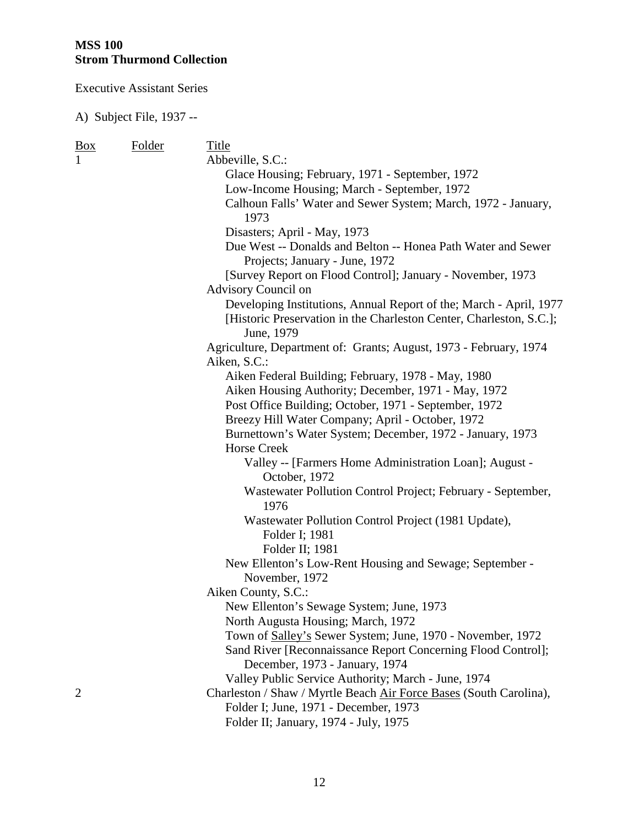Executive Assistant Series

| <u>Box</u>     | Folder | Title                                                                             |
|----------------|--------|-----------------------------------------------------------------------------------|
| 1              |        | Abbeville, S.C.:                                                                  |
|                |        | Glace Housing; February, 1971 - September, 1972                                   |
|                |        | Low-Income Housing; March - September, 1972                                       |
|                |        | Calhoun Falls' Water and Sewer System; March, 1972 - January,                     |
|                |        | 1973                                                                              |
|                |        | Disasters; April - May, 1973                                                      |
|                |        | Due West -- Donalds and Belton -- Honea Path Water and Sewer                      |
|                |        | Projects; January - June, 1972                                                    |
|                |        | [Survey Report on Flood Control]; January - November, 1973                        |
|                |        | Advisory Council on                                                               |
|                |        | Developing Institutions, Annual Report of the; March - April, 1977                |
|                |        | [Historic Preservation in the Charleston Center, Charleston, S.C.];<br>June, 1979 |
|                |        | Agriculture, Department of: Grants; August, 1973 - February, 1974                 |
|                |        | Aiken, S.C.:                                                                      |
|                |        | Aiken Federal Building; February, 1978 - May, 1980                                |
|                |        | Aiken Housing Authority; December, 1971 - May, 1972                               |
|                |        | Post Office Building; October, 1971 - September, 1972                             |
|                |        | Breezy Hill Water Company; April - October, 1972                                  |
|                |        | Burnettown's Water System; December, 1972 - January, 1973                         |
|                |        | <b>Horse Creek</b>                                                                |
|                |        | Valley -- [Farmers Home Administration Loan]; August -<br>October, 1972           |
|                |        | Wastewater Pollution Control Project; February - September,<br>1976               |
|                |        | Wastewater Pollution Control Project (1981 Update),                               |
|                |        | Folder I; 1981                                                                    |
|                |        | Folder II; 1981                                                                   |
|                |        | New Ellenton's Low-Rent Housing and Sewage; September -<br>November, 1972         |
|                |        | Aiken County, S.C.:                                                               |
|                |        | New Ellenton's Sewage System; June, 1973                                          |
|                |        | North Augusta Housing; March, 1972                                                |
|                |        | Town of Salley's Sewer System; June, 1970 - November, 1972                        |
|                |        | Sand River [Reconnaissance Report Concerning Flood Control];                      |
|                |        | December, 1973 - January, 1974                                                    |
|                |        | Valley Public Service Authority; March - June, 1974                               |
| $\overline{2}$ |        | Charleston / Shaw / Myrtle Beach Air Force Bases (South Carolina),                |
|                |        | Folder I; June, 1971 - December, 1973                                             |
|                |        | Folder II; January, 1974 - July, 1975                                             |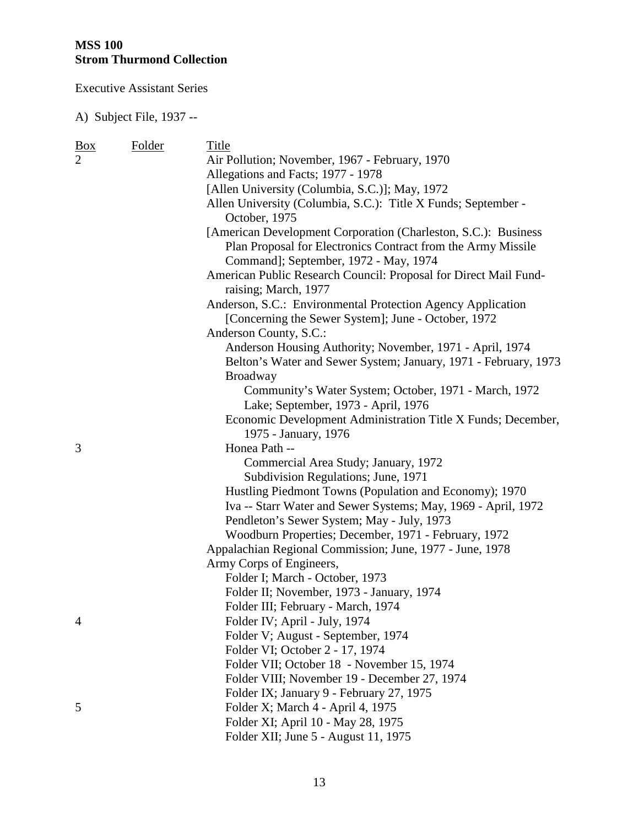Executive Assistant Series

| <u>Box</u>     | Folder | Title                                                                                                 |
|----------------|--------|-------------------------------------------------------------------------------------------------------|
| $\overline{2}$ |        | Air Pollution; November, 1967 - February, 1970                                                        |
|                |        | Allegations and Facts; 1977 - 1978                                                                    |
|                |        | [Allen University (Columbia, S.C.)]; May, 1972                                                        |
|                |        | Allen University (Columbia, S.C.): Title X Funds; September -<br>October, 1975                        |
|                |        | [American Development Corporation (Charleston, S.C.): Business                                        |
|                |        | Plan Proposal for Electronics Contract from the Army Missile<br>Command]; September, 1972 - May, 1974 |
|                |        | American Public Research Council: Proposal for Direct Mail Fund-<br>raising; March, 1977              |
|                |        | Anderson, S.C.: Environmental Protection Agency Application                                           |
|                |        | [Concerning the Sewer System]; June - October, 1972                                                   |
|                |        | Anderson County, S.C.:                                                                                |
|                |        | Anderson Housing Authority; November, 1971 - April, 1974                                              |
|                |        | Belton's Water and Sewer System; January, 1971 - February, 1973                                       |
|                |        | <b>Broadway</b>                                                                                       |
|                |        | Community's Water System; October, 1971 - March, 1972                                                 |
|                |        | Lake; September, 1973 - April, 1976                                                                   |
|                |        | Economic Development Administration Title X Funds; December,                                          |
|                |        | 1975 - January, 1976                                                                                  |
| 3              |        | Honea Path --                                                                                         |
|                |        | Commercial Area Study; January, 1972                                                                  |
|                |        | Subdivision Regulations; June, 1971                                                                   |
|                |        | Hustling Piedmont Towns (Population and Economy); 1970                                                |
|                |        | Iva -- Starr Water and Sewer Systems; May, 1969 - April, 1972                                         |
|                |        | Pendleton's Sewer System; May - July, 1973                                                            |
|                |        | Woodburn Properties; December, 1971 - February, 1972                                                  |
|                |        | Appalachian Regional Commission; June, 1977 - June, 1978                                              |
|                |        | Army Corps of Engineers,                                                                              |
|                |        | Folder I; March - October, 1973                                                                       |
|                |        | Folder II; November, 1973 - January, 1974                                                             |
|                |        | Folder III; February - March, 1974                                                                    |
| 4              |        | Folder IV; April - July, 1974                                                                         |
|                |        | Folder V; August - September, 1974                                                                    |
|                |        | Folder VI; October 2 - 17, 1974                                                                       |
|                |        | Folder VII; October 18 - November 15, 1974                                                            |
|                |        | Folder VIII; November 19 - December 27, 1974                                                          |
|                |        | Folder IX; January 9 - February 27, 1975                                                              |
| 5              |        | Folder X; March 4 - April 4, 1975                                                                     |
|                |        | Folder XI; April 10 - May 28, 1975                                                                    |
|                |        | Folder XII; June 5 - August 11, 1975                                                                  |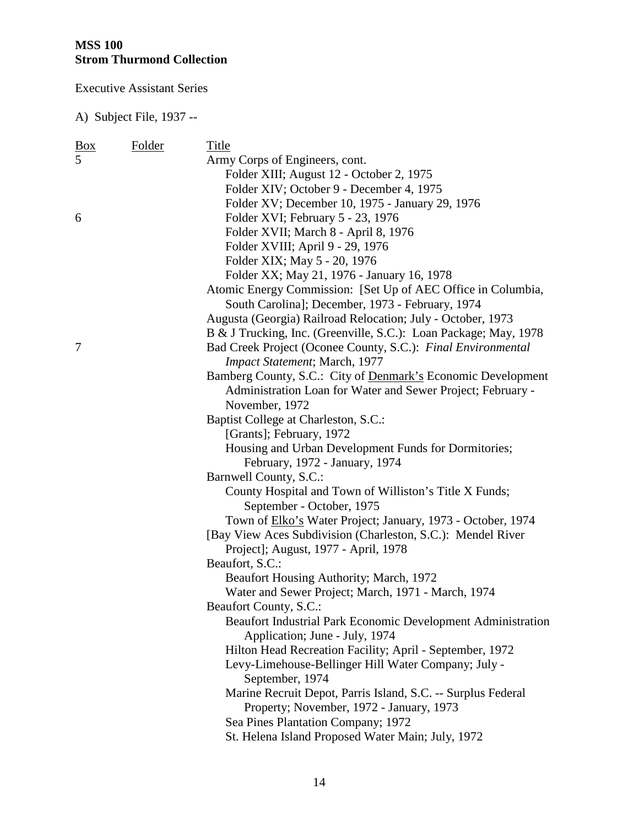Executive Assistant Series

| <u>Box</u>     | Folder | Title                                                              |
|----------------|--------|--------------------------------------------------------------------|
| $\overline{5}$ |        | Army Corps of Engineers, cont.                                     |
|                |        | Folder XIII; August 12 - October 2, 1975                           |
|                |        | Folder XIV; October 9 - December 4, 1975                           |
|                |        | Folder XV; December 10, 1975 - January 29, 1976                    |
| 6              |        | Folder XVI; February 5 - 23, 1976                                  |
|                |        | Folder XVII; March 8 - April 8, 1976                               |
|                |        | Folder XVIII; April 9 - 29, 1976                                   |
|                |        | Folder XIX; May 5 - 20, 1976                                       |
|                |        | Folder XX; May 21, 1976 - January 16, 1978                         |
|                |        | Atomic Energy Commission: [Set Up of AEC Office in Columbia,       |
|                |        | South Carolina]; December, 1973 - February, 1974                   |
|                |        | Augusta (Georgia) Railroad Relocation; July - October, 1973        |
|                |        | B & J Trucking, Inc. (Greenville, S.C.): Loan Package; May, 1978   |
| 7              |        | Bad Creek Project (Oconee County, S.C.): Final Environmental       |
|                |        | Impact Statement; March, 1977                                      |
|                |        | Bamberg County, S.C.: City of Denmark's Economic Development       |
|                |        | Administration Loan for Water and Sewer Project; February -        |
|                |        | November, 1972                                                     |
|                |        | Baptist College at Charleston, S.C.:                               |
|                |        | [Grants]; February, 1972                                           |
|                |        | Housing and Urban Development Funds for Dormitories;               |
|                |        | February, 1972 - January, 1974                                     |
|                |        | Barnwell County, S.C.:                                             |
|                |        | County Hospital and Town of Williston's Title X Funds;             |
|                |        | September - October, 1975                                          |
|                |        | Town of <b>Elko's</b> Water Project; January, 1973 - October, 1974 |
|                |        | [Bay View Aces Subdivision (Charleston, S.C.): Mendel River        |
|                |        | Project]; August, 1977 - April, 1978                               |
|                |        | Beaufort, S.C.:                                                    |
|                |        | Beaufort Housing Authority; March, 1972                            |
|                |        | Water and Sewer Project; March, 1971 - March, 1974                 |
|                |        | Beaufort County, S.C.:                                             |
|                |        | Beaufort Industrial Park Economic Development Administration       |
|                |        | Application; June - July, 1974                                     |
|                |        | Hilton Head Recreation Facility; April - September, 1972           |
|                |        | Levy-Limehouse-Bellinger Hill Water Company; July -                |
|                |        | September, 1974                                                    |
|                |        | Marine Recruit Depot, Parris Island, S.C. -- Surplus Federal       |
|                |        | Property; November, 1972 - January, 1973                           |
|                |        | Sea Pines Plantation Company; 1972                                 |
|                |        | St. Helena Island Proposed Water Main; July, 1972                  |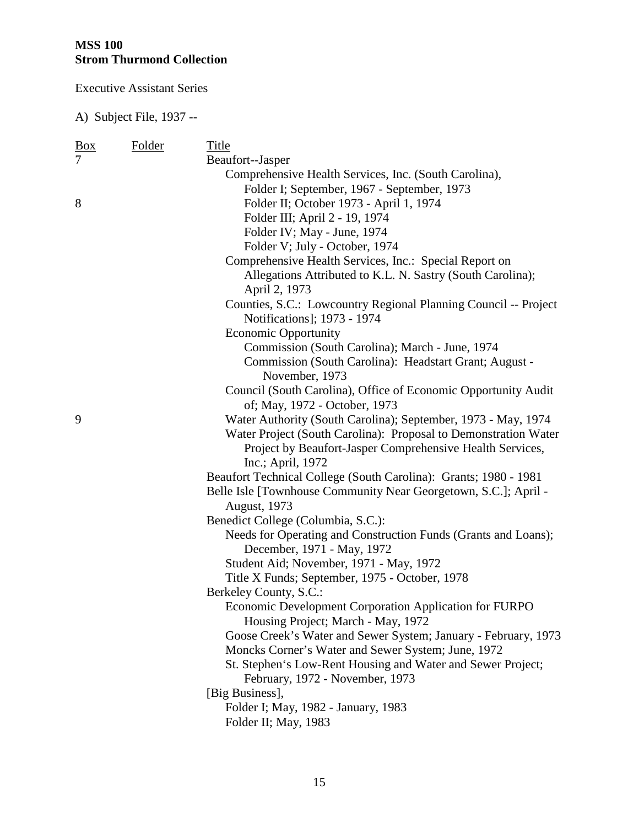Executive Assistant Series

| <u>Box</u>     | Folder | Title                                                            |
|----------------|--------|------------------------------------------------------------------|
| $\overline{7}$ |        | Beaufort--Jasper                                                 |
|                |        | Comprehensive Health Services, Inc. (South Carolina),            |
|                |        | Folder I; September, 1967 - September, 1973                      |
| 8              |        | Folder II; October 1973 - April 1, 1974                          |
|                |        | Folder III; April 2 - 19, 1974                                   |
|                |        | Folder IV; May - June, 1974                                      |
|                |        | Folder V; July - October, 1974                                   |
|                |        | Comprehensive Health Services, Inc.: Special Report on           |
|                |        | Allegations Attributed to K.L. N. Sastry (South Carolina);       |
|                |        | April 2, 1973                                                    |
|                |        | Counties, S.C.: Lowcountry Regional Planning Council -- Project  |
|                |        | Notifications]; 1973 - 1974                                      |
|                |        | <b>Economic Opportunity</b>                                      |
|                |        | Commission (South Carolina); March - June, 1974                  |
|                |        | Commission (South Carolina): Headstart Grant; August -           |
|                |        | November, 1973                                                   |
|                |        | Council (South Carolina), Office of Economic Opportunity Audit   |
|                |        | of; May, 1972 - October, 1973                                    |
| 9              |        | Water Authority (South Carolina); September, 1973 - May, 1974    |
|                |        | Water Project (South Carolina): Proposal to Demonstration Water  |
|                |        | Project by Beaufort-Jasper Comprehensive Health Services,        |
|                |        | Inc.; April, 1972                                                |
|                |        | Beaufort Technical College (South Carolina): Grants; 1980 - 1981 |
|                |        | Belle Isle [Townhouse Community Near Georgetown, S.C.]; April -  |
|                |        | <b>August</b> , 1973                                             |
|                |        | Benedict College (Columbia, S.C.):                               |
|                |        | Needs for Operating and Construction Funds (Grants and Loans);   |
|                |        | December, 1971 - May, 1972                                       |
|                |        | Student Aid; November, 1971 - May, 1972                          |
|                |        | Title X Funds; September, 1975 - October, 1978                   |
|                |        | Berkeley County, S.C.:                                           |
|                |        | Economic Development Corporation Application for FURPO           |
|                |        | Housing Project; March - May, 1972                               |
|                |        | Goose Creek's Water and Sewer System; January - February, 1973   |
|                |        | Moncks Corner's Water and Sewer System; June, 1972               |
|                |        | St. Stephen's Low-Rent Housing and Water and Sewer Project;      |
|                |        | February, 1972 - November, 1973                                  |
|                |        | [Big Business],                                                  |
|                |        | Folder I; May, 1982 - January, 1983                              |
|                |        | Folder II; May, 1983                                             |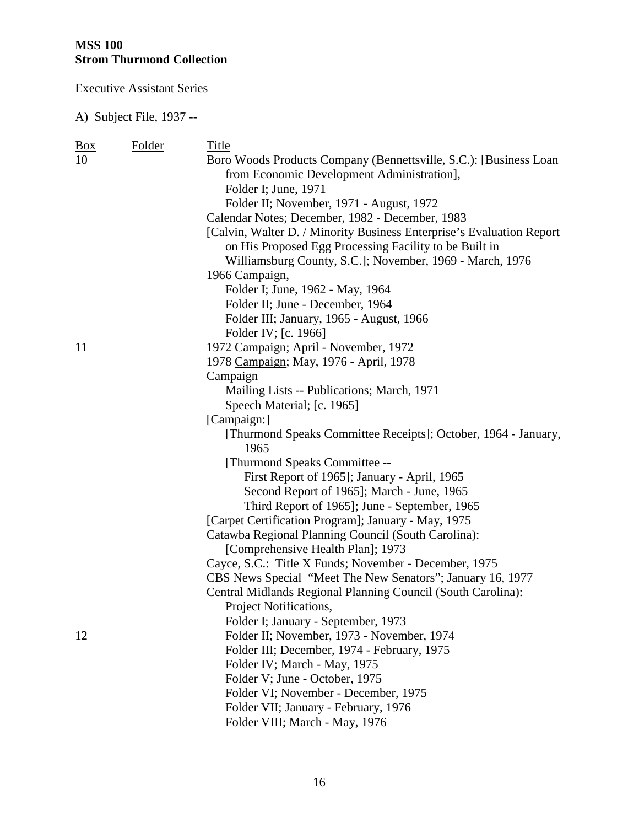Executive Assistant Series

| $\frac{Box}{}$ | Folder | Title                                                                 |
|----------------|--------|-----------------------------------------------------------------------|
| 10             |        | Boro Woods Products Company (Bennettsville, S.C.): [Business Loan     |
|                |        | from Economic Development Administration],                            |
|                |        | Folder I; June, 1971                                                  |
|                |        | Folder II; November, 1971 - August, 1972                              |
|                |        | Calendar Notes; December, 1982 - December, 1983                       |
|                |        | [Calvin, Walter D. / Minority Business Enterprise's Evaluation Report |
|                |        | on His Proposed Egg Processing Facility to be Built in                |
|                |        | Williamsburg County, S.C.]; November, 1969 - March, 1976              |
|                |        | 1966 Campaign,                                                        |
|                |        | Folder I; June, 1962 - May, 1964                                      |
|                |        | Folder II; June - December, 1964                                      |
|                |        | Folder III; January, 1965 - August, 1966                              |
|                |        | Folder IV; [c. 1966]                                                  |
| 11             |        | 1972 Campaign; April - November, 1972                                 |
|                |        | 1978 Campaign; May, 1976 - April, 1978                                |
|                |        | Campaign                                                              |
|                |        | Mailing Lists -- Publications; March, 1971                            |
|                |        | Speech Material; [c. 1965]                                            |
|                |        | [Campaign:]                                                           |
|                |        | [Thurmond Speaks Committee Receipts]; October, 1964 - January,        |
|                |        | 1965                                                                  |
|                |        | [Thurmond Speaks Committee --                                         |
|                |        | First Report of 1965]; January - April, 1965                          |
|                |        | Second Report of 1965]; March - June, 1965                            |
|                |        | Third Report of 1965]; June - September, 1965                         |
|                |        | [Carpet Certification Program]; January - May, 1975                   |
|                |        | Catawba Regional Planning Council (South Carolina):                   |
|                |        | [Comprehensive Health Plan]; 1973                                     |
|                |        | Cayce, S.C.: Title X Funds; November - December, 1975                 |
|                |        | CBS News Special "Meet The New Senators"; January 16, 1977            |
|                |        | Central Midlands Regional Planning Council (South Carolina):          |
|                |        | Project Notifications,                                                |
|                |        | Folder I; January - September, 1973                                   |
| 12             |        | Folder II; November, 1973 - November, 1974                            |
|                |        | Folder III; December, 1974 - February, 1975                           |
|                |        | Folder IV; March - May, 1975                                          |
|                |        | Folder V; June - October, 1975                                        |
|                |        | Folder VI; November - December, 1975                                  |
|                |        | Folder VII; January - February, 1976                                  |
|                |        | Folder VIII; March - May, 1976                                        |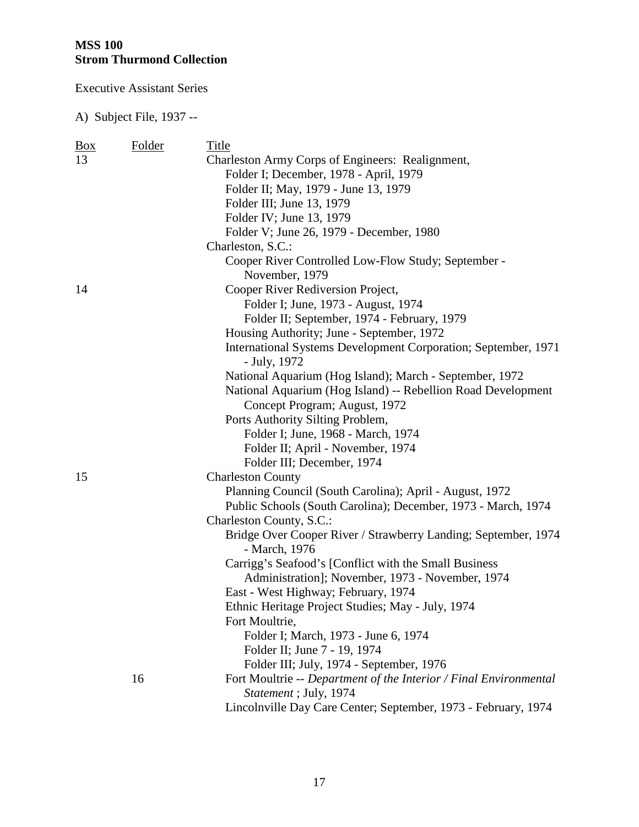Executive Assistant Series

| <b>Box</b> | Folder | Title                                                             |
|------------|--------|-------------------------------------------------------------------|
| 13         |        | Charleston Army Corps of Engineers: Realignment,                  |
|            |        | Folder I; December, 1978 - April, 1979                            |
|            |        | Folder II; May, 1979 - June 13, 1979                              |
|            |        | Folder III; June 13, 1979                                         |
|            |        | Folder IV; June 13, 1979                                          |
|            |        | Folder V; June 26, 1979 - December, 1980                          |
|            |        | Charleston, S.C.:                                                 |
|            |        | Cooper River Controlled Low-Flow Study; September -               |
|            |        | November, 1979                                                    |
| 14         |        | Cooper River Rediversion Project,                                 |
|            |        | Folder I; June, 1973 - August, 1974                               |
|            |        | Folder II; September, 1974 - February, 1979                       |
|            |        | Housing Authority; June - September, 1972                         |
|            |        | International Systems Development Corporation; September, 1971    |
|            |        | - July, 1972                                                      |
|            |        | National Aquarium (Hog Island); March - September, 1972           |
|            |        | National Aquarium (Hog Island) -- Rebellion Road Development      |
|            |        | Concept Program; August, 1972                                     |
|            |        | Ports Authority Silting Problem,                                  |
|            |        | Folder I; June, 1968 - March, 1974                                |
|            |        | Folder II; April - November, 1974                                 |
|            |        | Folder III; December, 1974                                        |
| 15         |        | <b>Charleston County</b>                                          |
|            |        | Planning Council (South Carolina); April - August, 1972           |
|            |        | Public Schools (South Carolina); December, 1973 - March, 1974     |
|            |        | Charleston County, S.C.:                                          |
|            |        | Bridge Over Cooper River / Strawberry Landing; September, 1974    |
|            |        | - March, 1976                                                     |
|            |        | Carrigg's Seafood's [Conflict with the Small Business             |
|            |        | Administration]; November, 1973 - November, 1974                  |
|            |        | East - West Highway; February, 1974                               |
|            |        | Ethnic Heritage Project Studies; May - July, 1974                 |
|            |        | Fort Moultrie,                                                    |
|            |        | Folder I; March, 1973 - June 6, 1974                              |
|            |        | Folder II; June 7 - 19, 1974                                      |
|            |        | Folder III; July, 1974 - September, 1976                          |
|            | 16     | Fort Moultrie -- Department of the Interior / Final Environmental |
|            |        | Statement; July, 1974                                             |
|            |        | Lincolnville Day Care Center; September, 1973 - February, 1974    |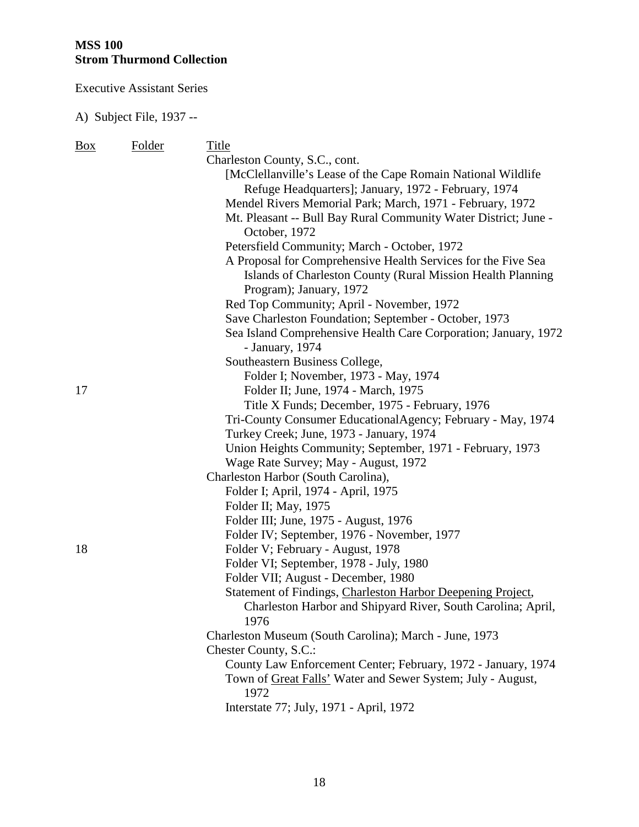Executive Assistant Series

| <b>Box</b> | Folder | Title                                                           |
|------------|--------|-----------------------------------------------------------------|
|            |        | Charleston County, S.C., cont.                                  |
|            |        | [McClellanville's Lease of the Cape Romain National Wildlife    |
|            |        | Refuge Headquarters]; January, 1972 - February, 1974            |
|            |        | Mendel Rivers Memorial Park; March, 1971 - February, 1972       |
|            |        | Mt. Pleasant -- Bull Bay Rural Community Water District; June - |
|            |        | October, 1972                                                   |
|            |        | Petersfield Community; March - October, 1972                    |
|            |        | A Proposal for Comprehensive Health Services for the Five Sea   |
|            |        | Islands of Charleston County (Rural Mission Health Planning     |
|            |        | Program); January, 1972                                         |
|            |        | Red Top Community; April - November, 1972                       |
|            |        | Save Charleston Foundation; September - October, 1973           |
|            |        | Sea Island Comprehensive Health Care Corporation; January, 1972 |
|            |        | - January, 1974                                                 |
|            |        | Southeastern Business College,                                  |
|            |        | Folder I; November, 1973 - May, 1974                            |
| 17         |        | Folder II; June, 1974 - March, 1975                             |
|            |        | Title X Funds; December, 1975 - February, 1976                  |
|            |        | Tri-County Consumer EducationalAgency; February - May, 1974     |
|            |        | Turkey Creek; June, 1973 - January, 1974                        |
|            |        | Union Heights Community; September, 1971 - February, 1973       |
|            |        | Wage Rate Survey; May - August, 1972                            |
|            |        | Charleston Harbor (South Carolina),                             |
|            |        | Folder I; April, 1974 - April, 1975                             |
|            |        | Folder II; May, 1975                                            |
|            |        | Folder III; June, 1975 - August, 1976                           |
|            |        | Folder IV; September, 1976 - November, 1977                     |
| 18         |        | Folder V; February - August, 1978                               |
|            |        | Folder VI; September, 1978 - July, 1980                         |
|            |        | Folder VII; August - December, 1980                             |
|            |        | Statement of Findings, Charleston Harbor Deepening Project,     |
|            |        | Charleston Harbor and Shipyard River, South Carolina; April,    |
|            |        | 1976                                                            |
|            |        | Charleston Museum (South Carolina); March - June, 1973          |
|            |        | Chester County, S.C.:                                           |
|            |        | County Law Enforcement Center; February, 1972 - January, 1974   |
|            |        | Town of Great Falls' Water and Sewer System; July - August,     |
|            |        | 1972                                                            |
|            |        | Interstate 77; July, 1971 - April, 1972                         |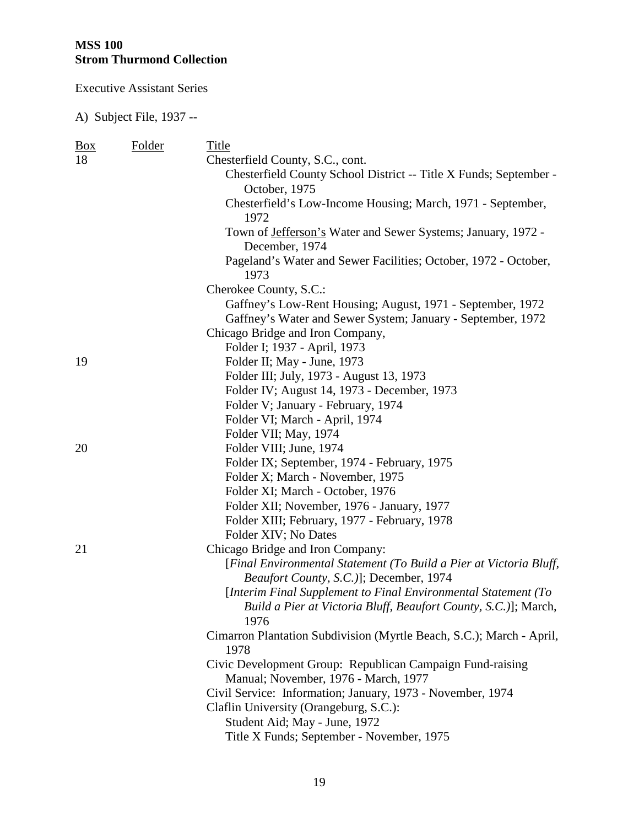Executive Assistant Series

| $\frac{Box}{}$ | Folder | Title                                                                        |
|----------------|--------|------------------------------------------------------------------------------|
| 18             |        | Chesterfield County, S.C., cont.                                             |
|                |        | Chesterfield County School District -- Title X Funds; September -            |
|                |        | October, 1975                                                                |
|                |        | Chesterfield's Low-Income Housing; March, 1971 - September,                  |
|                |        | 1972                                                                         |
|                |        | Town of Jefferson's Water and Sewer Systems; January, 1972 -                 |
|                |        | December, 1974                                                               |
|                |        | Pageland's Water and Sewer Facilities; October, 1972 - October,<br>1973      |
|                |        | Cherokee County, S.C.:                                                       |
|                |        | Gaffney's Low-Rent Housing; August, 1971 - September, 1972                   |
|                |        | Gaffney's Water and Sewer System; January - September, 1972                  |
|                |        | Chicago Bridge and Iron Company,                                             |
|                |        | Folder I; 1937 - April, 1973                                                 |
| 19             |        | Folder II; May - June, 1973                                                  |
|                |        | Folder III; July, 1973 - August 13, 1973                                     |
|                |        | Folder IV; August 14, 1973 - December, 1973                                  |
|                |        | Folder V; January - February, 1974                                           |
|                |        | Folder VI; March - April, 1974                                               |
|                |        | Folder VII; May, 1974                                                        |
| 20             |        | Folder VIII; June, 1974                                                      |
|                |        | Folder IX; September, 1974 - February, 1975                                  |
|                |        | Folder X; March - November, 1975                                             |
|                |        | Folder XI; March - October, 1976                                             |
|                |        | Folder XII; November, 1976 - January, 1977                                   |
|                |        | Folder XIII; February, 1977 - February, 1978                                 |
|                |        | Folder XIV; No Dates                                                         |
| 21             |        | Chicago Bridge and Iron Company:                                             |
|                |        | [Final Environmental Statement (To Build a Pier at Victoria Bluff,           |
|                |        | Beaufort County, S.C.)]; December, 1974                                      |
|                |        | [Interim Final Supplement to Final Environmental Statement (To               |
|                |        | Build a Pier at Victoria Bluff, Beaufort County, S.C.)]; March,              |
|                |        | 1976                                                                         |
|                |        | Cimarron Plantation Subdivision (Myrtle Beach, S.C.); March - April,<br>1978 |
|                |        | Civic Development Group: Republican Campaign Fund-raising                    |
|                |        | Manual; November, 1976 - March, 1977                                         |
|                |        | Civil Service: Information; January, 1973 - November, 1974                   |
|                |        | Claflin University (Orangeburg, S.C.):                                       |
|                |        | Student Aid; May - June, 1972                                                |
|                |        | Title X Funds; September - November, 1975                                    |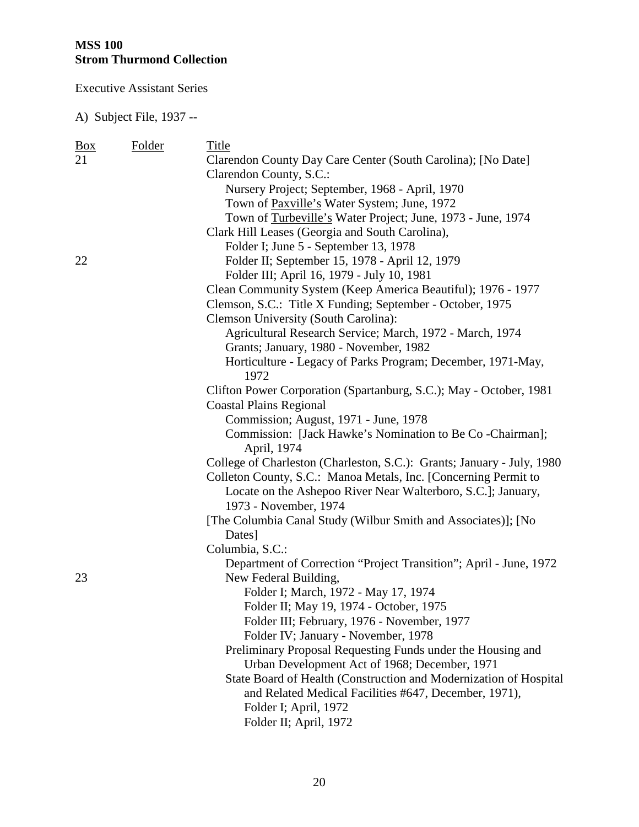Executive Assistant Series

| $\frac{Box}{angle}$ | Folder | Title                                                                  |
|---------------------|--------|------------------------------------------------------------------------|
| 21                  |        | Clarendon County Day Care Center (South Carolina); [No Date]           |
|                     |        | Clarendon County, S.C.:                                                |
|                     |        | Nursery Project; September, 1968 - April, 1970                         |
|                     |        | Town of Paxville's Water System; June, 1972                            |
|                     |        | Town of Turbeville's Water Project; June, 1973 - June, 1974            |
|                     |        | Clark Hill Leases (Georgia and South Carolina),                        |
|                     |        | Folder I; June 5 - September 13, 1978                                  |
| 22                  |        | Folder II; September 15, 1978 - April 12, 1979                         |
|                     |        | Folder III; April 16, 1979 - July 10, 1981                             |
|                     |        | Clean Community System (Keep America Beautiful); 1976 - 1977           |
|                     |        | Clemson, S.C.: Title X Funding; September - October, 1975              |
|                     |        | <b>Clemson University (South Carolina):</b>                            |
|                     |        | Agricultural Research Service; March, 1972 - March, 1974               |
|                     |        | Grants; January, 1980 - November, 1982                                 |
|                     |        | Horticulture - Legacy of Parks Program; December, 1971-May,            |
|                     |        | 1972                                                                   |
|                     |        | Clifton Power Corporation (Spartanburg, S.C.); May - October, 1981     |
|                     |        | <b>Coastal Plains Regional</b>                                         |
|                     |        | Commission; August, 1971 - June, 1978                                  |
|                     |        | Commission: [Jack Hawke's Nomination to Be Co - Chairman];             |
|                     |        | April, 1974                                                            |
|                     |        | College of Charleston (Charleston, S.C.): Grants; January - July, 1980 |
|                     |        | Colleton County, S.C.: Manoa Metals, Inc. [Concerning Permit to        |
|                     |        | Locate on the Ashepoo River Near Walterboro, S.C.]; January,           |
|                     |        | 1973 - November, 1974                                                  |
|                     |        | [The Columbia Canal Study (Wilbur Smith and Associates)]; [No          |
|                     |        | Dates]                                                                 |
|                     |        | Columbia, S.C.:                                                        |
|                     |        | Department of Correction "Project Transition"; April - June, 1972      |
| 23                  |        | New Federal Building,                                                  |
|                     |        | Folder I; March, 1972 - May 17, 1974                                   |
|                     |        | Folder II; May 19, 1974 - October, 1975                                |
|                     |        | Folder III; February, 1976 - November, 1977                            |
|                     |        | Folder IV; January - November, 1978                                    |
|                     |        | Preliminary Proposal Requesting Funds under the Housing and            |
|                     |        | Urban Development Act of 1968; December, 1971                          |
|                     |        | State Board of Health (Construction and Modernization of Hospital      |
|                     |        | and Related Medical Facilities #647, December, 1971),                  |
|                     |        | Folder I; April, 1972                                                  |
|                     |        | Folder II; April, 1972                                                 |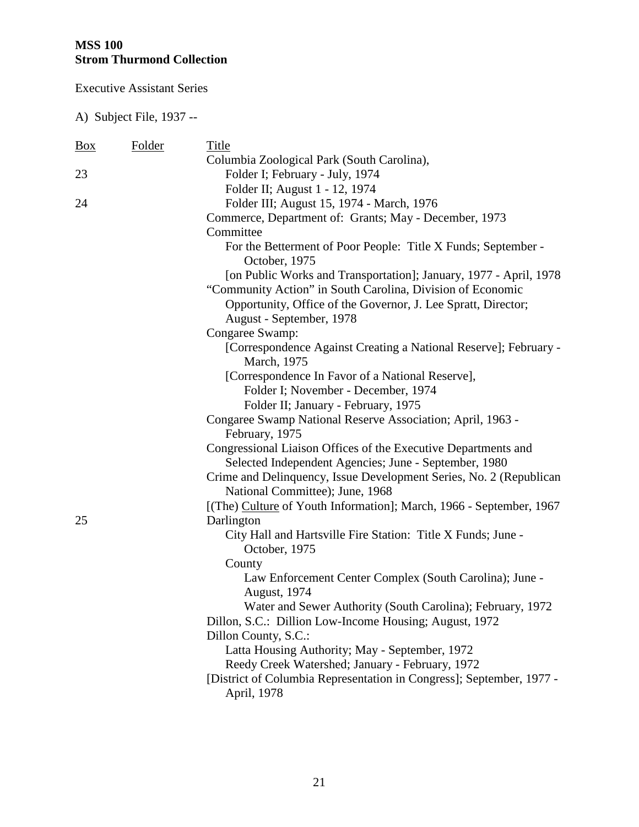Executive Assistant Series

| <u>Box</u> | Folder | Title                                                                          |
|------------|--------|--------------------------------------------------------------------------------|
|            |        | Columbia Zoological Park (South Carolina),                                     |
| 23         |        | Folder I; February - July, 1974                                                |
|            |        | Folder II; August 1 - 12, 1974                                                 |
| 24         |        | Folder III; August 15, 1974 - March, 1976                                      |
|            |        | Commerce, Department of: Grants; May - December, 1973                          |
|            |        | Committee                                                                      |
|            |        | For the Betterment of Poor People: Title X Funds; September -<br>October, 1975 |
|            |        | [on Public Works and Transportation]; January, 1977 - April, 1978              |
|            |        | "Community Action" in South Carolina, Division of Economic                     |
|            |        | Opportunity, Office of the Governor, J. Lee Spratt, Director;                  |
|            |        | August - September, 1978                                                       |
|            |        | Congaree Swamp:                                                                |
|            |        | [Correspondence Against Creating a National Reserve]; February -               |
|            |        | March, 1975                                                                    |
|            |        | [Correspondence In Favor of a National Reserve],                               |
|            |        | Folder I; November - December, 1974                                            |
|            |        | Folder II; January - February, 1975                                            |
|            |        | Congaree Swamp National Reserve Association; April, 1963 -<br>February, 1975   |
|            |        | Congressional Liaison Offices of the Executive Departments and                 |
|            |        | Selected Independent Agencies; June - September, 1980                          |
|            |        | Crime and Delinquency, Issue Development Series, No. 2 (Republican             |
|            |        | National Committee); June, 1968                                                |
|            |        | [(The) Culture of Youth Information]; March, 1966 - September, 1967            |
| 25         |        | Darlington                                                                     |
|            |        | City Hall and Hartsville Fire Station: Title X Funds; June -                   |
|            |        | October, 1975                                                                  |
|            |        | County                                                                         |
|            |        | Law Enforcement Center Complex (South Carolina); June -                        |
|            |        | <b>August</b> , 1974                                                           |
|            |        | Water and Sewer Authority (South Carolina); February, 1972                     |
|            |        | Dillon, S.C.: Dillion Low-Income Housing; August, 1972                         |
|            |        | Dillon County, S.C.:                                                           |
|            |        | Latta Housing Authority; May - September, 1972                                 |
|            |        | Reedy Creek Watershed; January - February, 1972                                |
|            |        | [District of Columbia Representation in Congress]; September, 1977 -           |
|            |        | April, 1978                                                                    |
|            |        |                                                                                |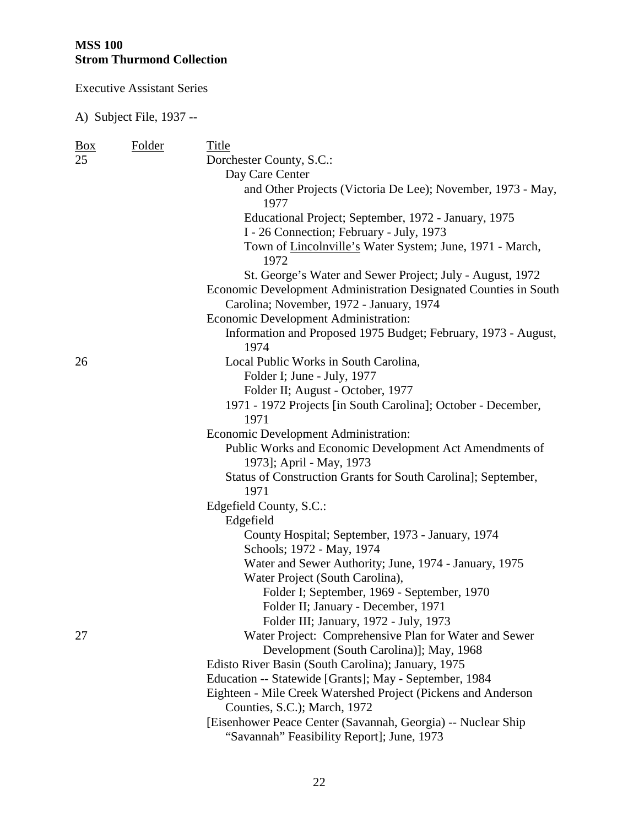Executive Assistant Series

| <b>Box</b> | Folder | Title                                                                                                        |
|------------|--------|--------------------------------------------------------------------------------------------------------------|
| 25         |        | Dorchester County, S.C.:                                                                                     |
|            |        | Day Care Center                                                                                              |
|            |        | and Other Projects (Victoria De Lee); November, 1973 - May,                                                  |
|            |        | 1977                                                                                                         |
|            |        | Educational Project; September, 1972 - January, 1975                                                         |
|            |        | I - 26 Connection; February - July, 1973                                                                     |
|            |        | Town of Lincolnville's Water System; June, 1971 - March,<br>1972                                             |
|            |        | St. George's Water and Sewer Project; July - August, 1972                                                    |
|            |        | Economic Development Administration Designated Counties in South<br>Carolina; November, 1972 - January, 1974 |
|            |        | Economic Development Administration:                                                                         |
|            |        | Information and Proposed 1975 Budget; February, 1973 - August,                                               |
|            |        | 1974                                                                                                         |
| 26         |        | Local Public Works in South Carolina,                                                                        |
|            |        | Folder I; June - July, 1977                                                                                  |
|            |        | Folder II; August - October, 1977                                                                            |
|            |        | 1971 - 1972 Projects [in South Carolina]; October - December,                                                |
|            |        | 1971                                                                                                         |
|            |        | Economic Development Administration:                                                                         |
|            |        | Public Works and Economic Development Act Amendments of                                                      |
|            |        | 1973]; April - May, 1973                                                                                     |
|            |        | Status of Construction Grants for South Carolina]; September,                                                |
|            |        | 1971                                                                                                         |
|            |        | Edgefield County, S.C.:                                                                                      |
|            |        | Edgefield                                                                                                    |
|            |        | County Hospital; September, 1973 - January, 1974                                                             |
|            |        | Schools; 1972 - May, 1974                                                                                    |
|            |        | Water and Sewer Authority; June, 1974 - January, 1975                                                        |
|            |        | Water Project (South Carolina),                                                                              |
|            |        | Folder I; September, 1969 - September, 1970                                                                  |
|            |        | Folder II; January - December, 1971                                                                          |
|            |        | Folder III; January, 1972 - July, 1973                                                                       |
| 27         |        | Water Project: Comprehensive Plan for Water and Sewer                                                        |
|            |        | Development (South Carolina)]; May, 1968                                                                     |
|            |        | Edisto River Basin (South Carolina); January, 1975                                                           |
|            |        | Education -- Statewide [Grants]; May - September, 1984                                                       |
|            |        | Eighteen - Mile Creek Watershed Project (Pickens and Anderson                                                |
|            |        | Counties, S.C.); March, 1972                                                                                 |
|            |        | [Eisenhower Peace Center (Savannah, Georgia) -- Nuclear Ship                                                 |
|            |        | "Savannah" Feasibility Report]; June, 1973                                                                   |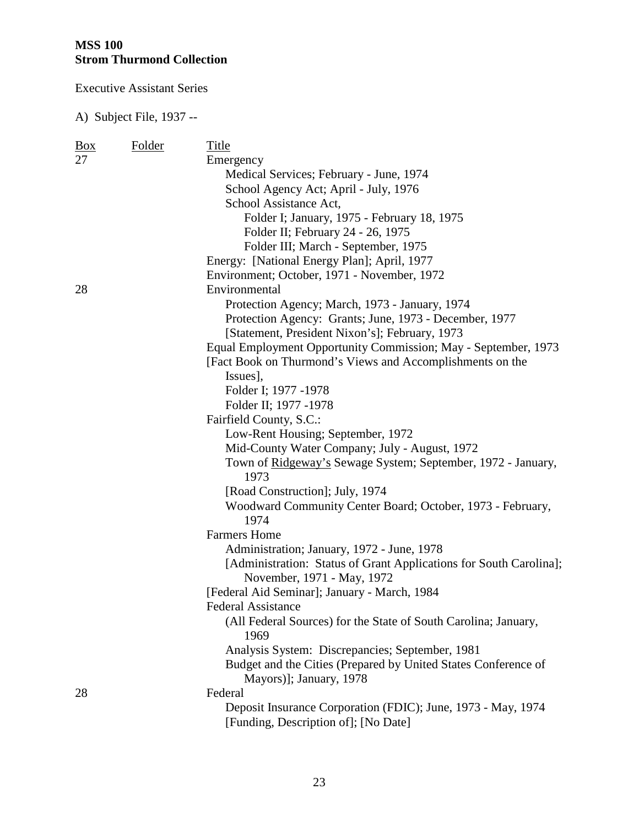Executive Assistant Series

| <u>Box</u> | Folder | Title                                                                                                |
|------------|--------|------------------------------------------------------------------------------------------------------|
| 27         |        | Emergency                                                                                            |
|            |        | Medical Services; February - June, 1974                                                              |
|            |        | School Agency Act; April - July, 1976                                                                |
|            |        | School Assistance Act,                                                                               |
|            |        | Folder I; January, 1975 - February 18, 1975                                                          |
|            |        | Folder II; February 24 - 26, 1975                                                                    |
|            |        | Folder III; March - September, 1975                                                                  |
|            |        | Energy: [National Energy Plan]; April, 1977                                                          |
|            |        | Environment; October, 1971 - November, 1972                                                          |
| 28         |        | Environmental                                                                                        |
|            |        | Protection Agency; March, 1973 - January, 1974                                                       |
|            |        | Protection Agency: Grants; June, 1973 - December, 1977                                               |
|            |        | [Statement, President Nixon's]; February, 1973                                                       |
|            |        | Equal Employment Opportunity Commission; May - September, 1973                                       |
|            |        | [Fact Book on Thurmond's Views and Accomplishments on the                                            |
|            |        | Issues],                                                                                             |
|            |        | Folder I; 1977 -1978                                                                                 |
|            |        | Folder II; 1977 -1978                                                                                |
|            |        | Fairfield County, S.C.:                                                                              |
|            |        | Low-Rent Housing; September, 1972                                                                    |
|            |        | Mid-County Water Company; July - August, 1972                                                        |
|            |        | Town of Ridgeway's Sewage System; September, 1972 - January,                                         |
|            |        | 1973                                                                                                 |
|            |        | [Road Construction]; July, 1974                                                                      |
|            |        | Woodward Community Center Board; October, 1973 - February,                                           |
|            |        | 1974                                                                                                 |
|            |        | <b>Farmers Home</b>                                                                                  |
|            |        | Administration; January, 1972 - June, 1978                                                           |
|            |        | [Administration: Status of Grant Applications for South Carolina];                                   |
|            |        | November, 1971 - May, 1972                                                                           |
|            |        | [Federal Aid Seminar]; January - March, 1984                                                         |
|            |        | Federal Assistance                                                                                   |
|            |        | (All Federal Sources) for the State of South Carolina; January,<br>1969                              |
|            |        | Analysis System: Discrepancies; September, 1981                                                      |
|            |        | Budget and the Cities (Prepared by United States Conference of                                       |
|            |        | Mayors)]; January, 1978                                                                              |
| 28         |        | Federal                                                                                              |
|            |        | Deposit Insurance Corporation (FDIC); June, 1973 - May, 1974<br>[Funding, Description of]; [No Date] |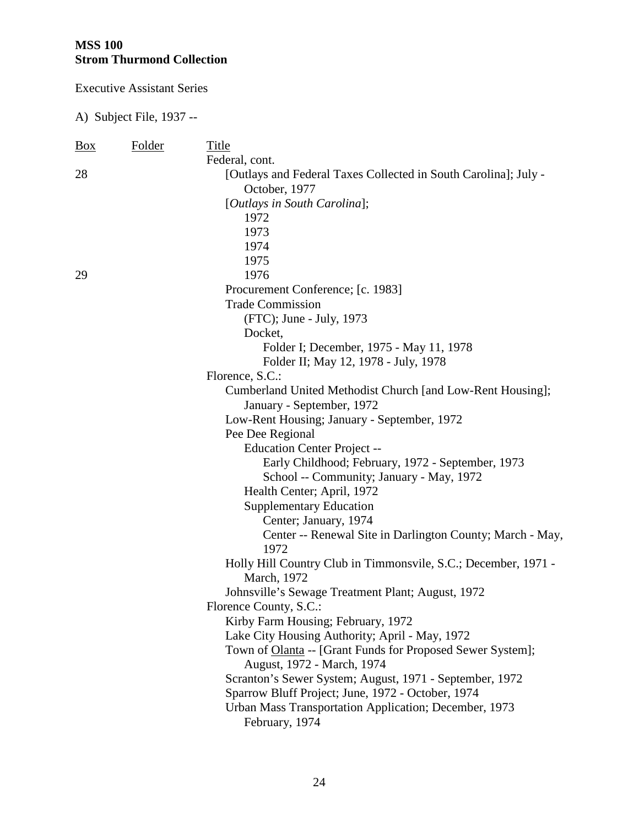Executive Assistant Series

| $\frac{Box}{}$ | Folder | Title                                                           |
|----------------|--------|-----------------------------------------------------------------|
|                |        | Federal, cont.                                                  |
| 28             |        | [Outlays and Federal Taxes Collected in South Carolina]; July - |
|                |        | October, 1977                                                   |
|                |        | [Outlays in South Carolina];                                    |
|                |        | 1972                                                            |
|                |        | 1973                                                            |
|                |        | 1974                                                            |
|                |        | 1975                                                            |
| 29             |        | 1976                                                            |
|                |        | Procurement Conference; [c. 1983]                               |
|                |        | <b>Trade Commission</b>                                         |
|                |        | (FTC); June - July, 1973                                        |
|                |        | Docket,                                                         |
|                |        | Folder I; December, 1975 - May 11, 1978                         |
|                |        | Folder II; May 12, 1978 - July, 1978                            |
|                |        | Florence, S.C.:                                                 |
|                |        | Cumberland United Methodist Church [and Low-Rent Housing];      |
|                |        | January - September, 1972                                       |
|                |        | Low-Rent Housing; January - September, 1972                     |
|                |        | Pee Dee Regional                                                |
|                |        | <b>Education Center Project --</b>                              |
|                |        | Early Childhood; February, 1972 - September, 1973               |
|                |        | School -- Community; January - May, 1972                        |
|                |        | Health Center; April, 1972                                      |
|                |        | <b>Supplementary Education</b>                                  |
|                |        | Center; January, 1974                                           |
|                |        | Center -- Renewal Site in Darlington County; March - May,       |
|                |        | 1972                                                            |
|                |        | Holly Hill Country Club in Timmonsvile, S.C.; December, 1971 -  |
|                |        | March, 1972                                                     |
|                |        | Johnsville's Sewage Treatment Plant; August, 1972               |
|                |        | Florence County, S.C.:                                          |
|                |        | Kirby Farm Housing; February, 1972                              |
|                |        | Lake City Housing Authority; April - May, 1972                  |
|                |        | Town of Olanta -- [Grant Funds for Proposed Sewer System];      |
|                |        | August, 1972 - March, 1974                                      |
|                |        | Scranton's Sewer System; August, 1971 - September, 1972         |
|                |        | Sparrow Bluff Project; June, 1972 - October, 1974               |
|                |        | Urban Mass Transportation Application; December, 1973           |
|                |        | February, 1974                                                  |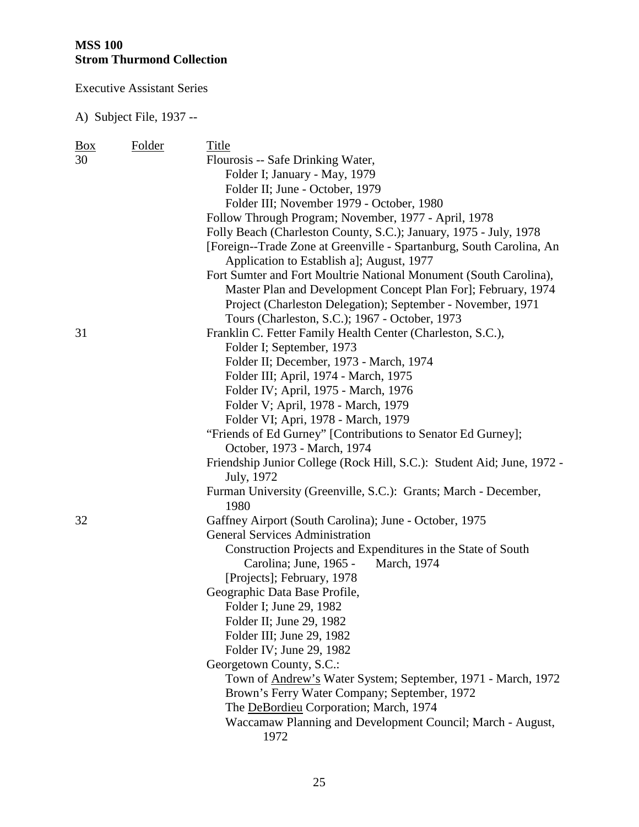Executive Assistant Series

| $\frac{Box}{}$ | <b>Folder</b> | Title                                                                                                                              |
|----------------|---------------|------------------------------------------------------------------------------------------------------------------------------------|
| 30             |               | Flourosis -- Safe Drinking Water,                                                                                                  |
|                |               | Folder I; January - May, 1979                                                                                                      |
|                |               | Folder II; June - October, 1979                                                                                                    |
|                |               | Folder III; November 1979 - October, 1980                                                                                          |
|                |               | Follow Through Program; November, 1977 - April, 1978                                                                               |
|                |               | Folly Beach (Charleston County, S.C.); January, 1975 - July, 1978                                                                  |
|                |               | [Foreign--Trade Zone at Greenville - Spartanburg, South Carolina, An                                                               |
|                |               | Application to Establish a]; August, 1977                                                                                          |
|                |               | Fort Sumter and Fort Moultrie National Monument (South Carolina),<br>Master Plan and Development Concept Plan For]; February, 1974 |
|                |               | Project (Charleston Delegation); September - November, 1971                                                                        |
|                |               | Tours (Charleston, S.C.); 1967 - October, 1973                                                                                     |
| 31             |               | Franklin C. Fetter Family Health Center (Charleston, S.C.),                                                                        |
|                |               | Folder I; September, 1973                                                                                                          |
|                |               | Folder II; December, 1973 - March, 1974                                                                                            |
|                |               | Folder III; April, 1974 - March, 1975                                                                                              |
|                |               | Folder IV; April, 1975 - March, 1976                                                                                               |
|                |               | Folder V; April, 1978 - March, 1979                                                                                                |
|                |               | Folder VI; Apri, 1978 - March, 1979                                                                                                |
|                |               | "Friends of Ed Gurney" [Contributions to Senator Ed Gurney];<br>October, 1973 - March, 1974                                        |
|                |               | Friendship Junior College (Rock Hill, S.C.): Student Aid; June, 1972 -<br>July, 1972                                               |
|                |               | Furman University (Greenville, S.C.): Grants; March - December,<br>1980                                                            |
| 32             |               | Gaffney Airport (South Carolina); June - October, 1975                                                                             |
|                |               | <b>General Services Administration</b>                                                                                             |
|                |               | Construction Projects and Expenditures in the State of South                                                                       |
|                |               | Carolina; June, 1965 - March, 1974                                                                                                 |
|                |               | [Projects]; February, 1978                                                                                                         |
|                |               | Geographic Data Base Profile,                                                                                                      |
|                |               | Folder I; June 29, 1982                                                                                                            |
|                |               | Folder II; June 29, 1982                                                                                                           |
|                |               | Folder III; June 29, 1982                                                                                                          |
|                |               | Folder IV; June 29, 1982                                                                                                           |
|                |               | Georgetown County, S.C.:                                                                                                           |
|                |               | Town of <b>Andrew's</b> Water System; September, 1971 - March, 1972                                                                |
|                |               | Brown's Ferry Water Company; September, 1972                                                                                       |
|                |               | The DeBordieu Corporation; March, 1974                                                                                             |
|                |               | Waccamaw Planning and Development Council; March - August,<br>1972                                                                 |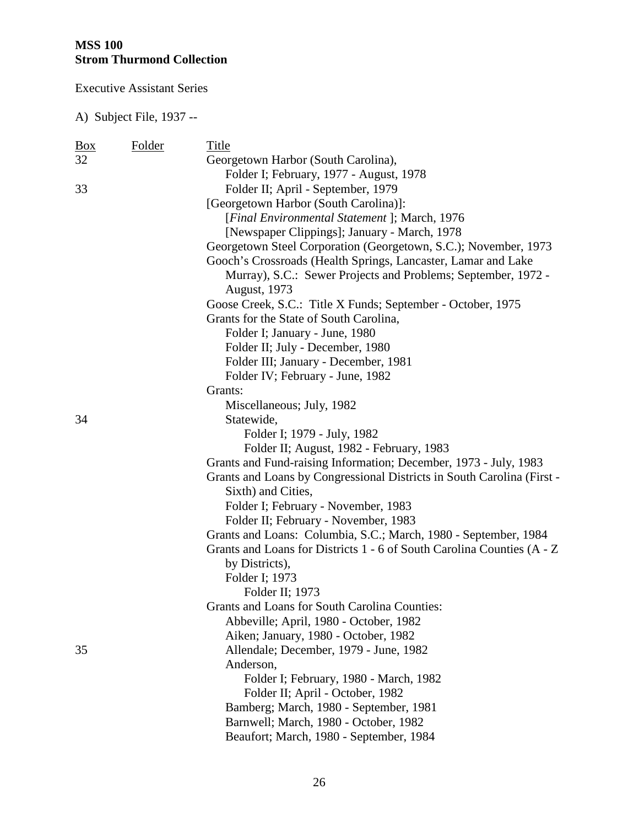Executive Assistant Series

| <u>Box</u> | Folder | Title                                                                  |
|------------|--------|------------------------------------------------------------------------|
| 32         |        | Georgetown Harbor (South Carolina),                                    |
|            |        | Folder I; February, 1977 - August, 1978                                |
| 33         |        | Folder II; April - September, 1979                                     |
|            |        | [Georgetown Harbor (South Carolina)]:                                  |
|            |        | [Final Environmental Statement]; March, 1976                           |
|            |        | [Newspaper Clippings]; January - March, 1978                           |
|            |        | Georgetown Steel Corporation (Georgetown, S.C.); November, 1973        |
|            |        | Gooch's Crossroads (Health Springs, Lancaster, Lamar and Lake          |
|            |        | Murray), S.C.: Sewer Projects and Problems; September, 1972 -          |
|            |        | <b>August</b> , 1973                                                   |
|            |        | Goose Creek, S.C.: Title X Funds; September - October, 1975            |
|            |        | Grants for the State of South Carolina,                                |
|            |        | Folder I; January - June, 1980                                         |
|            |        | Folder II; July - December, 1980                                       |
|            |        | Folder III; January - December, 1981                                   |
|            |        | Folder IV; February - June, 1982                                       |
|            |        | Grants:                                                                |
|            |        | Miscellaneous; July, 1982                                              |
| 34         |        | Statewide,                                                             |
|            |        | Folder I; 1979 - July, 1982                                            |
|            |        | Folder II; August, 1982 - February, 1983                               |
|            |        | Grants and Fund-raising Information; December, 1973 - July, 1983       |
|            |        | Grants and Loans by Congressional Districts in South Carolina (First - |
|            |        | Sixth) and Cities,                                                     |
|            |        | Folder I; February - November, 1983                                    |
|            |        | Folder II; February - November, 1983                                   |
|            |        | Grants and Loans: Columbia, S.C.; March, 1980 - September, 1984        |
|            |        | Grants and Loans for Districts 1 - 6 of South Carolina Counties (A - Z |
|            |        | by Districts),                                                         |
|            |        | Folder I; 1973                                                         |
|            |        | Folder II; 1973                                                        |
|            |        | Grants and Loans for South Carolina Counties:                          |
|            |        | Abbeville; April, 1980 - October, 1982                                 |
|            |        | Aiken; January, 1980 - October, 1982                                   |
| 35         |        | Allendale; December, 1979 - June, 1982                                 |
|            |        | Anderson,                                                              |
|            |        | Folder I; February, 1980 - March, 1982                                 |
|            |        | Folder II; April - October, 1982                                       |
|            |        | Bamberg; March, 1980 - September, 1981                                 |
|            |        | Barnwell; March, 1980 - October, 1982                                  |
|            |        | Beaufort; March, 1980 - September, 1984                                |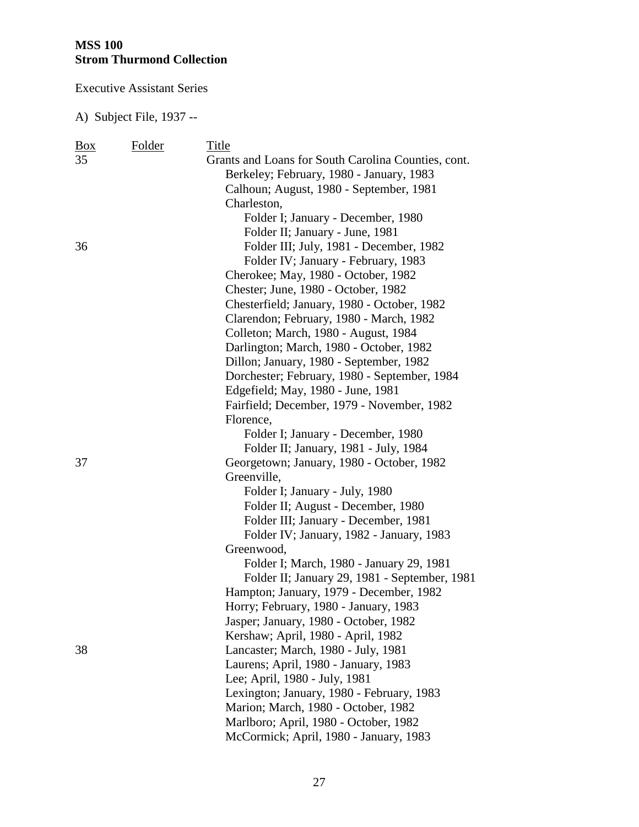Executive Assistant Series

| Box | Folder | Title                                               |
|-----|--------|-----------------------------------------------------|
| 35  |        | Grants and Loans for South Carolina Counties, cont. |
|     |        | Berkeley; February, 1980 - January, 1983            |
|     |        | Calhoun; August, 1980 - September, 1981             |
|     |        | Charleston,                                         |
|     |        | Folder I; January - December, 1980                  |
|     |        | Folder II; January - June, 1981                     |
| 36  |        | Folder III; July, 1981 - December, 1982             |
|     |        | Folder IV; January - February, 1983                 |
|     |        | Cherokee; May, 1980 - October, 1982                 |
|     |        | Chester; June, 1980 - October, 1982                 |
|     |        | Chesterfield; January, 1980 - October, 1982         |
|     |        | Clarendon; February, 1980 - March, 1982             |
|     |        | Colleton; March, 1980 - August, 1984                |
|     |        | Darlington; March, 1980 - October, 1982             |
|     |        | Dillon; January, 1980 - September, 1982             |
|     |        | Dorchester; February, 1980 - September, 1984        |
|     |        | Edgefield; May, 1980 - June, 1981                   |
|     |        | Fairfield; December, 1979 - November, 1982          |
|     |        | Florence,                                           |
|     |        | Folder I; January - December, 1980                  |
|     |        | Folder II; January, 1981 - July, 1984               |
| 37  |        | Georgetown; January, 1980 - October, 1982           |
|     |        | Greenville,                                         |
|     |        | Folder I; January - July, 1980                      |
|     |        | Folder II; August - December, 1980                  |
|     |        | Folder III; January - December, 1981                |
|     |        | Folder IV; January, 1982 - January, 1983            |
|     |        | Greenwood,                                          |
|     |        | Folder I; March, 1980 - January 29, 1981            |
|     |        | Folder II; January 29, 1981 - September, 1981       |
|     |        | Hampton; January, 1979 - December, 1982             |
|     |        | Horry; February, 1980 - January, 1983               |
|     |        | Jasper; January, 1980 - October, 1982               |
|     |        | Kershaw; April, 1980 - April, 1982                  |
| 38  |        | Lancaster; March, 1980 - July, 1981                 |
|     |        | Laurens; April, 1980 - January, 1983                |
|     |        | Lee; April, 1980 - July, 1981                       |
|     |        | Lexington; January, 1980 - February, 1983           |
|     |        | Marion; March, 1980 - October, 1982                 |
|     |        | Marlboro; April, 1980 - October, 1982               |
|     |        | McCormick; April, 1980 - January, 1983              |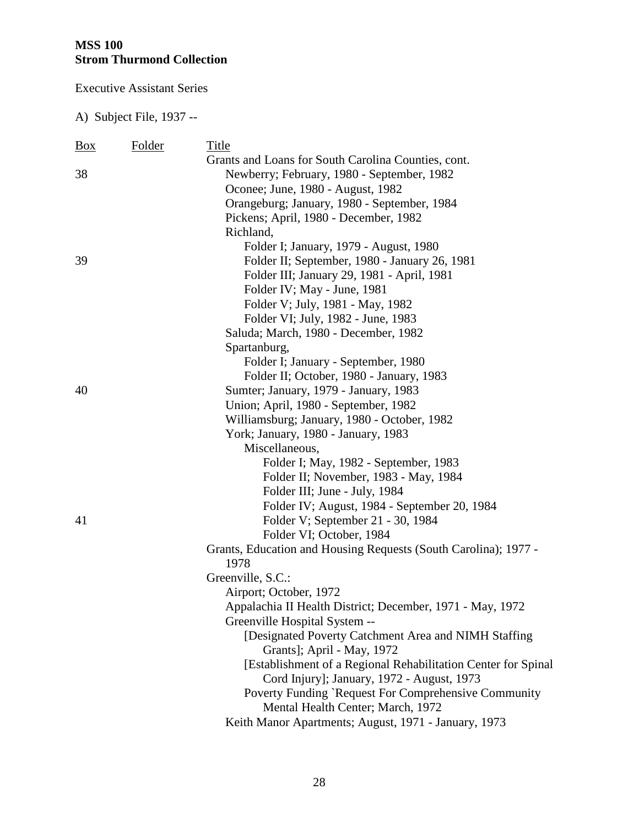Executive Assistant Series

| Box | Folder | Title                                                           |
|-----|--------|-----------------------------------------------------------------|
|     |        | Grants and Loans for South Carolina Counties, cont.             |
| 38  |        | Newberry; February, 1980 - September, 1982                      |
|     |        | Oconee; June, 1980 - August, 1982                               |
|     |        | Orangeburg; January, 1980 - September, 1984                     |
|     |        | Pickens; April, 1980 - December, 1982                           |
|     |        | Richland,                                                       |
|     |        | Folder I; January, 1979 - August, 1980                          |
| 39  |        | Folder II; September, 1980 - January 26, 1981                   |
|     |        | Folder III; January 29, 1981 - April, 1981                      |
|     |        | Folder IV; May - June, 1981                                     |
|     |        | Folder V; July, 1981 - May, 1982                                |
|     |        | Folder VI; July, 1982 - June, 1983                              |
|     |        | Saluda; March, 1980 - December, 1982                            |
|     |        | Spartanburg,                                                    |
|     |        | Folder I; January - September, 1980                             |
|     |        | Folder II; October, 1980 - January, 1983                        |
| 40  |        | Sumter; January, 1979 - January, 1983                           |
|     |        | Union; April, 1980 - September, 1982                            |
|     |        | Williamsburg; January, 1980 - October, 1982                     |
|     |        | York; January, 1980 - January, 1983                             |
|     |        | Miscellaneous,                                                  |
|     |        | Folder I; May, 1982 - September, 1983                           |
|     |        | Folder II; November, 1983 - May, 1984                           |
|     |        | Folder III; June - July, 1984                                   |
|     |        | Folder IV; August, 1984 - September 20, 1984                    |
| 41  |        | Folder V; September 21 - 30, 1984                               |
|     |        | Folder VI; October, 1984                                        |
|     |        | Grants, Education and Housing Requests (South Carolina); 1977 - |
|     |        | 1978                                                            |
|     |        | Greenville, S.C.:                                               |
|     |        | Airport; October, 1972                                          |
|     |        | Appalachia II Health District; December, 1971 - May, 1972       |
|     |        | Greenville Hospital System --                                   |
|     |        | [Designated Poverty Catchment Area and NIMH Staffing]           |
|     |        | Grants]; April - May, 1972                                      |
|     |        | [Establishment of a Regional Rehabilitation Center for Spinal   |
|     |        | Cord Injury]; January, 1972 - August, 1973                      |
|     |        | Poverty Funding `Request For Comprehensive Community            |
|     |        | Mental Health Center; March, 1972                               |
|     |        | Keith Manor Apartments; August, 1971 - January, 1973            |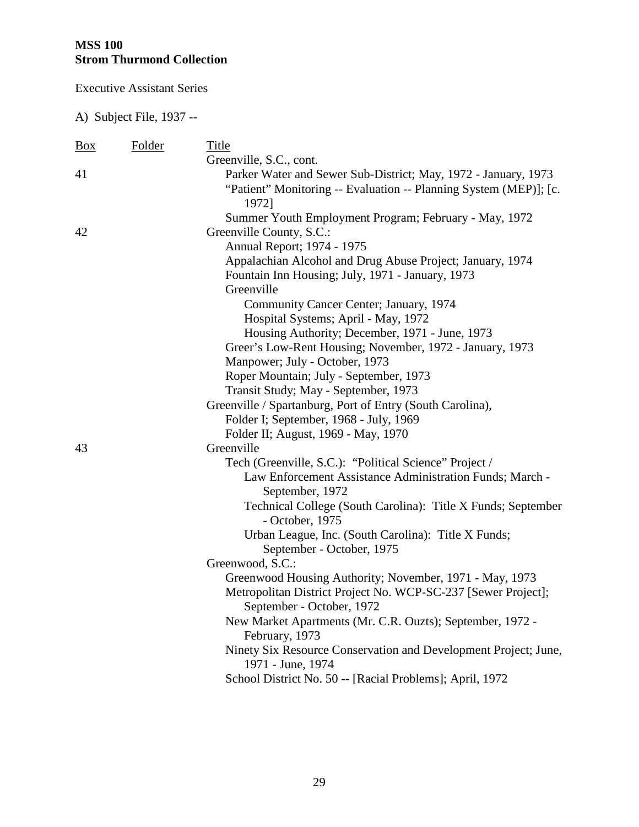Executive Assistant Series

| <b>Box</b> | Folder | Title                                                                           |
|------------|--------|---------------------------------------------------------------------------------|
|            |        | Greenville, S.C., cont.                                                         |
| 41         |        | Parker Water and Sewer Sub-District; May, 1972 - January, 1973                  |
|            |        | "Patient" Monitoring -- Evaluation -- Planning System (MEP)]; [c.<br>1972]      |
|            |        | Summer Youth Employment Program; February - May, 1972                           |
| 42         |        | Greenville County, S.C.:                                                        |
|            |        | Annual Report; 1974 - 1975                                                      |
|            |        | Appalachian Alcohol and Drug Abuse Project; January, 1974                       |
|            |        | Fountain Inn Housing; July, 1971 - January, 1973                                |
|            |        | Greenville                                                                      |
|            |        | Community Cancer Center; January, 1974                                          |
|            |        | Hospital Systems; April - May, 1972                                             |
|            |        | Housing Authority; December, 1971 - June, 1973                                  |
|            |        | Greer's Low-Rent Housing; November, 1972 - January, 1973                        |
|            |        | Manpower; July - October, 1973                                                  |
|            |        | Roper Mountain; July - September, 1973                                          |
|            |        | Transit Study; May - September, 1973                                            |
|            |        | Greenville / Spartanburg, Port of Entry (South Carolina),                       |
|            |        | Folder I; September, 1968 - July, 1969                                          |
|            |        | Folder II; August, 1969 - May, 1970                                             |
| 43         |        | Greenville                                                                      |
|            |        | Tech (Greenville, S.C.): "Political Science" Project /                          |
|            |        | Law Enforcement Assistance Administration Funds; March -<br>September, 1972     |
|            |        | Technical College (South Carolina): Title X Funds; September<br>- October, 1975 |
|            |        | Urban League, Inc. (South Carolina): Title X Funds;                             |
|            |        | September - October, 1975                                                       |
|            |        | Greenwood, S.C.:                                                                |
|            |        | Greenwood Housing Authority; November, 1971 - May, 1973                         |
|            |        | Metropolitan District Project No. WCP-SC-237 [Sewer Project];                   |
|            |        | September - October, 1972                                                       |
|            |        | New Market Apartments (Mr. C.R. Ouzts); September, 1972 -<br>February, 1973     |
|            |        | Ninety Six Resource Conservation and Development Project; June,                 |
|            |        | 1971 - June, 1974                                                               |
|            |        | School District No. 50 -- [Racial Problems]; April, 1972                        |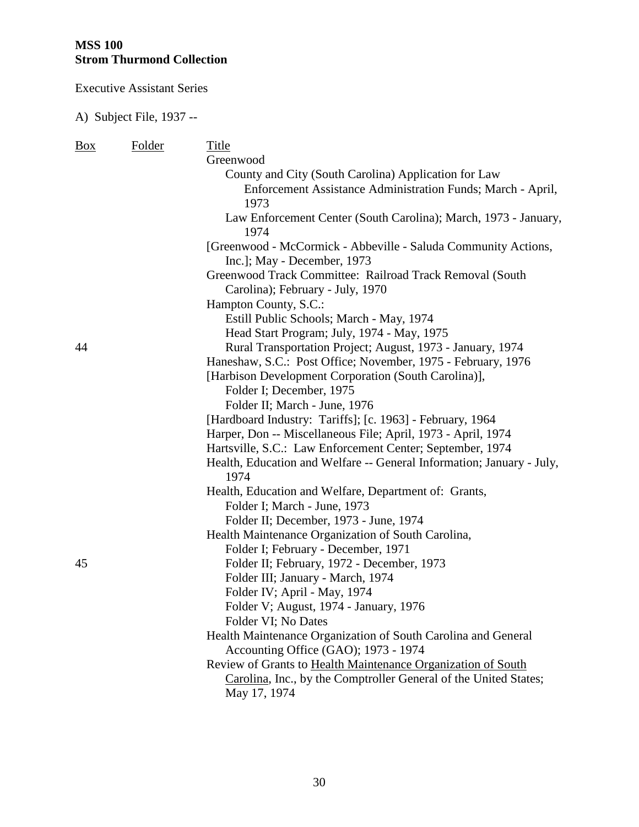Executive Assistant Series

| Box | Folder | Title                                                                 |
|-----|--------|-----------------------------------------------------------------------|
|     |        | Greenwood                                                             |
|     |        | County and City (South Carolina) Application for Law                  |
|     |        | Enforcement Assistance Administration Funds; March - April,           |
|     |        | 1973                                                                  |
|     |        | Law Enforcement Center (South Carolina); March, 1973 - January,       |
|     |        | 1974                                                                  |
|     |        | [Greenwood - McCormick - Abbeville - Saluda Community Actions,        |
|     |        | Inc.]; May - December, 1973                                           |
|     |        | Greenwood Track Committee: Railroad Track Removal (South              |
|     |        | Carolina); February - July, 1970                                      |
|     |        | Hampton County, S.C.:                                                 |
|     |        | Estill Public Schools; March - May, 1974                              |
|     |        | Head Start Program; July, 1974 - May, 1975                            |
| 44  |        | Rural Transportation Project; August, 1973 - January, 1974            |
|     |        | Haneshaw, S.C.: Post Office; November, 1975 - February, 1976          |
|     |        | [Harbison Development Corporation (South Carolina)],                  |
|     |        | Folder I; December, 1975                                              |
|     |        | Folder II; March - June, 1976                                         |
|     |        | [Hardboard Industry: Tariffs]; [c. 1963] - February, 1964             |
|     |        | Harper, Don -- Miscellaneous File; April, 1973 - April, 1974          |
|     |        | Hartsville, S.C.: Law Enforcement Center; September, 1974             |
|     |        | Health, Education and Welfare -- General Information; January - July, |
|     |        | 1974                                                                  |
|     |        | Health, Education and Welfare, Department of: Grants,                 |
|     |        | Folder I; March - June, 1973                                          |
|     |        | Folder II; December, 1973 - June, 1974                                |
|     |        | Health Maintenance Organization of South Carolina,                    |
|     |        | Folder I; February - December, 1971                                   |
| 45  |        | Folder II; February, 1972 - December, 1973                            |
|     |        | Folder III; January - March, 1974                                     |
|     |        | Folder IV; April - May, 1974                                          |
|     |        | Folder V; August, 1974 - January, 1976                                |
|     |        | Folder VI; No Dates                                                   |
|     |        | Health Maintenance Organization of South Carolina and General         |
|     |        | Accounting Office (GAO); 1973 - 1974                                  |
|     |        | Review of Grants to Health Maintenance Organization of South          |
|     |        | Carolina, Inc., by the Comptroller General of the United States;      |
|     |        | May 17, 1974                                                          |
|     |        |                                                                       |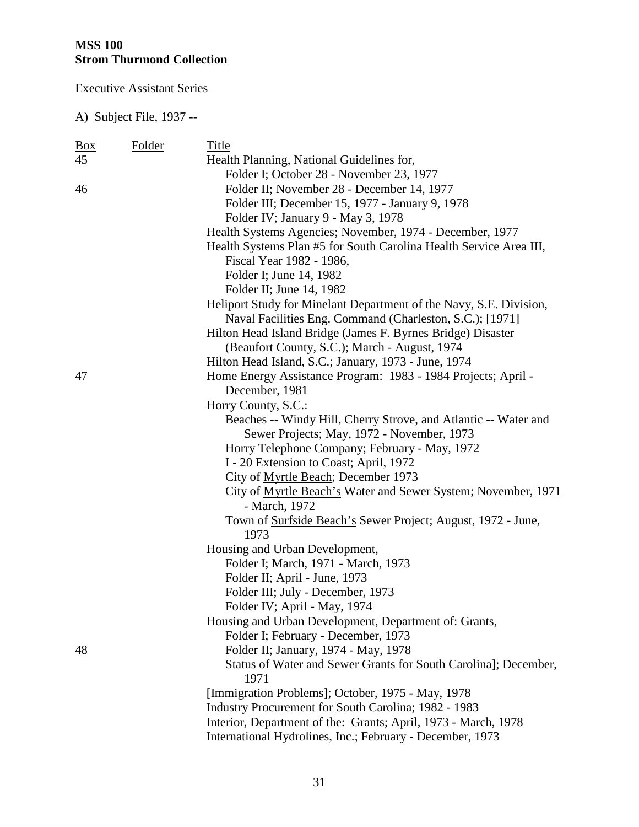Executive Assistant Series

| <u>Box</u> | Folder | Title                                                               |
|------------|--------|---------------------------------------------------------------------|
| 45         |        | Health Planning, National Guidelines for,                           |
|            |        | Folder I; October 28 - November 23, 1977                            |
| 46         |        | Folder II; November 28 - December 14, 1977                          |
|            |        | Folder III; December 15, 1977 - January 9, 1978                     |
|            |        | Folder IV; January 9 - May 3, 1978                                  |
|            |        | Health Systems Agencies; November, 1974 - December, 1977            |
|            |        | Health Systems Plan #5 for South Carolina Health Service Area III,  |
|            |        | Fiscal Year 1982 - 1986,                                            |
|            |        | Folder I; June 14, 1982                                             |
|            |        | Folder II; June 14, 1982                                            |
|            |        | Heliport Study for Minelant Department of the Navy, S.E. Division,  |
|            |        | Naval Facilities Eng. Command (Charleston, S.C.); [1971]            |
|            |        | Hilton Head Island Bridge (James F. Byrnes Bridge) Disaster         |
|            |        | (Beaufort County, S.C.); March - August, 1974                       |
|            |        | Hilton Head Island, S.C.; January, 1973 - June, 1974                |
| 47         |        | Home Energy Assistance Program: 1983 - 1984 Projects; April -       |
|            |        | December, 1981                                                      |
|            |        | Horry County, S.C.:                                                 |
|            |        | Beaches -- Windy Hill, Cherry Strove, and Atlantic -- Water and     |
|            |        | Sewer Projects; May, 1972 - November, 1973                          |
|            |        | Horry Telephone Company; February - May, 1972                       |
|            |        | I - 20 Extension to Coast; April, 1972                              |
|            |        | City of Myrtle Beach; December 1973                                 |
|            |        | City of Myrtle Beach's Water and Sewer System; November, 1971       |
|            |        | - March, 1972                                                       |
|            |        | Town of <b>Surfside Beach's</b> Sewer Project; August, 1972 - June, |
|            |        | 1973                                                                |
|            |        | Housing and Urban Development,                                      |
|            |        | Folder I; March, 1971 - March, 1973                                 |
|            |        | Folder II; April - June, 1973                                       |
|            |        | Folder III; July - December, 1973                                   |
|            |        | Folder IV; April - May, 1974                                        |
|            |        | Housing and Urban Development, Department of: Grants,               |
|            |        | Folder I; February - December, 1973                                 |
| 48         |        | Folder II; January, 1974 - May, 1978                                |
|            |        | Status of Water and Sewer Grants for South Carolina]; December,     |
|            |        | 1971                                                                |
|            |        | [Immigration Problems]; October, 1975 - May, 1978                   |
|            |        | Industry Procurement for South Carolina; 1982 - 1983                |
|            |        | Interior, Department of the: Grants; April, 1973 - March, 1978      |
|            |        | International Hydrolines, Inc.; February - December, 1973           |
|            |        |                                                                     |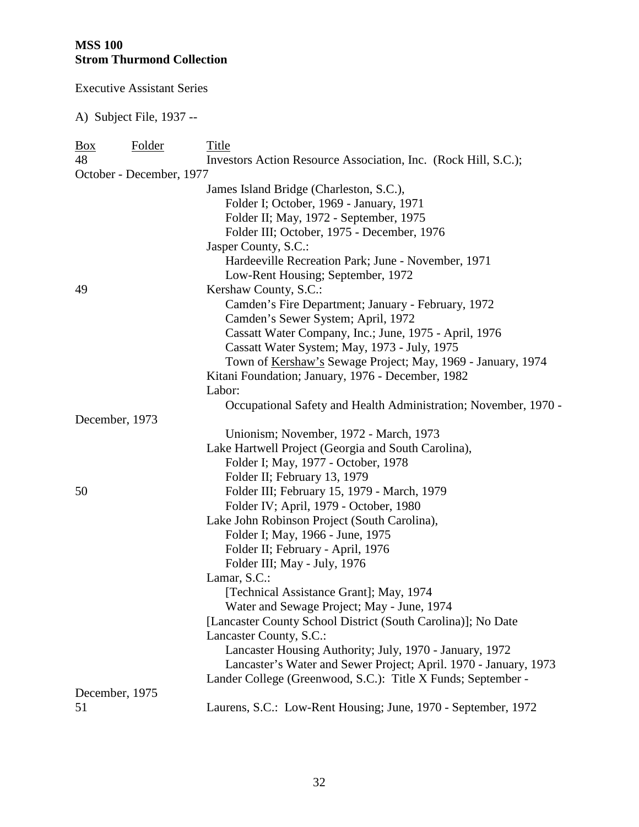Executive Assistant Series

| <u>Box</u> | <b>Folder</b>            | Title                                                            |
|------------|--------------------------|------------------------------------------------------------------|
| 48         |                          | Investors Action Resource Association, Inc. (Rock Hill, S.C.);   |
|            | October - December, 1977 |                                                                  |
|            |                          | James Island Bridge (Charleston, S.C.),                          |
|            |                          | Folder I; October, 1969 - January, 1971                          |
|            |                          | Folder II; May, 1972 - September, 1975                           |
|            |                          | Folder III; October, 1975 - December, 1976                       |
|            |                          | Jasper County, S.C.:                                             |
|            |                          | Hardeeville Recreation Park; June - November, 1971               |
|            |                          | Low-Rent Housing; September, 1972                                |
| 49         |                          | Kershaw County, S.C.:                                            |
|            |                          | Camden's Fire Department; January - February, 1972               |
|            |                          | Camden's Sewer System; April, 1972                               |
|            |                          | Cassatt Water Company, Inc.; June, 1975 - April, 1976            |
|            |                          | Cassatt Water System; May, 1973 - July, 1975                     |
|            |                          | Town of Kershaw's Sewage Project; May, 1969 - January, 1974      |
|            |                          | Kitani Foundation; January, 1976 - December, 1982                |
|            |                          | Labor:                                                           |
|            |                          | Occupational Safety and Health Administration; November, 1970 -  |
|            | December, 1973           |                                                                  |
|            |                          | Unionism; November, 1972 - March, 1973                           |
|            |                          | Lake Hartwell Project (Georgia and South Carolina),              |
|            |                          | Folder I; May, 1977 - October, 1978                              |
|            |                          | Folder II; February 13, 1979                                     |
| 50         |                          | Folder III; February 15, 1979 - March, 1979                      |
|            |                          | Folder IV; April, 1979 - October, 1980                           |
|            |                          | Lake John Robinson Project (South Carolina),                     |
|            |                          | Folder I; May, 1966 - June, 1975                                 |
|            |                          | Folder II; February - April, 1976                                |
|            |                          | Folder III; May - July, 1976                                     |
|            |                          | Lamar, S.C.:                                                     |
|            |                          | [Technical Assistance Grant]; May, 1974                          |
|            |                          | Water and Sewage Project; May - June, 1974                       |
|            |                          | [Lancaster County School District (South Carolina)]; No Date     |
|            |                          | Lancaster County, S.C.:                                          |
|            |                          | Lancaster Housing Authority; July, 1970 - January, 1972          |
|            |                          | Lancaster's Water and Sewer Project; April. 1970 - January, 1973 |
|            |                          | Lander College (Greenwood, S.C.): Title X Funds; September -     |
|            | December, 1975           |                                                                  |
| 51         |                          | Laurens, S.C.: Low-Rent Housing; June, 1970 - September, 1972    |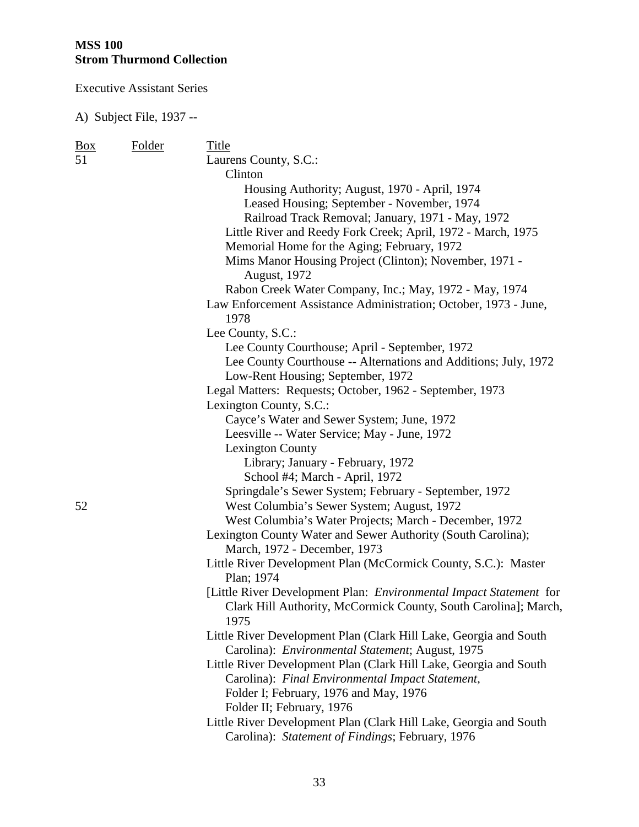Executive Assistant Series

| $\frac{Box}{angle}$ | Folder | Title                                                                    |
|---------------------|--------|--------------------------------------------------------------------------|
| 51                  |        | Laurens County, S.C.:                                                    |
|                     |        | Clinton                                                                  |
|                     |        | Housing Authority; August, 1970 - April, 1974                            |
|                     |        | Leased Housing; September - November, 1974                               |
|                     |        | Railroad Track Removal; January, 1971 - May, 1972                        |
|                     |        | Little River and Reedy Fork Creek; April, 1972 - March, 1975             |
|                     |        | Memorial Home for the Aging; February, 1972                              |
|                     |        | Mims Manor Housing Project (Clinton); November, 1971 -                   |
|                     |        |                                                                          |
|                     |        | August, 1972                                                             |
|                     |        | Rabon Creek Water Company, Inc.; May, 1972 - May, 1974                   |
|                     |        | Law Enforcement Assistance Administration; October, 1973 - June,<br>1978 |
|                     |        | Lee County, S.C.:                                                        |
|                     |        | Lee County Courthouse; April - September, 1972                           |
|                     |        | Lee County Courthouse -- Alternations and Additions; July, 1972          |
|                     |        | Low-Rent Housing; September, 1972                                        |
|                     |        | Legal Matters: Requests; October, 1962 - September, 1973                 |
|                     |        | Lexington County, S.C.:                                                  |
|                     |        | Cayce's Water and Sewer System; June, 1972                               |
|                     |        | Leesville -- Water Service; May - June, 1972                             |
|                     |        | <b>Lexington County</b>                                                  |
|                     |        | Library; January - February, 1972                                        |
|                     |        | School #4; March - April, 1972                                           |
|                     |        | Springdale's Sewer System; February - September, 1972                    |
| 52                  |        | West Columbia's Sewer System; August, 1972                               |
|                     |        | West Columbia's Water Projects; March - December, 1972                   |
|                     |        | Lexington County Water and Sewer Authority (South Carolina);             |
|                     |        | March, 1972 - December, 1973                                             |
|                     |        | Little River Development Plan (McCormick County, S.C.): Master           |
|                     |        | Plan; 1974                                                               |
|                     |        | [Little River Development Plan: Environmental Impact Statement for       |
|                     |        | Clark Hill Authority, McCormick County, South Carolina]; March,          |
|                     |        | 1975                                                                     |
|                     |        | Little River Development Plan (Clark Hill Lake, Georgia and South        |
|                     |        | Carolina): Environmental Statement; August, 1975                         |
|                     |        | Little River Development Plan (Clark Hill Lake, Georgia and South        |
|                     |        | Carolina): Final Environmental Impact Statement,                         |
|                     |        | Folder I; February, 1976 and May, 1976                                   |
|                     |        | Folder II; February, 1976                                                |
|                     |        | Little River Development Plan (Clark Hill Lake, Georgia and South        |
|                     |        | Carolina): Statement of Findings; February, 1976                         |
|                     |        |                                                                          |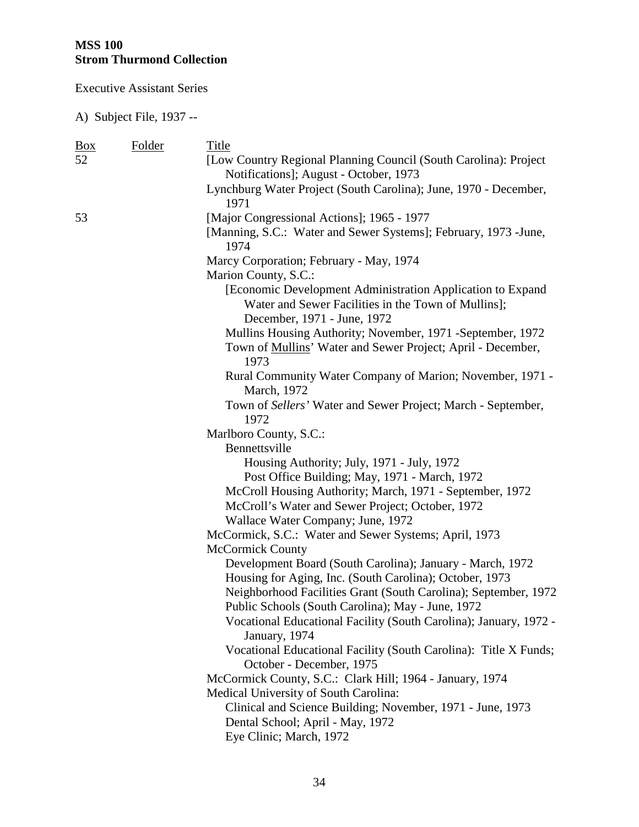Executive Assistant Series

| <b>Box</b> | Folder | Title                                                                                                                             |
|------------|--------|-----------------------------------------------------------------------------------------------------------------------------------|
| 52         |        | [Low Country Regional Planning Council (South Carolina): Project                                                                  |
|            |        | Notifications]; August - October, 1973                                                                                            |
|            |        | Lynchburg Water Project (South Carolina); June, 1970 - December,<br>1971                                                          |
| 53         |        | [Major Congressional Actions]; 1965 - 1977                                                                                        |
|            |        | [Manning, S.C.: Water and Sewer Systems]; February, 1973 - June,<br>1974                                                          |
|            |        | Marcy Corporation; February - May, 1974                                                                                           |
|            |        | Marion County, S.C.:                                                                                                              |
|            |        | [Economic Development Administration Application to Expand<br>Water and Sewer Facilities in the Town of Mullins];                 |
|            |        | December, 1971 - June, 1972                                                                                                       |
|            |        | Mullins Housing Authority; November, 1971 -September, 1972<br>Town of Mullins' Water and Sewer Project; April - December,<br>1973 |
|            |        | Rural Community Water Company of Marion; November, 1971 -                                                                         |
|            |        | March, 1972                                                                                                                       |
|            |        | Town of Sellers' Water and Sewer Project; March - September,                                                                      |
|            |        | 1972                                                                                                                              |
|            |        | Marlboro County, S.C.:                                                                                                            |
|            |        | Bennettsville                                                                                                                     |
|            |        | Housing Authority; July, 1971 - July, 1972                                                                                        |
|            |        | Post Office Building; May, 1971 - March, 1972                                                                                     |
|            |        | McCroll Housing Authority; March, 1971 - September, 1972                                                                          |
|            |        | McCroll's Water and Sewer Project; October, 1972                                                                                  |
|            |        | Wallace Water Company; June, 1972                                                                                                 |
|            |        | McCormick, S.C.: Water and Sewer Systems; April, 1973                                                                             |
|            |        | <b>McCormick County</b>                                                                                                           |
|            |        | Development Board (South Carolina); January - March, 1972                                                                         |
|            |        | Housing for Aging, Inc. (South Carolina); October, 1973                                                                           |
|            |        | Neighborhood Facilities Grant (South Carolina); September, 1972                                                                   |
|            |        | Public Schools (South Carolina); May - June, 1972                                                                                 |
|            |        | Vocational Educational Facility (South Carolina); January, 1972 -<br>January, 1974                                                |
|            |        | Vocational Educational Facility (South Carolina): Title X Funds;<br>October - December, 1975                                      |
|            |        | McCormick County, S.C.: Clark Hill; 1964 - January, 1974                                                                          |
|            |        | Medical University of South Carolina:                                                                                             |
|            |        | Clinical and Science Building; November, 1971 - June, 1973                                                                        |
|            |        | Dental School; April - May, 1972                                                                                                  |
|            |        | Eye Clinic; March, 1972                                                                                                           |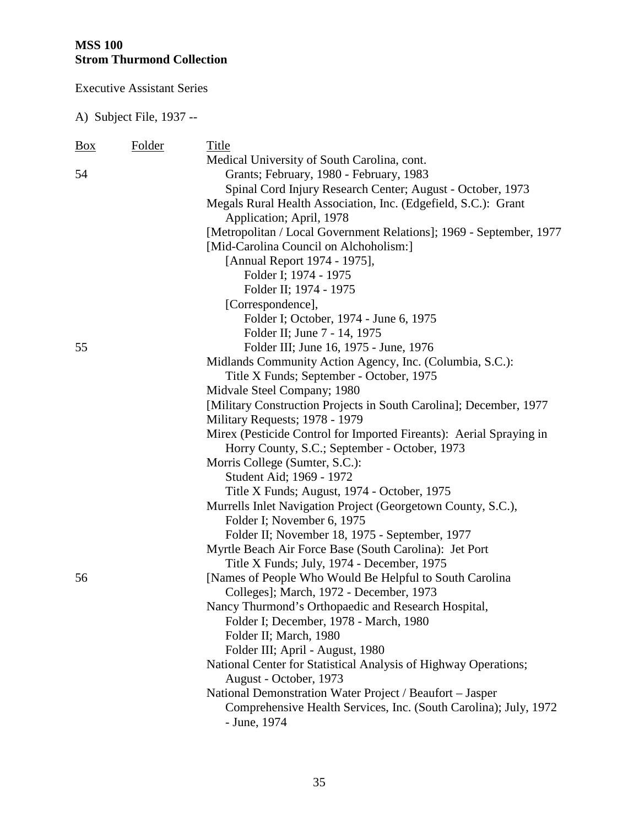Executive Assistant Series

| <b>Box</b> | <b>Folder</b> | Title                                                               |
|------------|---------------|---------------------------------------------------------------------|
|            |               | Medical University of South Carolina, cont.                         |
| 54         |               | Grants; February, 1980 - February, 1983                             |
|            |               | Spinal Cord Injury Research Center; August - October, 1973          |
|            |               | Megals Rural Health Association, Inc. (Edgefield, S.C.): Grant      |
|            |               | Application; April, 1978                                            |
|            |               | [Metropolitan / Local Government Relations]; 1969 - September, 1977 |
|            |               | [Mid-Carolina Council on Alchoholism:]                              |
|            |               | [Annual Report 1974 - 1975],                                        |
|            |               | Folder I; 1974 - 1975                                               |
|            |               | Folder II; 1974 - 1975                                              |
|            |               | [Correspondence],                                                   |
|            |               | Folder I; October, 1974 - June 6, 1975                              |
|            |               | Folder II; June 7 - 14, 1975                                        |
| 55         |               | Folder III; June 16, 1975 - June, 1976                              |
|            |               | Midlands Community Action Agency, Inc. (Columbia, S.C.):            |
|            |               | Title X Funds; September - October, 1975                            |
|            |               | Midvale Steel Company; 1980                                         |
|            |               | [Military Construction Projects in South Carolina]; December, 1977  |
|            |               | Military Requests; 1978 - 1979                                      |
|            |               | Mirex (Pesticide Control for Imported Fireants): Aerial Spraying in |
|            |               | Horry County, S.C.; September - October, 1973                       |
|            |               | Morris College (Sumter, S.C.):                                      |
|            |               | Student Aid; 1969 - 1972                                            |
|            |               | Title X Funds; August, 1974 - October, 1975                         |
|            |               | Murrells Inlet Navigation Project (Georgetown County, S.C.),        |
|            |               | Folder I; November 6, 1975                                          |
|            |               | Folder II; November 18, 1975 - September, 1977                      |
|            |               | Myrtle Beach Air Force Base (South Carolina): Jet Port              |
|            |               | Title X Funds; July, 1974 - December, 1975                          |
| 56         |               | [Names of People Who Would Be Helpful to South Carolina]            |
|            |               | Colleges]; March, 1972 - December, 1973                             |
|            |               | Nancy Thurmond's Orthopaedic and Research Hospital,                 |
|            |               | Folder I; December, 1978 - March, 1980                              |
|            |               | Folder II; March, 1980                                              |
|            |               | Folder III; April - August, 1980                                    |
|            |               | National Center for Statistical Analysis of Highway Operations;     |
|            |               | August - October, 1973                                              |
|            |               | National Demonstration Water Project / Beaufort - Jasper            |
|            |               | Comprehensive Health Services, Inc. (South Carolina); July, 1972    |
|            |               | - June, 1974                                                        |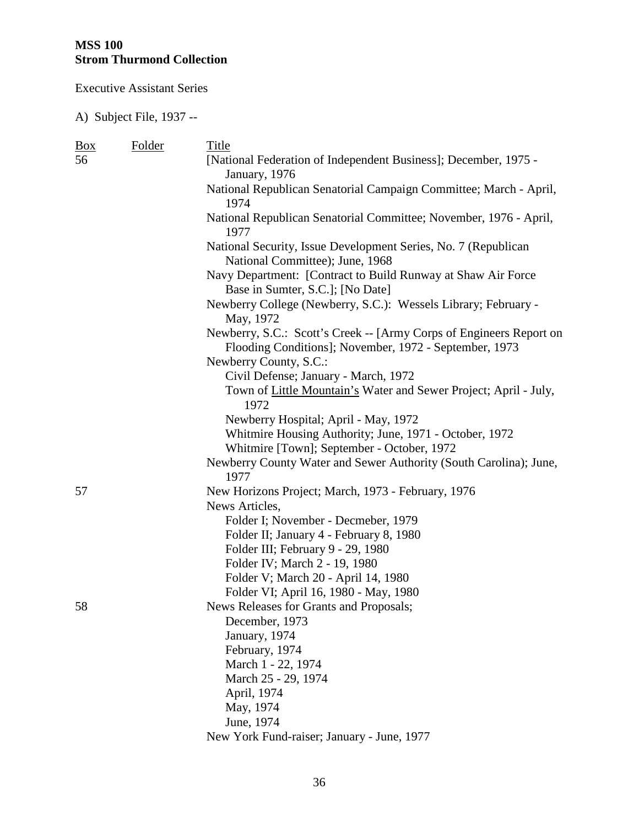Executive Assistant Series

| $\frac{Box}{}$ | Folder | Title                                                                                                                                                   |
|----------------|--------|---------------------------------------------------------------------------------------------------------------------------------------------------------|
| 56             |        | [National Federation of Independent Business]; December, 1975 -<br>January, 1976                                                                        |
|                |        | National Republican Senatorial Campaign Committee; March - April,<br>1974                                                                               |
|                |        | National Republican Senatorial Committee; November, 1976 - April,<br>1977                                                                               |
|                |        | National Security, Issue Development Series, No. 7 (Republican<br>National Committee); June, 1968                                                       |
|                |        | Navy Department: [Contract to Build Runway at Shaw Air Force<br>Base in Sumter, S.C.]; [No Date]                                                        |
|                |        | Newberry College (Newberry, S.C.): Wessels Library; February -<br>May, 1972                                                                             |
|                |        | Newberry, S.C.: Scott's Creek -- [Army Corps of Engineers Report on<br>Flooding Conditions]; November, 1972 - September, 1973<br>Newberry County, S.C.: |
|                |        | Civil Defense; January - March, 1972                                                                                                                    |
|                |        | Town of Little Mountain's Water and Sewer Project; April - July,<br>1972                                                                                |
|                |        | Newberry Hospital; April - May, 1972                                                                                                                    |
|                |        | Whitmire Housing Authority; June, 1971 - October, 1972                                                                                                  |
|                |        | Whitmire [Town]; September - October, 1972                                                                                                              |
|                |        | Newberry County Water and Sewer Authority (South Carolina); June,<br>1977                                                                               |
| 57             |        | New Horizons Project; March, 1973 - February, 1976                                                                                                      |
|                |        | News Articles,                                                                                                                                          |
|                |        | Folder I; November - Decmeber, 1979                                                                                                                     |
|                |        | Folder II; January 4 - February 8, 1980                                                                                                                 |
|                |        | Folder III; February 9 - 29, 1980                                                                                                                       |
|                |        | Folder IV; March 2 - 19, 1980                                                                                                                           |
|                |        | Folder V; March 20 - April 14, 1980                                                                                                                     |
|                |        | Folder VI; April 16, 1980 - May, 1980                                                                                                                   |
| 58             |        | News Releases for Grants and Proposals;                                                                                                                 |
|                |        | December, 1973                                                                                                                                          |
|                |        | January, 1974                                                                                                                                           |
|                |        | February, 1974                                                                                                                                          |
|                |        | March 1 - 22, 1974                                                                                                                                      |
|                |        | March 25 - 29, 1974                                                                                                                                     |
|                |        | April, 1974                                                                                                                                             |
|                |        | May, 1974                                                                                                                                               |
|                |        | June, 1974                                                                                                                                              |
|                |        | New York Fund-raiser; January - June, 1977                                                                                                              |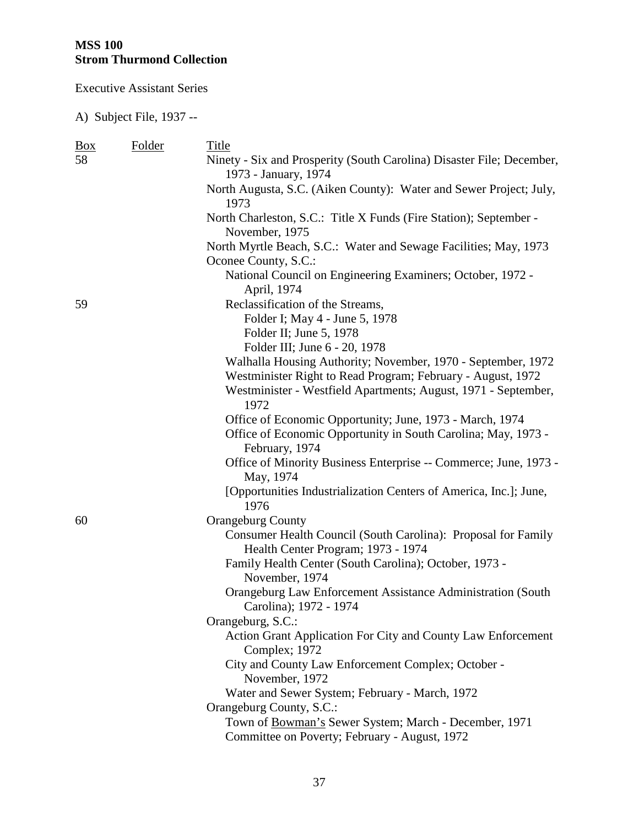Executive Assistant Series

| $\frac{Box}{}$ | Folder | Title                                                                                               |
|----------------|--------|-----------------------------------------------------------------------------------------------------|
| 58             |        | Ninety - Six and Prosperity (South Carolina) Disaster File; December,<br>1973 - January, 1974       |
|                |        | North Augusta, S.C. (Aiken County): Water and Sewer Project; July,<br>1973                          |
|                |        | North Charleston, S.C.: Title X Funds (Fire Station); September -<br>November, 1975                 |
|                |        | North Myrtle Beach, S.C.: Water and Sewage Facilities; May, 1973<br>Oconee County, S.C.:            |
|                |        | National Council on Engineering Examiners; October, 1972 -<br>April, 1974                           |
| 59             |        | Reclassification of the Streams,                                                                    |
|                |        | Folder I; May 4 - June 5, 1978                                                                      |
|                |        | Folder II; June 5, 1978                                                                             |
|                |        | Folder III; June 6 - 20, 1978                                                                       |
|                |        | Walhalla Housing Authority; November, 1970 - September, 1972                                        |
|                |        | Westminister Right to Read Program; February - August, 1972                                         |
|                |        | Westminister - Westfield Apartments; August, 1971 - September,<br>1972                              |
|                |        | Office of Economic Opportunity; June, 1973 - March, 1974                                            |
|                |        | Office of Economic Opportunity in South Carolina; May, 1973 -<br>February, 1974                     |
|                |        | Office of Minority Business Enterprise -- Commerce; June, 1973 -<br>May, 1974                       |
|                |        | [Opportunities Industrialization Centers of America, Inc.]; June,<br>1976                           |
| 60             |        | <b>Orangeburg County</b>                                                                            |
|                |        | Consumer Health Council (South Carolina): Proposal for Family<br>Health Center Program; 1973 - 1974 |
|                |        | Family Health Center (South Carolina); October, 1973 -<br>November, 1974                            |
|                |        | Orangeburg Law Enforcement Assistance Administration (South<br>Carolina); 1972 - 1974               |
|                |        | Orangeburg, S.C.:                                                                                   |
|                |        | Action Grant Application For City and County Law Enforcement<br>Complex; 1972                       |
|                |        | City and County Law Enforcement Complex; October -                                                  |
|                |        | November, 1972                                                                                      |
|                |        | Water and Sewer System; February - March, 1972                                                      |
|                |        | Orangeburg County, S.C.:<br>Town of Bowman's Sewer System; March - December, 1971                   |
|                |        | Committee on Poverty; February - August, 1972                                                       |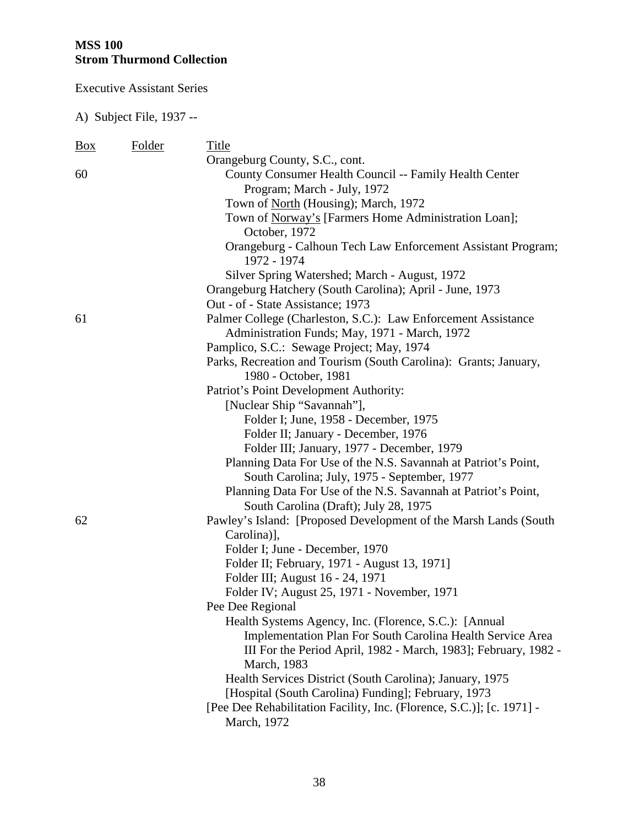Executive Assistant Series

| <b>Box</b> | Folder | Title                                                                       |
|------------|--------|-----------------------------------------------------------------------------|
|            |        | Orangeburg County, S.C., cont.                                              |
| 60         |        | County Consumer Health Council -- Family Health Center                      |
|            |        | Program; March - July, 1972                                                 |
|            |        | Town of <u>North</u> (Housing); March, 1972                                 |
|            |        | Town of Norway's [Farmers Home Administration Loan];                        |
|            |        | October, 1972                                                               |
|            |        | Orangeburg - Calhoun Tech Law Enforcement Assistant Program;<br>1972 - 1974 |
|            |        | Silver Spring Watershed; March - August, 1972                               |
|            |        | Orangeburg Hatchery (South Carolina); April - June, 1973                    |
|            |        | Out - of - State Assistance; 1973                                           |
| 61         |        | Palmer College (Charleston, S.C.): Law Enforcement Assistance               |
|            |        | Administration Funds; May, 1971 - March, 1972                               |
|            |        | Pamplico, S.C.: Sewage Project; May, 1974                                   |
|            |        | Parks, Recreation and Tourism (South Carolina): Grants; January,            |
|            |        | 1980 - October, 1981                                                        |
|            |        | Patriot's Point Development Authority:                                      |
|            |        | [Nuclear Ship "Savannah"],                                                  |
|            |        | Folder I; June, 1958 - December, 1975                                       |
|            |        | Folder II; January - December, 1976                                         |
|            |        | Folder III; January, 1977 - December, 1979                                  |
|            |        | Planning Data For Use of the N.S. Savannah at Patriot's Point,              |
|            |        | South Carolina; July, 1975 - September, 1977                                |
|            |        | Planning Data For Use of the N.S. Savannah at Patriot's Point,              |
|            |        | South Carolina (Draft); July 28, 1975                                       |
| 62         |        | Pawley's Island: [Proposed Development of the Marsh Lands (South            |
|            |        | Carolina)],                                                                 |
|            |        | Folder I; June - December, 1970                                             |
|            |        | Folder II; February, 1971 - August 13, 1971]                                |
|            |        | Folder III; August 16 - 24, 1971                                            |
|            |        | Folder IV; August 25, 1971 - November, 1971                                 |
|            |        | Pee Dee Regional                                                            |
|            |        | Health Systems Agency, Inc. (Florence, S.C.): [Annual]                      |
|            |        | Implementation Plan For South Carolina Health Service Area                  |
|            |        | III For the Period April, 1982 - March, 1983]; February, 1982 -             |
|            |        | March, 1983                                                                 |
|            |        | Health Services District (South Carolina); January, 1975                    |
|            |        | [Hospital (South Carolina) Funding]; February, 1973                         |
|            |        | [Pee Dee Rehabilitation Facility, Inc. (Florence, S.C.)]; [c. 1971] -       |
|            |        | March, 1972                                                                 |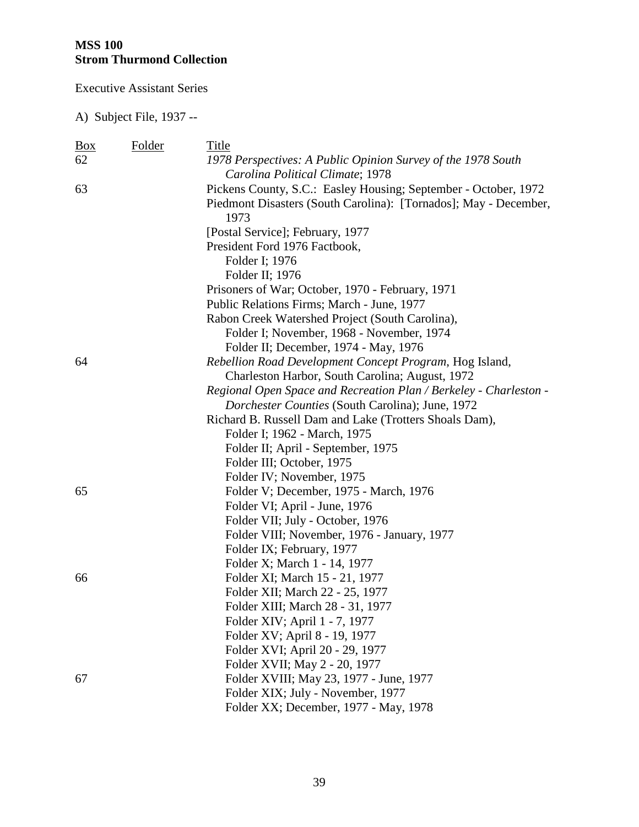Executive Assistant Series

| $\frac{Box}{angle}$ | <b>Folder</b> | Title                                                             |
|---------------------|---------------|-------------------------------------------------------------------|
| 62                  |               | 1978 Perspectives: A Public Opinion Survey of the 1978 South      |
|                     |               | Carolina Political Climate; 1978                                  |
| 63                  |               | Pickens County, S.C.: Easley Housing; September - October, 1972   |
|                     |               | Piedmont Disasters (South Carolina): [Tornados]; May - December,  |
|                     |               | 1973                                                              |
|                     |               | [Postal Service]; February, 1977                                  |
|                     |               | President Ford 1976 Factbook,                                     |
|                     |               | Folder I; 1976                                                    |
|                     |               | Folder II; 1976                                                   |
|                     |               | Prisoners of War; October, 1970 - February, 1971                  |
|                     |               | Public Relations Firms; March - June, 1977                        |
|                     |               | Rabon Creek Watershed Project (South Carolina),                   |
|                     |               | Folder I; November, 1968 - November, 1974                         |
|                     |               | Folder II; December, 1974 - May, 1976                             |
| 64                  |               | Rebellion Road Development Concept Program, Hog Island,           |
|                     |               | Charleston Harbor, South Carolina; August, 1972                   |
|                     |               | Regional Open Space and Recreation Plan / Berkeley - Charleston - |
|                     |               | Dorchester Counties (South Carolina); June, 1972                  |
|                     |               | Richard B. Russell Dam and Lake (Trotters Shoals Dam),            |
|                     |               | Folder I; 1962 - March, 1975                                      |
|                     |               | Folder II; April - September, 1975                                |
|                     |               | Folder III; October, 1975                                         |
|                     |               | Folder IV; November, 1975                                         |
| 65                  |               | Folder V; December, 1975 - March, 1976                            |
|                     |               | Folder VI; April - June, 1976                                     |
|                     |               | Folder VII; July - October, 1976                                  |
|                     |               | Folder VIII; November, 1976 - January, 1977                       |
|                     |               | Folder IX; February, 1977                                         |
|                     |               | Folder X; March 1 - 14, 1977                                      |
| 66                  |               | Folder XI; March 15 - 21, 1977                                    |
|                     |               | Folder XII; March 22 - 25, 1977                                   |
|                     |               | Folder XIII; March 28 - 31, 1977                                  |
|                     |               | Folder XIV; April 1 - 7, 1977                                     |
|                     |               | Folder XV; April 8 - 19, 1977                                     |
|                     |               | Folder XVI; April 20 - 29, 1977                                   |
|                     |               | Folder XVII; May 2 - 20, 1977                                     |
| 67                  |               | Folder XVIII; May 23, 1977 - June, 1977                           |
|                     |               | Folder XIX; July - November, 1977                                 |
|                     |               | Folder XX; December, 1977 - May, 1978                             |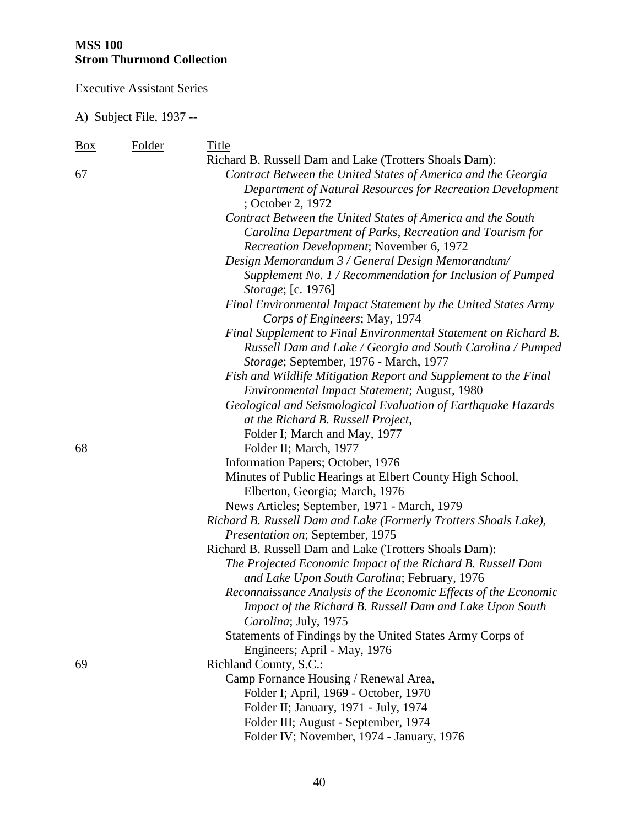Executive Assistant Series

| $\frac{Box}{angle}$ | Folder | Title                                                                            |
|---------------------|--------|----------------------------------------------------------------------------------|
|                     |        | Richard B. Russell Dam and Lake (Trotters Shoals Dam):                           |
| 67                  |        | Contract Between the United States of America and the Georgia                    |
|                     |        | Department of Natural Resources for Recreation Development                       |
|                     |        | ; October 2, 1972                                                                |
|                     |        | Contract Between the United States of America and the South                      |
|                     |        | Carolina Department of Parks, Recreation and Tourism for                         |
|                     |        | Recreation Development; November 6, 1972                                         |
|                     |        | Design Memorandum 3 / General Design Memorandum/                                 |
|                     |        | Supplement No. 1 / Recommendation for Inclusion of Pumped                        |
|                     |        | <i>Storage</i> ; [c. 1976]                                                       |
|                     |        | Final Environmental Impact Statement by the United States Army                   |
|                     |        | Corps of Engineers; May, 1974                                                    |
|                     |        | Final Supplement to Final Environmental Statement on Richard B.                  |
|                     |        | Russell Dam and Lake / Georgia and South Carolina / Pumped                       |
|                     |        | Storage; September, 1976 - March, 1977                                           |
|                     |        | Fish and Wildlife Mitigation Report and Supplement to the Final                  |
|                     |        | Environmental Impact Statement; August, 1980                                     |
|                     |        | Geological and Seismological Evaluation of Earthquake Hazards                    |
|                     |        | at the Richard B. Russell Project,                                               |
|                     |        | Folder I; March and May, 1977                                                    |
| 68                  |        | Folder II; March, 1977                                                           |
|                     |        | Information Papers; October, 1976                                                |
|                     |        | Minutes of Public Hearings at Elbert County High School,                         |
|                     |        | Elberton, Georgia; March, 1976                                                   |
|                     |        | News Articles; September, 1971 - March, 1979                                     |
|                     |        | Richard B. Russell Dam and Lake (Formerly Trotters Shoals Lake),                 |
|                     |        | Presentation on; September, 1975                                                 |
|                     |        | Richard B. Russell Dam and Lake (Trotters Shoals Dam):                           |
|                     |        | The Projected Economic Impact of the Richard B. Russell Dam                      |
|                     |        | and Lake Upon South Carolina; February, 1976                                     |
|                     |        | Reconnaissance Analysis of the Economic Effects of the Economic                  |
|                     |        | Impact of the Richard B. Russell Dam and Lake Upon South<br>Carolina; July, 1975 |
|                     |        | Statements of Findings by the United States Army Corps of                        |
|                     |        | Engineers; April - May, 1976                                                     |
| 69                  |        | Richland County, S.C.:                                                           |
|                     |        | Camp Fornance Housing / Renewal Area,                                            |
|                     |        | Folder I; April, 1969 - October, 1970                                            |
|                     |        | Folder II; January, 1971 - July, 1974                                            |
|                     |        | Folder III; August - September, 1974                                             |
|                     |        | Folder IV; November, 1974 - January, 1976                                        |
|                     |        |                                                                                  |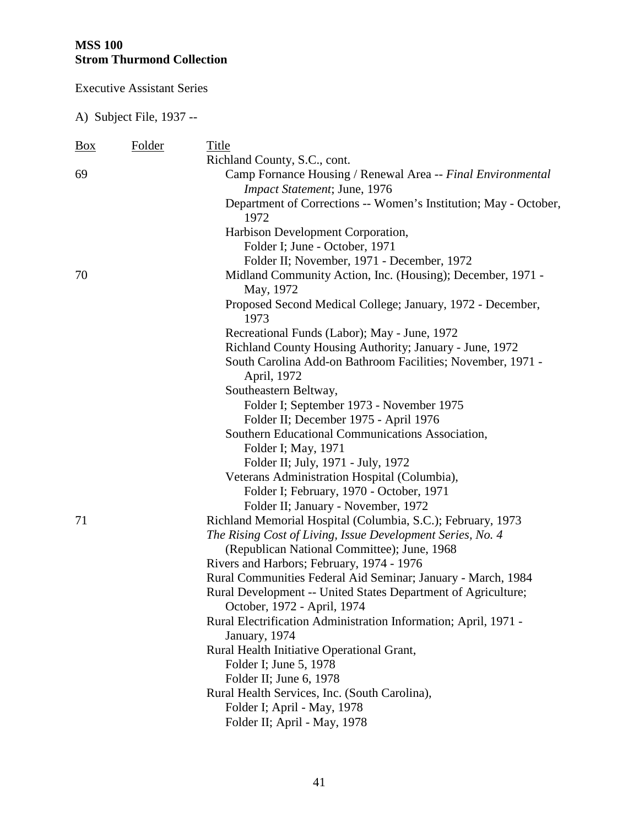Executive Assistant Series

| $\frac{Box}{angle}$ | Folder | Title                                                                   |
|---------------------|--------|-------------------------------------------------------------------------|
|                     |        | Richland County, S.C., cont.                                            |
| 69                  |        | Camp Fornance Housing / Renewal Area -- Final Environmental             |
|                     |        | Impact Statement; June, 1976                                            |
|                     |        | Department of Corrections -- Women's Institution; May - October,        |
|                     |        | 1972                                                                    |
|                     |        | Harbison Development Corporation,                                       |
|                     |        | Folder I; June - October, 1971                                          |
|                     |        | Folder II; November, 1971 - December, 1972                              |
| 70                  |        | Midland Community Action, Inc. (Housing); December, 1971 -<br>May, 1972 |
|                     |        | Proposed Second Medical College; January, 1972 - December,<br>1973      |
|                     |        | Recreational Funds (Labor); May - June, 1972                            |
|                     |        | Richland County Housing Authority; January - June, 1972                 |
|                     |        | South Carolina Add-on Bathroom Facilities; November, 1971 -             |
|                     |        | April, 1972                                                             |
|                     |        | Southeastern Beltway,                                                   |
|                     |        | Folder I; September 1973 - November 1975                                |
|                     |        | Folder II; December 1975 - April 1976                                   |
|                     |        | Southern Educational Communications Association,                        |
|                     |        | Folder I; May, 1971                                                     |
|                     |        | Folder II; July, 1971 - July, 1972                                      |
|                     |        | Veterans Administration Hospital (Columbia),                            |
|                     |        | Folder I; February, 1970 - October, 1971                                |
|                     |        | Folder II; January - November, 1972                                     |
| 71                  |        | Richland Memorial Hospital (Columbia, S.C.); February, 1973             |
|                     |        | The Rising Cost of Living, Issue Development Series, No. 4              |
|                     |        | (Republican National Committee); June, 1968                             |
|                     |        | Rivers and Harbors; February, 1974 - 1976                               |
|                     |        | Rural Communities Federal Aid Seminar; January - March, 1984            |
|                     |        | Rural Development -- United States Department of Agriculture;           |
|                     |        | October, 1972 - April, 1974                                             |
|                     |        | Rural Electrification Administration Information; April, 1971 -         |
|                     |        | January, 1974                                                           |
|                     |        | Rural Health Initiative Operational Grant,                              |
|                     |        | Folder I; June 5, 1978                                                  |
|                     |        | Folder II; June 6, 1978                                                 |
|                     |        | Rural Health Services, Inc. (South Carolina),                           |
|                     |        | Folder I; April - May, 1978                                             |
|                     |        | Folder II; April - May, 1978                                            |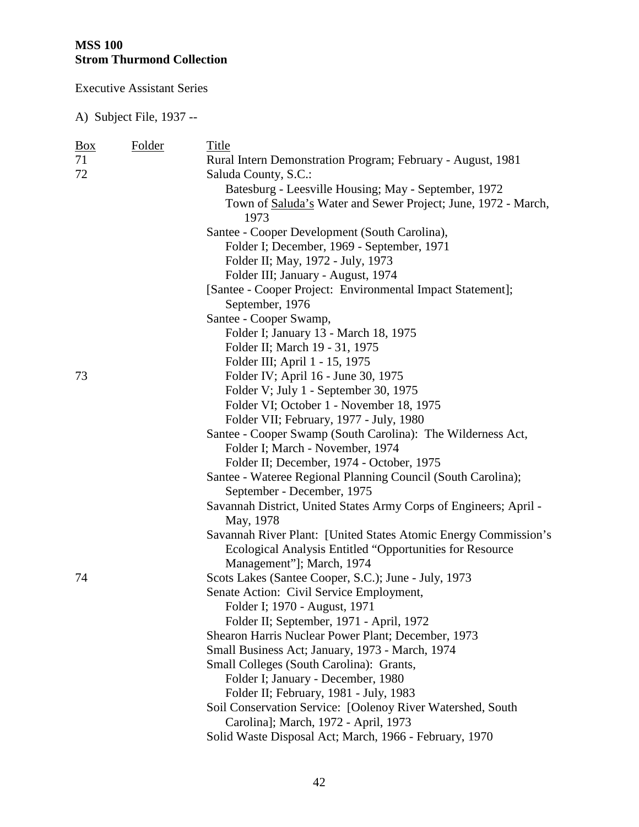Executive Assistant Series

| $\underline{Box}$ | Folder | Title                                                                |
|-------------------|--------|----------------------------------------------------------------------|
| 71                |        | Rural Intern Demonstration Program; February - August, 1981          |
| 72                |        | Saluda County, S.C.:                                                 |
|                   |        | Batesburg - Leesville Housing; May - September, 1972                 |
|                   |        | Town of <b>Saluda's</b> Water and Sewer Project; June, 1972 - March, |
|                   |        | 1973                                                                 |
|                   |        | Santee - Cooper Development (South Carolina),                        |
|                   |        | Folder I; December, 1969 - September, 1971                           |
|                   |        | Folder II; May, 1972 - July, 1973                                    |
|                   |        | Folder III; January - August, 1974                                   |
|                   |        | [Santee - Cooper Project: Environmental Impact Statement];           |
|                   |        | September, 1976                                                      |
|                   |        | Santee - Cooper Swamp,                                               |
|                   |        | Folder I; January 13 - March 18, 1975                                |
|                   |        | Folder II; March 19 - 31, 1975                                       |
|                   |        | Folder III; April 1 - 15, 1975                                       |
| 73                |        | Folder IV; April 16 - June 30, 1975                                  |
|                   |        | Folder V; July 1 - September 30, 1975                                |
|                   |        | Folder VI; October 1 - November 18, 1975                             |
|                   |        | Folder VII; February, 1977 - July, 1980                              |
|                   |        | Santee - Cooper Swamp (South Carolina): The Wilderness Act,          |
|                   |        | Folder I; March - November, 1974                                     |
|                   |        | Folder II; December, 1974 - October, 1975                            |
|                   |        | Santee - Wateree Regional Planning Council (South Carolina);         |
|                   |        | September - December, 1975                                           |
|                   |        | Savannah District, United States Army Corps of Engineers; April -    |
|                   |        | May, 1978                                                            |
|                   |        | Savannah River Plant: [United States Atomic Energy Commission's      |
|                   |        | Ecological Analysis Entitled "Opportunities for Resource             |
|                   |        | Management"]; March, 1974                                            |
| 74                |        | Scots Lakes (Santee Cooper, S.C.); June - July, 1973                 |
|                   |        | Senate Action: Civil Service Employment,                             |
|                   |        | Folder I; 1970 - August, 1971                                        |
|                   |        | Folder II; September, 1971 - April, 1972                             |
|                   |        | Shearon Harris Nuclear Power Plant; December, 1973                   |
|                   |        | Small Business Act; January, 1973 - March, 1974                      |
|                   |        | Small Colleges (South Carolina): Grants,                             |
|                   |        | Folder I; January - December, 1980                                   |
|                   |        | Folder II; February, 1981 - July, 1983                               |
|                   |        | Soil Conservation Service: [Oolenoy River Watershed, South           |
|                   |        | Carolina]; March, 1972 - April, 1973                                 |
|                   |        | Solid Waste Disposal Act; March, 1966 - February, 1970               |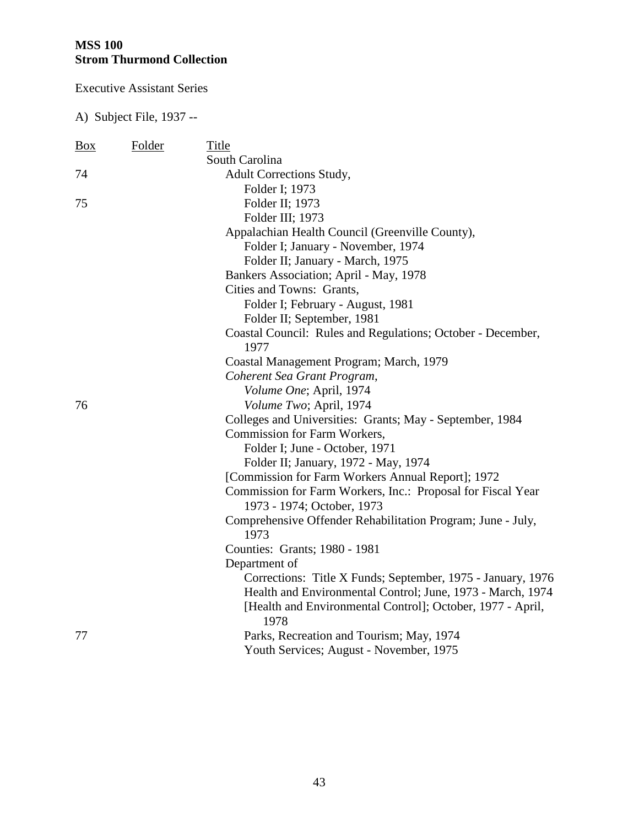Executive Assistant Series

| <b>Box</b> | Folder | Title                                                       |
|------------|--------|-------------------------------------------------------------|
|            |        | South Carolina                                              |
| 74         |        | <b>Adult Corrections Study,</b>                             |
|            |        | Folder I; 1973                                              |
| 75         |        | Folder II; 1973                                             |
|            |        | Folder III; 1973                                            |
|            |        | Appalachian Health Council (Greenville County),             |
|            |        | Folder I; January - November, 1974                          |
|            |        | Folder II; January - March, 1975                            |
|            |        | Bankers Association; April - May, 1978                      |
|            |        | Cities and Towns: Grants,                                   |
|            |        | Folder I; February - August, 1981                           |
|            |        | Folder II; September, 1981                                  |
|            |        | Coastal Council: Rules and Regulations; October - December, |
|            |        | 1977                                                        |
|            |        | Coastal Management Program; March, 1979                     |
|            |        | Coherent Sea Grant Program,                                 |
|            |        | Volume One; April, 1974                                     |
| 76         |        | Volume Two; April, 1974                                     |
|            |        | Colleges and Universities: Grants; May - September, 1984    |
|            |        | Commission for Farm Workers,                                |
|            |        | Folder I; June - October, 1971                              |
|            |        | Folder II; January, 1972 - May, 1974                        |
|            |        | [Commission for Farm Workers Annual Report]; 1972           |
|            |        | Commission for Farm Workers, Inc.: Proposal for Fiscal Year |
|            |        | 1973 - 1974; October, 1973                                  |
|            |        | Comprehensive Offender Rehabilitation Program; June - July, |
|            |        | 1973                                                        |
|            |        | Counties: Grants; 1980 - 1981                               |
|            |        | Department of                                               |
|            |        | Corrections: Title X Funds; September, 1975 - January, 1976 |
|            |        | Health and Environmental Control; June, 1973 - March, 1974  |
|            |        | [Health and Environmental Control]; October, 1977 - April,  |
|            |        | 1978                                                        |
| 77         |        | Parks, Recreation and Tourism; May, 1974                    |
|            |        | Youth Services; August - November, 1975                     |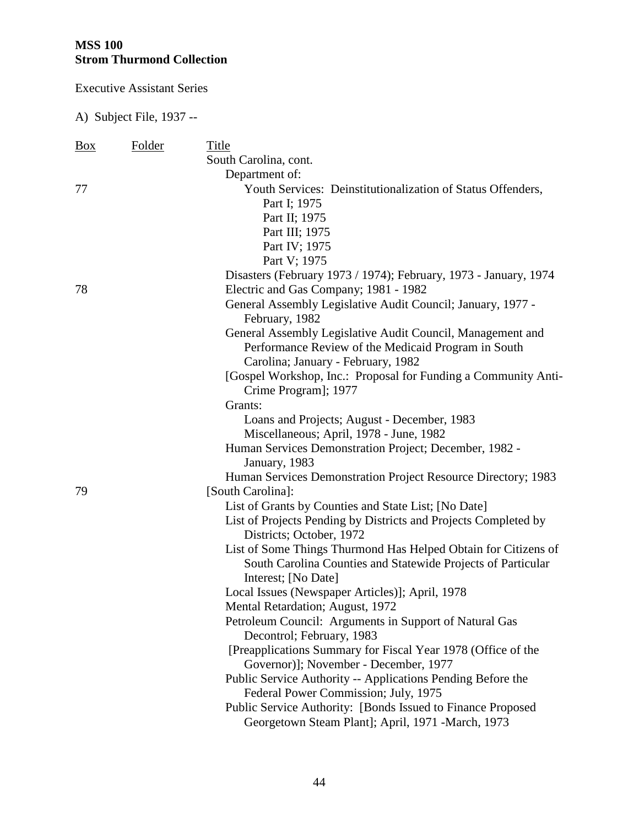Executive Assistant Series

| <b>Box</b> | Folder | Title                                                                                       |
|------------|--------|---------------------------------------------------------------------------------------------|
|            |        | South Carolina, cont.                                                                       |
|            |        | Department of:                                                                              |
| 77         |        | Youth Services: Deinstitutionalization of Status Offenders,                                 |
|            |        | Part I; 1975                                                                                |
|            |        | Part II; 1975                                                                               |
|            |        | Part III; 1975                                                                              |
|            |        | Part IV; 1975                                                                               |
|            |        | Part V; 1975                                                                                |
|            |        | Disasters (February 1973 / 1974); February, 1973 - January, 1974                            |
| 78         |        | Electric and Gas Company; 1981 - 1982                                                       |
|            |        | General Assembly Legislative Audit Council; January, 1977 -<br>February, 1982               |
|            |        | General Assembly Legislative Audit Council, Management and                                  |
|            |        | Performance Review of the Medicaid Program in South                                         |
|            |        | Carolina; January - February, 1982                                                          |
|            |        | [Gospel Workshop, Inc.: Proposal for Funding a Community Anti-                              |
|            |        | Crime Program]; 1977                                                                        |
|            |        | Grants:                                                                                     |
|            |        | Loans and Projects; August - December, 1983                                                 |
|            |        | Miscellaneous; April, 1978 - June, 1982                                                     |
|            |        | Human Services Demonstration Project; December, 1982 -                                      |
|            |        | January, 1983                                                                               |
|            |        | Human Services Demonstration Project Resource Directory; 1983                               |
| 79         |        | [South Carolina]:                                                                           |
|            |        | List of Grants by Counties and State List; [No Date]                                        |
|            |        | List of Projects Pending by Districts and Projects Completed by<br>Districts; October, 1972 |
|            |        | List of Some Things Thurmond Has Helped Obtain for Citizens of                              |
|            |        | South Carolina Counties and Statewide Projects of Particular                                |
|            |        | Interest; [No Date]                                                                         |
|            |        | Local Issues (Newspaper Articles)]; April, 1978                                             |
|            |        | Mental Retardation; August, 1972                                                            |
|            |        | Petroleum Council: Arguments in Support of Natural Gas                                      |
|            |        | Decontrol; February, 1983                                                                   |
|            |        | [Preapplications Summary for Fiscal Year 1978 (Office of the                                |
|            |        | Governor)]; November - December, 1977                                                       |
|            |        | Public Service Authority -- Applications Pending Before the                                 |
|            |        | Federal Power Commission; July, 1975                                                        |
|            |        | Public Service Authority: [Bonds Issued to Finance Proposed                                 |
|            |        | Georgetown Steam Plant]; April, 1971 -March, 1973                                           |
|            |        |                                                                                             |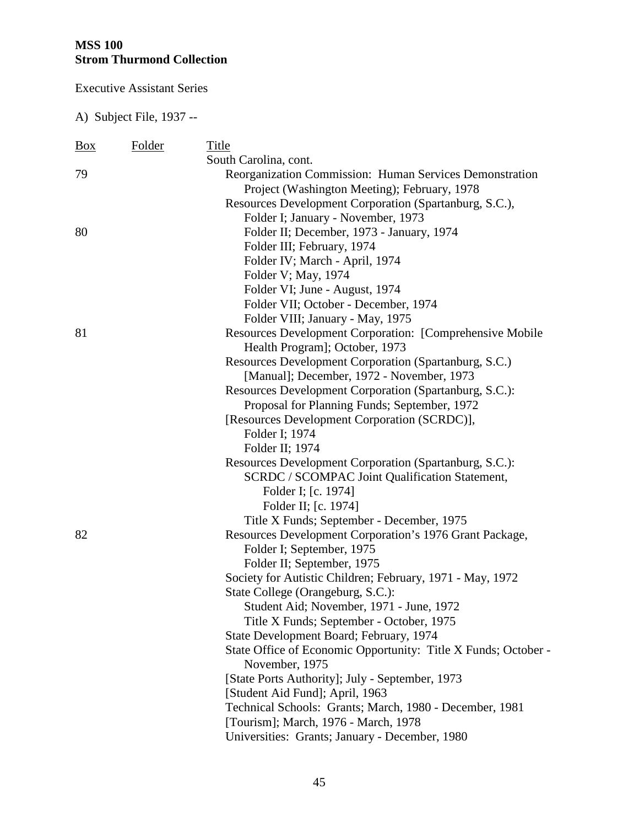Executive Assistant Series

| Box | Folder | Title                                                                                          |
|-----|--------|------------------------------------------------------------------------------------------------|
|     |        | South Carolina, cont.                                                                          |
| 79  |        | Reorganization Commission: Human Services Demonstration                                        |
|     |        | Project (Washington Meeting); February, 1978                                                   |
|     |        | Resources Development Corporation (Spartanburg, S.C.),                                         |
|     |        | Folder I; January - November, 1973                                                             |
| 80  |        | Folder II; December, 1973 - January, 1974                                                      |
|     |        | Folder III; February, 1974                                                                     |
|     |        | Folder IV; March - April, 1974                                                                 |
|     |        | Folder V; May, 1974                                                                            |
|     |        | Folder VI; June - August, 1974                                                                 |
|     |        | Folder VII; October - December, 1974                                                           |
|     |        | Folder VIII; January - May, 1975                                                               |
| 81  |        | Resources Development Corporation: [Comprehensive Mobile                                       |
|     |        | Health Program]; October, 1973                                                                 |
|     |        | Resources Development Corporation (Spartanburg, S.C.)                                          |
|     |        | [Manual]; December, 1972 - November, 1973                                                      |
|     |        | Resources Development Corporation (Spartanburg, S.C.):                                         |
|     |        | Proposal for Planning Funds; September, 1972                                                   |
|     |        | [Resources Development Corporation (SCRDC)],                                                   |
|     |        | Folder I; 1974                                                                                 |
|     |        | Folder II; 1974                                                                                |
|     |        | Resources Development Corporation (Spartanburg, S.C.):                                         |
|     |        | <b>SCRDC / SCOMPAC Joint Qualification Statement,</b>                                          |
|     |        | Folder I; [c. 1974]                                                                            |
|     |        | Folder II; [c. 1974]                                                                           |
|     |        | Title X Funds; September - December, 1975                                                      |
| 82  |        | Resources Development Corporation's 1976 Grant Package,                                        |
|     |        | Folder I; September, 1975                                                                      |
|     |        | Folder II; September, 1975                                                                     |
|     |        | Society for Autistic Children; February, 1971 - May, 1972<br>State College (Orangeburg, S.C.): |
|     |        |                                                                                                |
|     |        | Student Aid; November, 1971 - June, 1972<br>Title X Funds; September - October, 1975           |
|     |        | State Development Board; February, 1974                                                        |
|     |        | State Office of Economic Opportunity: Title X Funds; October -                                 |
|     |        | November, 1975                                                                                 |
|     |        | [State Ports Authority]; July - September, 1973                                                |
|     |        | [Student Aid Fund]; April, 1963                                                                |
|     |        | Technical Schools: Grants; March, 1980 - December, 1981                                        |
|     |        | [Tourism]; March, 1976 - March, 1978                                                           |
|     |        | Universities: Grants; January - December, 1980                                                 |
|     |        |                                                                                                |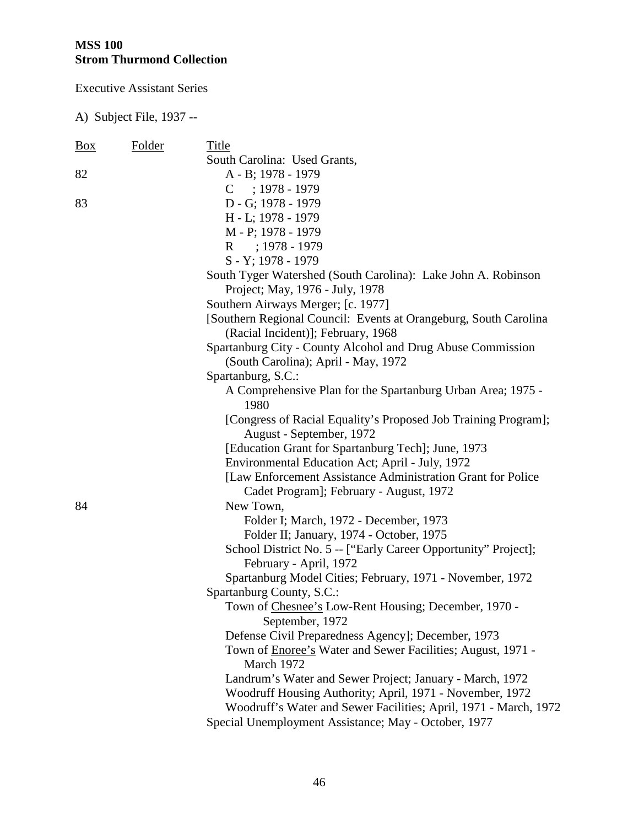Executive Assistant Series

| <b>Box</b> | Folder | Title                                                               |
|------------|--------|---------------------------------------------------------------------|
|            |        | South Carolina: Used Grants,                                        |
| 82         |        | A - B; 1978 - 1979                                                  |
|            |        | $C$ ; 1978 - 1979                                                   |
| 83         |        | D - G; 1978 - 1979                                                  |
|            |        | H - L; 1978 - 1979                                                  |
|            |        | M - P; 1978 - 1979                                                  |
|            |        | R : 1978 - 1979                                                     |
|            |        | S - Y; 1978 - 1979                                                  |
|            |        | South Tyger Watershed (South Carolina): Lake John A. Robinson       |
|            |        | Project; May, 1976 - July, 1978                                     |
|            |        | Southern Airways Merger; [c. 1977]                                  |
|            |        | [Southern Regional Council: Events at Orangeburg, South Carolina    |
|            |        | (Racial Incident)]; February, 1968                                  |
|            |        | Spartanburg City - County Alcohol and Drug Abuse Commission         |
|            |        | (South Carolina); April - May, 1972                                 |
|            |        | Spartanburg, S.C.:                                                  |
|            |        | A Comprehensive Plan for the Spartanburg Urban Area; 1975 -<br>1980 |
|            |        | [Congress of Racial Equality's Proposed Job Training Program];      |
|            |        | August - September, 1972                                            |
|            |        | [Education Grant for Spartanburg Tech]; June, 1973                  |
|            |        | Environmental Education Act; April - July, 1972                     |
|            |        | [Law Enforcement Assistance Administration Grant for Police]        |
|            |        | Cadet Program]; February - August, 1972                             |
| 84         |        | New Town,                                                           |
|            |        | Folder I; March, 1972 - December, 1973                              |
|            |        | Folder II; January, 1974 - October, 1975                            |
|            |        | School District No. 5 -- ["Early Career Opportunity" Project];      |
|            |        | February - April, 1972                                              |
|            |        | Spartanburg Model Cities; February, 1971 - November, 1972           |
|            |        | Spartanburg County, S.C.:                                           |
|            |        | Town of Chesnee's Low-Rent Housing; December, 1970 -                |
|            |        | September, 1972                                                     |
|            |        | Defense Civil Preparedness Agency]; December, 1973                  |
|            |        | Town of Enoree's Water and Sewer Facilities; August, 1971 -         |
|            |        | March 1972                                                          |
|            |        | Landrum's Water and Sewer Project; January - March, 1972            |
|            |        | Woodruff Housing Authority; April, 1971 - November, 1972            |
|            |        | Woodruff's Water and Sewer Facilities; April, 1971 - March, 1972    |
|            |        | Special Unemployment Assistance; May - October, 1977                |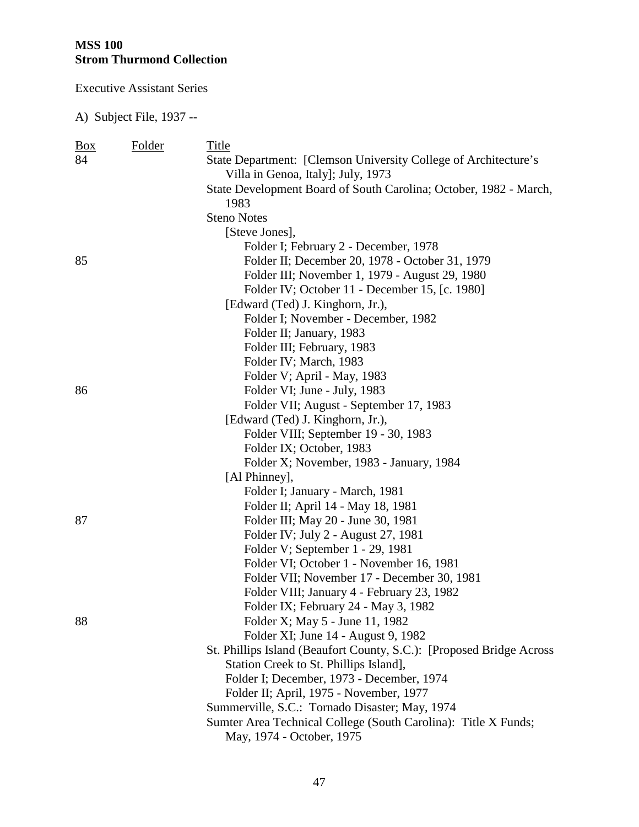Executive Assistant Series

| $\frac{Box}{}$ | <b>Folder</b> | Title                                                                 |
|----------------|---------------|-----------------------------------------------------------------------|
| 84             |               | State Department: [Clemson University College of Architecture's       |
|                |               | Villa in Genoa, Italy]; July, 1973                                    |
|                |               | State Development Board of South Carolina; October, 1982 - March,     |
|                |               | 1983                                                                  |
|                |               | <b>Steno Notes</b>                                                    |
|                |               | [Steve Jones],                                                        |
|                |               | Folder I; February 2 - December, 1978                                 |
| 85             |               | Folder II; December 20, 1978 - October 31, 1979                       |
|                |               | Folder III; November 1, 1979 - August 29, 1980                        |
|                |               | Folder IV; October 11 - December 15, [c. 1980]                        |
|                |               | [Edward (Ted) J. Kinghorn, Jr.),                                      |
|                |               | Folder I; November - December, 1982                                   |
|                |               | Folder II; January, 1983                                              |
|                |               | Folder III; February, 1983                                            |
|                |               | Folder IV; March, 1983                                                |
|                |               | Folder V; April - May, 1983                                           |
| 86             |               | Folder VI; June - July, 1983                                          |
|                |               | Folder VII; August - September 17, 1983                               |
|                |               | [Edward (Ted) J. Kinghorn, Jr.),                                      |
|                |               | Folder VIII; September 19 - 30, 1983                                  |
|                |               | Folder IX; October, 1983                                              |
|                |               | Folder X; November, 1983 - January, 1984                              |
|                |               | [Al Phinney],                                                         |
|                |               | Folder I; January - March, 1981                                       |
|                |               | Folder II; April 14 - May 18, 1981                                    |
| 87             |               | Folder III; May 20 - June 30, 1981                                    |
|                |               | Folder IV; July 2 - August 27, 1981                                   |
|                |               | Folder V; September 1 - 29, 1981                                      |
|                |               | Folder VI; October 1 - November 16, 1981                              |
|                |               | Folder VII; November 17 - December 30, 1981                           |
|                |               | Folder VIII; January 4 - February 23, 1982                            |
|                |               | Folder IX; February 24 - May 3, 1982                                  |
| 88             |               | Folder X; May 5 - June 11, 1982                                       |
|                |               | Folder XI; June 14 - August 9, 1982                                   |
|                |               | St. Phillips Island (Beaufort County, S.C.): [Proposed Bridge Across] |
|                |               | Station Creek to St. Phillips Island],                                |
|                |               | Folder I; December, 1973 - December, 1974                             |
|                |               | Folder II; April, 1975 - November, 1977                               |
|                |               | Summerville, S.C.: Tornado Disaster; May, 1974                        |
|                |               | Sumter Area Technical College (South Carolina): Title X Funds;        |
|                |               | May, 1974 - October, 1975                                             |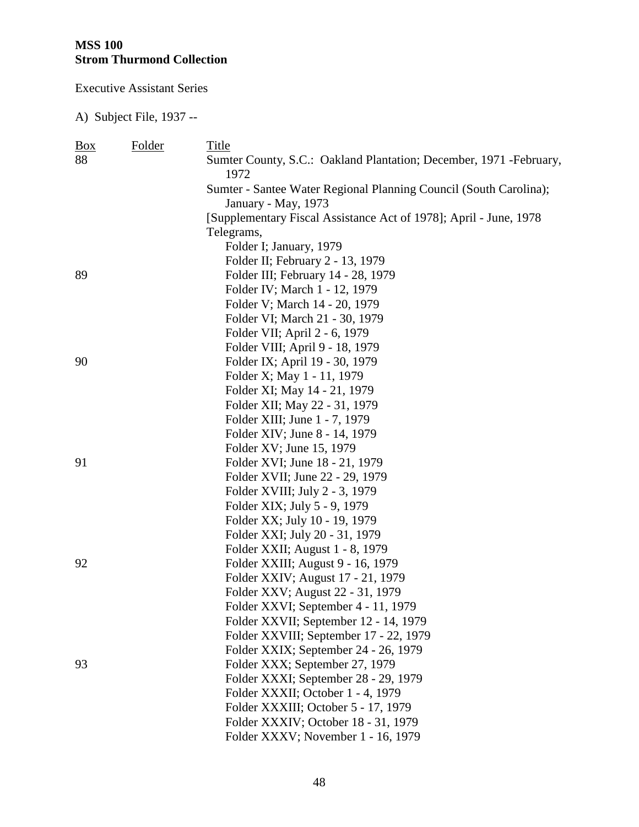Executive Assistant Series

| $\frac{Box}{}$ | Folder | Title                                                                       |
|----------------|--------|-----------------------------------------------------------------------------|
| 88             |        | Sumter County, S.C.: Oakland Plantation; December, 1971 - February,<br>1972 |
|                |        | Sumter - Santee Water Regional Planning Council (South Carolina);           |
|                |        | January - May, 1973                                                         |
|                |        | [Supplementary Fiscal Assistance Act of 1978]; April - June, 1978           |
|                |        | Telegrams,                                                                  |
|                |        | Folder I; January, 1979                                                     |
|                |        | Folder II; February 2 - 13, 1979                                            |
| 89             |        | Folder III; February 14 - 28, 1979                                          |
|                |        | Folder IV; March 1 - 12, 1979                                               |
|                |        | Folder V; March 14 - 20, 1979                                               |
|                |        | Folder VI; March 21 - 30, 1979                                              |
|                |        | Folder VII; April 2 - 6, 1979                                               |
|                |        | Folder VIII; April 9 - 18, 1979                                             |
| 90             |        | Folder IX; April 19 - 30, 1979                                              |
|                |        | Folder X; May 1 - 11, 1979                                                  |
|                |        | Folder XI; May 14 - 21, 1979                                                |
|                |        | Folder XII; May 22 - 31, 1979                                               |
|                |        | Folder XIII; June 1 - 7, 1979                                               |
|                |        | Folder XIV; June 8 - 14, 1979                                               |
|                |        | Folder XV; June 15, 1979                                                    |
| 91             |        | Folder XVI; June 18 - 21, 1979                                              |
|                |        | Folder XVII; June 22 - 29, 1979                                             |
|                |        | Folder XVIII; July 2 - 3, 1979                                              |
|                |        | Folder XIX; July 5 - 9, 1979                                                |
|                |        | Folder XX; July 10 - 19, 1979                                               |
|                |        | Folder XXI; July 20 - 31, 1979                                              |
|                |        | Folder XXII; August 1 - 8, 1979                                             |
| 92             |        | Folder XXIII; August 9 - 16, 1979                                           |
|                |        | Folder XXIV; August 17 - 21, 1979                                           |
|                |        | Folder XXV; August 22 - 31, 1979                                            |
|                |        | Folder XXVI; September 4 - 11, 1979                                         |
|                |        | Folder XXVII; September 12 - 14, 1979                                       |
|                |        | Folder XXVIII; September 17 - 22, 1979                                      |
|                |        | Folder XXIX; September 24 - 26, 1979                                        |
| 93             |        | Folder XXX; September 27, 1979                                              |
|                |        | Folder XXXI; September 28 - 29, 1979                                        |
|                |        | Folder XXXII; October 1 - 4, 1979                                           |
|                |        | Folder XXXIII; October 5 - 17, 1979                                         |
|                |        | Folder XXXIV; October 18 - 31, 1979                                         |
|                |        | Folder XXXV; November 1 - 16, 1979                                          |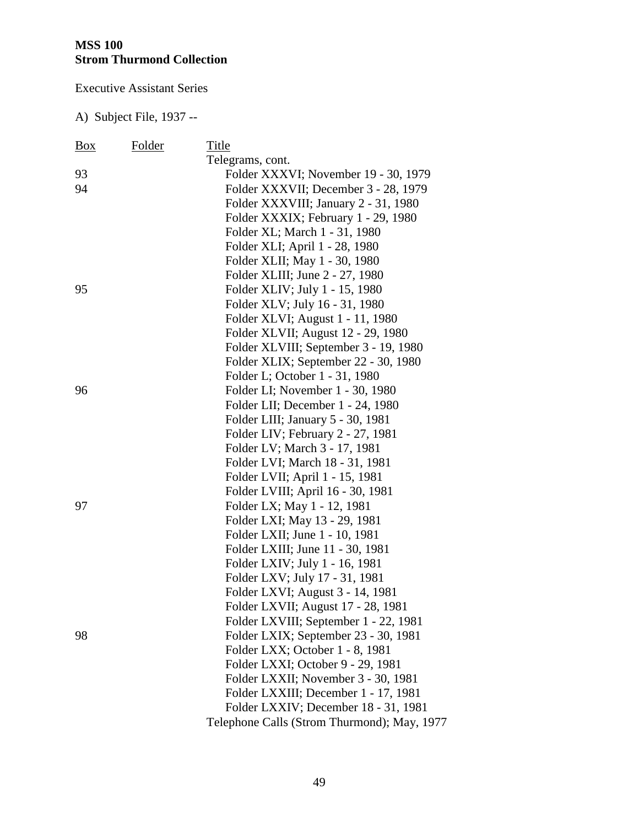Executive Assistant Series

| Box | Folder | Title                                       |
|-----|--------|---------------------------------------------|
|     |        | Telegrams, cont.                            |
| 93  |        | Folder XXXVI; November 19 - 30, 1979        |
| 94  |        | Folder XXXVII; December 3 - 28, 1979        |
|     |        | Folder XXXVIII; January 2 - 31, 1980        |
|     |        | Folder XXXIX; February 1 - 29, 1980         |
|     |        | Folder XL; March 1 - 31, 1980               |
|     |        | Folder XLI; April 1 - 28, 1980              |
|     |        | Folder XLII; May 1 - 30, 1980               |
|     |        | Folder XLIII; June 2 - 27, 1980             |
| 95  |        | Folder XLIV; July 1 - 15, 1980              |
|     |        | Folder XLV; July 16 - 31, 1980              |
|     |        | Folder XLVI; August 1 - 11, 1980            |
|     |        | Folder XLVII; August 12 - 29, 1980          |
|     |        | Folder XLVIII; September 3 - 19, 1980       |
|     |        | Folder XLIX; September 22 - 30, 1980        |
|     |        | Folder L; October 1 - 31, 1980              |
| 96  |        | Folder LI; November 1 - 30, 1980            |
|     |        | Folder LII; December 1 - 24, 1980           |
|     |        | Folder LIII; January 5 - 30, 1981           |
|     |        | Folder LIV; February 2 - 27, 1981           |
|     |        | Folder LV; March 3 - 17, 1981               |
|     |        | Folder LVI; March 18 - 31, 1981             |
|     |        | Folder LVII; April 1 - 15, 1981             |
|     |        | Folder LVIII; April 16 - 30, 1981           |
| 97  |        | Folder LX; May 1 - 12, 1981                 |
|     |        | Folder LXI; May 13 - 29, 1981               |
|     |        | Folder LXII; June 1 - 10, 1981              |
|     |        | Folder LXIII; June 11 - 30, 1981            |
|     |        | Folder LXIV; July 1 - 16, 1981              |
|     |        | Folder LXV; July 17 - 31, 1981              |
|     |        | Folder LXVI; August 3 - 14, 1981            |
|     |        | Folder LXVII; August 17 - 28, 1981          |
|     |        | Folder LXVIII; September 1 - 22, 1981       |
| 98  |        | Folder LXIX; September 23 - 30, 1981        |
|     |        | Folder LXX; October 1 - 8, 1981             |
|     |        | Folder LXXI; October 9 - 29, 1981           |
|     |        | Folder LXXII; November 3 - 30, 1981         |
|     |        | Folder LXXIII; December 1 - 17, 1981        |
|     |        | Folder LXXIV; December 18 - 31, 1981        |
|     |        | Telephone Calls (Strom Thurmond); May, 1977 |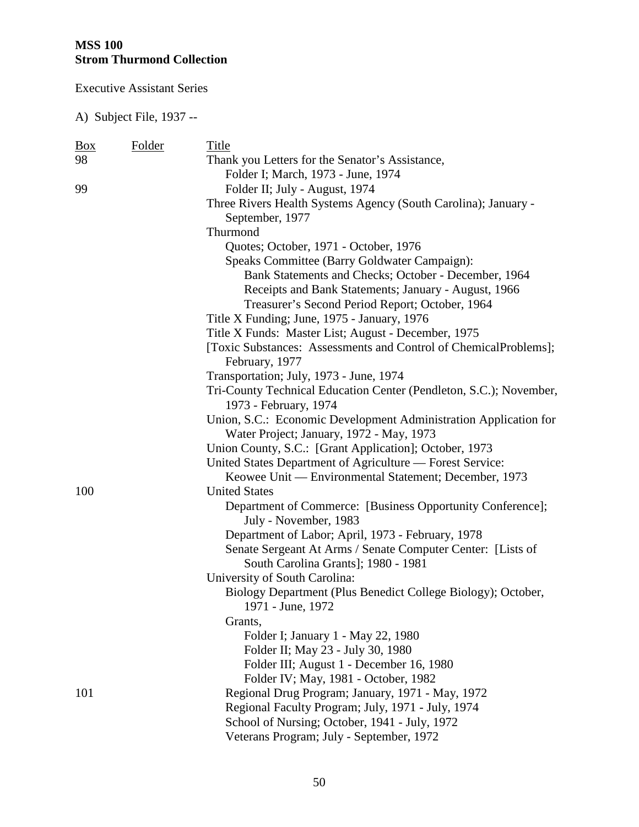Executive Assistant Series

| <u>Box</u> | Folder | Title                                                                                                        |
|------------|--------|--------------------------------------------------------------------------------------------------------------|
| 98         |        | Thank you Letters for the Senator's Assistance,                                                              |
|            |        | Folder I; March, 1973 - June, 1974                                                                           |
| 99         |        | Folder II; July - August, 1974                                                                               |
|            |        | Three Rivers Health Systems Agency (South Carolina); January -                                               |
|            |        | September, 1977                                                                                              |
|            |        | Thurmond                                                                                                     |
|            |        | Quotes; October, 1971 - October, 1976                                                                        |
|            |        | Speaks Committee (Barry Goldwater Campaign):                                                                 |
|            |        | Bank Statements and Checks; October - December, 1964                                                         |
|            |        | Receipts and Bank Statements; January - August, 1966                                                         |
|            |        | Treasurer's Second Period Report; October, 1964                                                              |
|            |        | Title X Funding; June, 1975 - January, 1976                                                                  |
|            |        | Title X Funds: Master List; August - December, 1975                                                          |
|            |        | [Toxic Substances: Assessments and Control of ChemicalProblems];<br>February, 1977                           |
|            |        | Transportation; July, 1973 - June, 1974                                                                      |
|            |        | Tri-County Technical Education Center (Pendleton, S.C.); November,                                           |
|            |        | 1973 - February, 1974                                                                                        |
|            |        | Union, S.C.: Economic Development Administration Application for<br>Water Project; January, 1972 - May, 1973 |
|            |        | Union County, S.C.: [Grant Application]; October, 1973                                                       |
|            |        | United States Department of Agriculture — Forest Service:                                                    |
|            |        | Keowee Unit — Environmental Statement; December, 1973                                                        |
| 100        |        | <b>United States</b>                                                                                         |
|            |        | Department of Commerce: [Business Opportunity Conference];                                                   |
|            |        | July - November, 1983                                                                                        |
|            |        | Department of Labor; April, 1973 - February, 1978                                                            |
|            |        | Senate Sergeant At Arms / Senate Computer Center: [Lists of                                                  |
|            |        | South Carolina Grants]; 1980 - 1981                                                                          |
|            |        | University of South Carolina:                                                                                |
|            |        | Biology Department (Plus Benedict College Biology); October,                                                 |
|            |        | 1971 - June, 1972                                                                                            |
|            |        | Grants,                                                                                                      |
|            |        | Folder I; January 1 - May 22, 1980                                                                           |
|            |        | Folder II; May 23 - July 30, 1980                                                                            |
|            |        | Folder III; August 1 - December 16, 1980                                                                     |
|            |        | Folder IV; May, 1981 - October, 1982                                                                         |
| 101        |        | Regional Drug Program; January, 1971 - May, 1972                                                             |
|            |        | Regional Faculty Program; July, 1971 - July, 1974                                                            |
|            |        | School of Nursing; October, 1941 - July, 1972                                                                |
|            |        | Veterans Program; July - September, 1972                                                                     |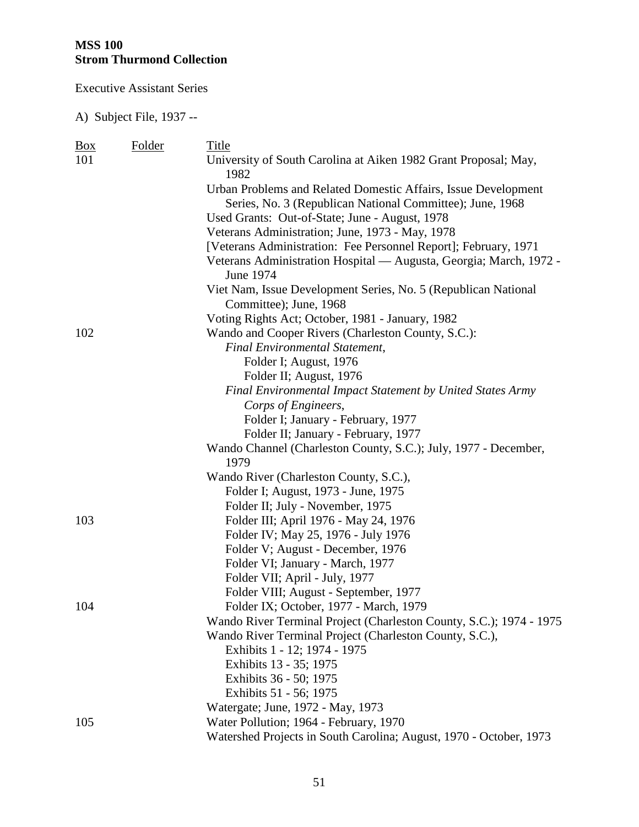Executive Assistant Series

| <b>Box</b> | Folder | Title                                                                           |
|------------|--------|---------------------------------------------------------------------------------|
| 101        |        | University of South Carolina at Aiken 1982 Grant Proposal; May,<br>1982         |
|            |        | Urban Problems and Related Domestic Affairs, Issue Development                  |
|            |        | Series, No. 3 (Republican National Committee); June, 1968                       |
|            |        | Used Grants: Out-of-State; June - August, 1978                                  |
|            |        | Veterans Administration; June, 1973 - May, 1978                                 |
|            |        | [Veterans Administration: Fee Personnel Report]; February, 1971                 |
|            |        | Veterans Administration Hospital - Augusta, Georgia; March, 1972 -<br>June 1974 |
|            |        | Viet Nam, Issue Development Series, No. 5 (Republican National                  |
|            |        | Committee); June, 1968                                                          |
|            |        | Voting Rights Act; October, 1981 - January, 1982                                |
| 102        |        | Wando and Cooper Rivers (Charleston County, S.C.):                              |
|            |        | <b>Final Environmental Statement,</b>                                           |
|            |        | Folder I; August, 1976                                                          |
|            |        | Folder II; August, 1976                                                         |
|            |        | Final Environmental Impact Statement by United States Army                      |
|            |        | Corps of Engineers,                                                             |
|            |        | Folder I; January - February, 1977                                              |
|            |        | Folder II; January - February, 1977                                             |
|            |        | Wando Channel (Charleston County, S.C.); July, 1977 - December,                 |
|            |        | 1979                                                                            |
|            |        | Wando River (Charleston County, S.C.),                                          |
|            |        | Folder I; August, 1973 - June, 1975                                             |
|            |        | Folder II; July - November, 1975                                                |
| 103        |        | Folder III; April 1976 - May 24, 1976                                           |
|            |        | Folder IV; May 25, 1976 - July 1976                                             |
|            |        | Folder V; August - December, 1976                                               |
|            |        | Folder VI; January - March, 1977                                                |
|            |        | Folder VII; April - July, 1977                                                  |
|            |        | Folder VIII; August - September, 1977                                           |
| 104        |        | Folder IX; October, 1977 - March, 1979                                          |
|            |        | Wando River Terminal Project (Charleston County, S.C.); 1974 - 1975             |
| 105        |        | Wando River Terminal Project (Charleston County, S.C.),                         |
|            |        | Exhibits 1 - 12; 1974 - 1975                                                    |
|            |        | Exhibits 13 - 35; 1975                                                          |
|            |        | Exhibits 36 - 50; 1975                                                          |
|            |        | Exhibits 51 - 56; 1975                                                          |
|            |        | Watergate; June, 1972 - May, 1973                                               |
|            |        | Water Pollution; 1964 - February, 1970                                          |
|            |        | Watershed Projects in South Carolina; August, 1970 - October, 1973              |
|            |        |                                                                                 |